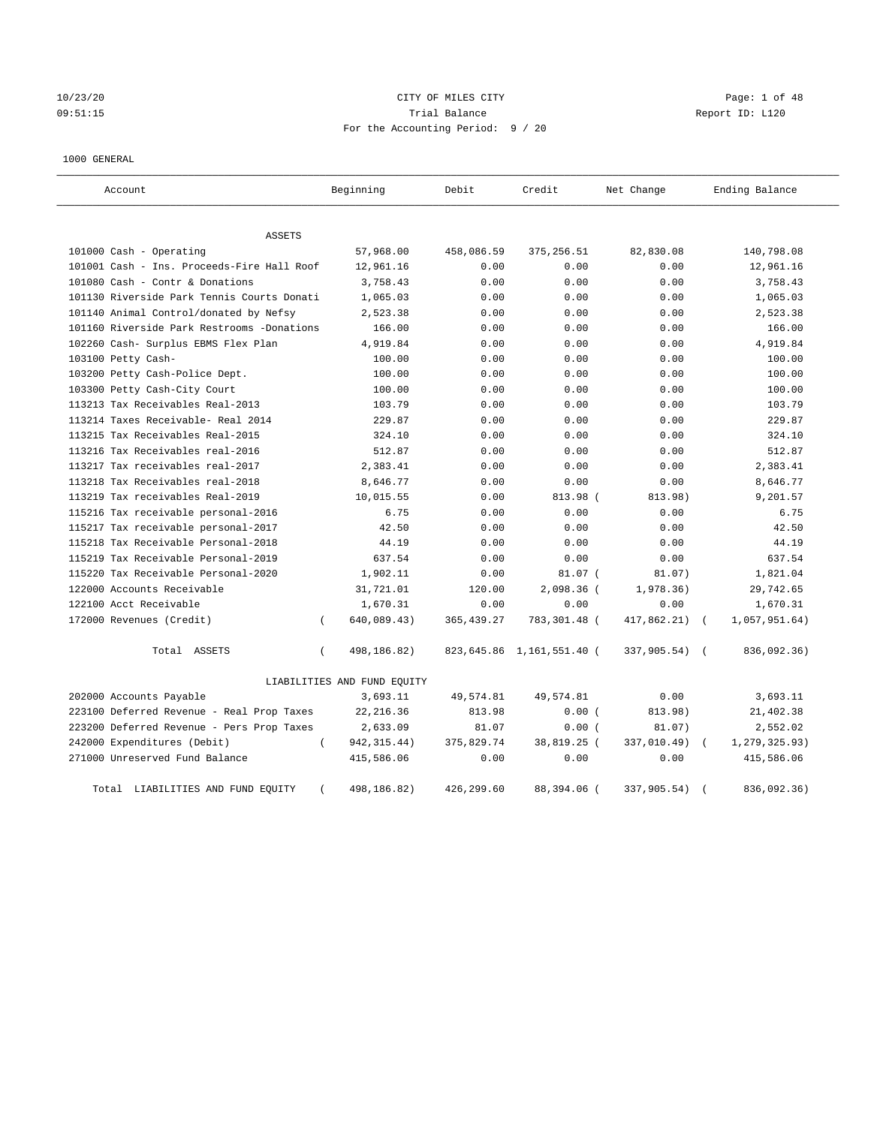10/23/20 Page: 1 of 48 09:51:15 Trial Balance Report ID: L120 For the Accounting Period: 9 / 20

#### 1000 GENERAL

| Account                                    | Beginning                   | Debit       | Credit                    | Net Change  | Ending Balance              |
|--------------------------------------------|-----------------------------|-------------|---------------------------|-------------|-----------------------------|
| ASSETS                                     |                             |             |                           |             |                             |
| 101000 Cash - Operating                    | 57,968.00                   | 458,086.59  | 375,256.51                | 82,830.08   | 140,798.08                  |
| 101001 Cash - Ins. Proceeds-Fire Hall Roof | 12,961.16                   | 0.00        | 0.00                      | 0.00        | 12,961.16                   |
| 101080 Cash - Contr & Donations            | 3,758.43                    | 0.00        | 0.00                      | 0.00        | 3,758.43                    |
| 101130 Riverside Park Tennis Courts Donati | 1,065.03                    | 0.00        | 0.00                      | 0.00        | 1,065.03                    |
| 101140 Animal Control/donated by Nefsy     | 2,523.38                    | 0.00        | 0.00                      | 0.00        | 2,523.38                    |
| 101160 Riverside Park Restrooms -Donations | 166.00                      | 0.00        | 0.00                      | 0.00        | 166.00                      |
| 102260 Cash- Surplus EBMS Flex Plan        | 4,919.84                    | 0.00        | 0.00                      | 0.00        | 4,919.84                    |
| 103100 Petty Cash-                         | 100.00                      | 0.00        | 0.00                      | 0.00        | 100.00                      |
| 103200 Petty Cash-Police Dept.             | 100.00                      | 0.00        | 0.00                      | 0.00        | 100.00                      |
| 103300 Petty Cash-City Court               | 100.00                      | 0.00        | 0.00                      | 0.00        | 100.00                      |
| 113213 Tax Receivables Real-2013           | 103.79                      | 0.00        | 0.00                      | 0.00        | 103.79                      |
| 113214 Taxes Receivable- Real 2014         | 229.87                      | 0.00        | 0.00                      | 0.00        | 229.87                      |
| 113215 Tax Receivables Real-2015           | 324.10                      | 0.00        | 0.00                      | 0.00        | 324.10                      |
| 113216 Tax Receivables real-2016           | 512.87                      | 0.00        | 0.00                      | 0.00        | 512.87                      |
| 113217 Tax receivables real-2017           | 2,383.41                    | 0.00        | 0.00                      | 0.00        | 2,383.41                    |
| 113218 Tax Receivables real-2018           | 8,646.77                    | 0.00        | 0.00                      | 0.00        | 8,646.77                    |
| 113219 Tax receivables Real-2019           | 10,015.55                   | 0.00        | 813.98 (                  | 813.98)     | 9,201.57                    |
| 115216 Tax receivable personal-2016        | 6.75                        | 0.00        | 0.00                      | 0.00        | 6.75                        |
| 115217 Tax receivable personal-2017        | 42.50                       | 0.00        | 0.00                      | 0.00        | 42.50                       |
| 115218 Tax Receivable Personal-2018        | 44.19                       | 0.00        | 0.00                      | 0.00        | 44.19                       |
| 115219 Tax Receivable Personal-2019        | 637.54                      | 0.00        | 0.00                      | 0.00        | 637.54                      |
| 115220 Tax Receivable Personal-2020        | 1,902.11                    | 0.00        | $81.07$ (                 | 81.07)      | 1,821.04                    |
| 122000 Accounts Receivable                 | 31,721.01                   | 120.00      | 2,098.36 (                | 1,978.36)   | 29,742.65                   |
| 122100 Acct Receivable                     | 1,670.31                    | 0.00        | 0.00                      | 0.00        | 1,670.31                    |
| 172000 Revenues (Credit)                   | 640,089.43)<br>$\left($     | 365, 439.27 | 783,301.48 (              | 417,862.21) | 1,057,951.64)<br>$\sqrt{2}$ |
| Total ASSETS                               | 498,186.82)<br>$\left($     |             | 823,645.86 1,161,551.40 ( | 337,905.54) | 836,092.36)                 |
|                                            | LIABILITIES AND FUND EQUITY |             |                           |             |                             |
| 202000 Accounts Payable                    | 3,693.11                    | 49,574.81   | 49,574.81                 | 0.00        | 3,693.11                    |
| 223100 Deferred Revenue - Real Prop Taxes  | 22, 216.36                  | 813.98      | 0.00(                     | 813.98)     | 21,402.38                   |
| 223200 Deferred Revenue - Pers Prop Taxes  | 2,633.09                    | 81.07       | 0.00(                     | 81.07)      | 2,552.02                    |
| 242000 Expenditures (Debit)                | $\left($<br>942, 315.44)    | 375,829.74  | 38,819.25 (               | 337,010.49) | 1,279,325.93)               |
| 271000 Unreserved Fund Balance             | 415,586.06                  | 0.00        | 0.00                      | 0.00        | 415,586.06                  |
| LIABILITIES AND FUND EQUITY<br>Total       | 498,186.82)                 | 426,299.60  | 88,394.06 (               | 337,905.54) | 836,092.36)                 |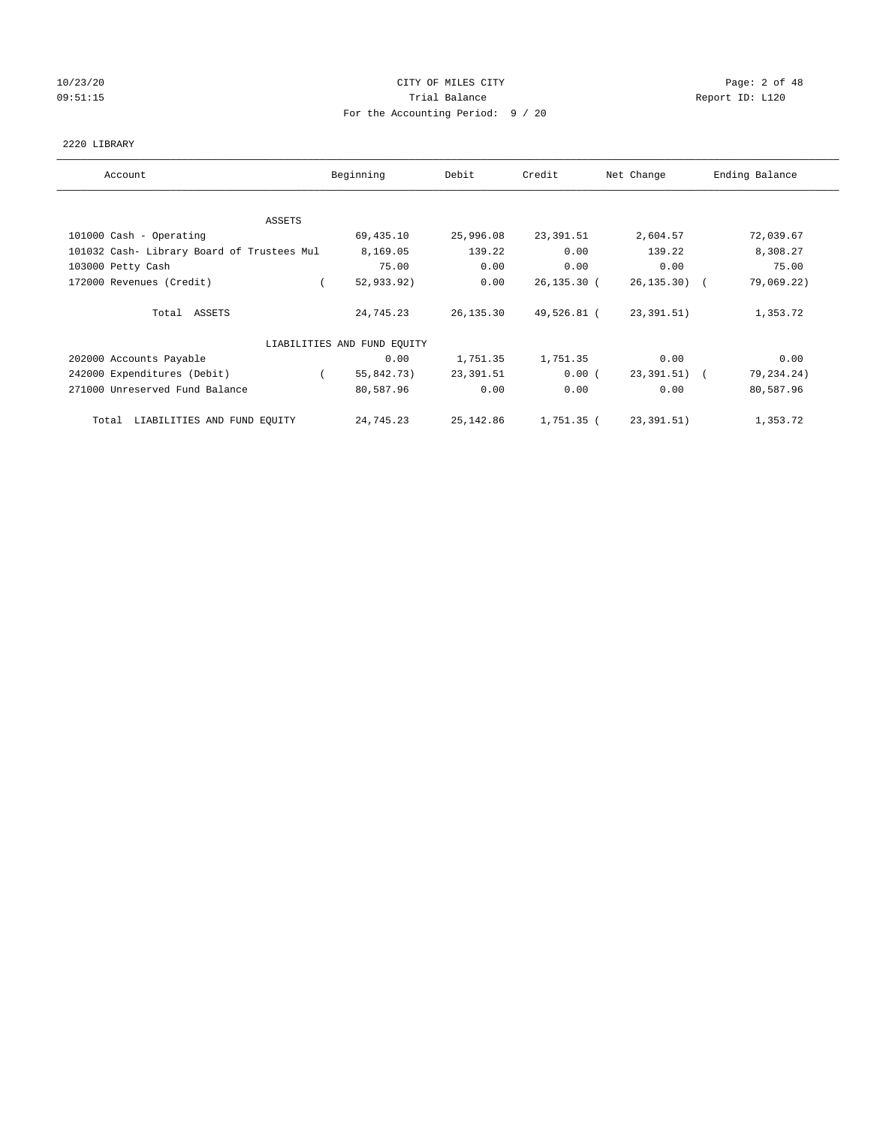# 10/23/20 CITY OF MILES CITY Page: 2 of 48 09:51:15 COMPOSERT TRIAL BALANCE COMPOSERT TRIAL BALANCE COMPOSERT TRIAL REPORT ID: L120 For the Accounting Period: 9 / 20

#### 2220 LIBRARY

| Account                                    | Beginning                   | Debit      | Credit      | Net Change      | Ending Balance |
|--------------------------------------------|-----------------------------|------------|-------------|-----------------|----------------|
| ASSETS                                     |                             |            |             |                 |                |
| 101000 Cash - Operating                    | 69,435.10                   | 25,996.08  | 23,391.51   | 2,604.57        | 72,039.67      |
| 101032 Cash- Library Board of Trustees Mul | 8,169.05                    | 139.22     | 0.00        | 139.22          | 8,308.27       |
| 103000 Petty Cash                          | 75.00                       | 0.00       | 0.00        | 0.00            | 75.00          |
| 172000 Revenues (Credit)                   | 52,933.92)                  | 0.00       | 26,135.30 ( | $26, 135, 30$ ( | 79,069.22)     |
| Total ASSETS                               | 24,745.23                   | 26,135.30  | 49,526.81 ( | 23,391.51)      | 1,353.72       |
|                                            | LIABILITIES AND FUND EQUITY |            |             |                 |                |
| 202000 Accounts Payable                    | 0.00                        | 1,751.35   | 1,751.35    | 0.00            | 0.00           |
| 242000 Expenditures (Debit)                | 55,842.73)                  | 23,391.51  | 0.00(       | 23,391.51) (    | 79,234.24)     |
| 271000 Unreserved Fund Balance             | 80,587.96                   | 0.00       | 0.00        | 0.00            | 80,587.96      |
| Total LIABILITIES AND FUND EQUITY          | 24,745.23                   | 25, 142.86 | 1,751.35 (  | 23,391.51)      | 1,353.72       |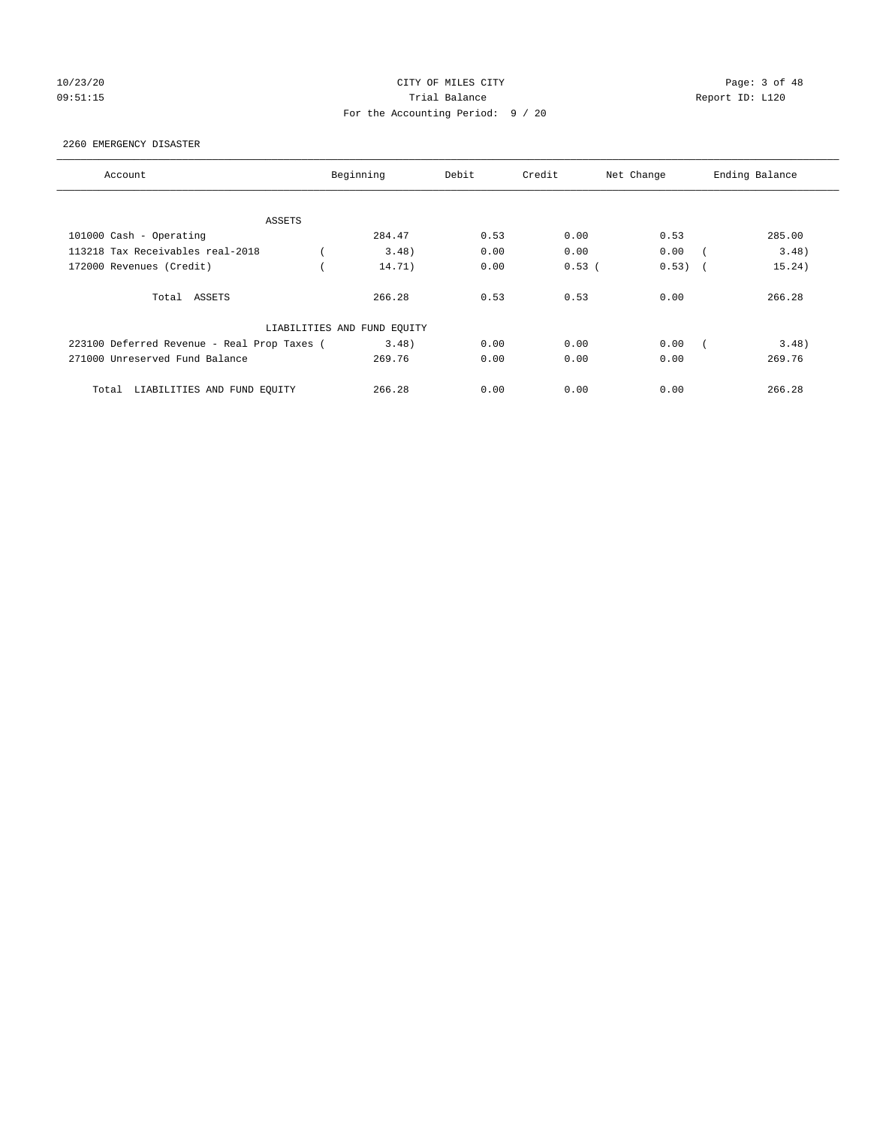# 10/23/20 CITY OF MILES CITY Page: 3 of 48 09:51:15 COMPOSERT TRIAL BALANCE Report ID: L120 For the Accounting Period: 9 / 20

#### 2260 EMERGENCY DISASTER

| Account                                     | Beginning                   | Debit | Credit | Net Change                        | Ending Balance |
|---------------------------------------------|-----------------------------|-------|--------|-----------------------------------|----------------|
|                                             |                             |       |        |                                   |                |
| ASSETS                                      |                             |       |        |                                   |                |
| 101000 Cash - Operating                     | 284.47                      | 0.53  | 0.00   | 0.53                              | 285.00         |
| 113218 Tax Receivables real-2018            | 3.48                        | 0.00  | 0.00   | 0.00                              | 3.48)          |
| 172000 Revenues (Credit)                    | 14.71)                      | 0.00  | 0.53(  | 0.53)<br>$\overline{\phantom{a}}$ | 15.24)         |
| Total ASSETS                                | 266.28                      | 0.53  | 0.53   | 0.00                              | 266.28         |
|                                             | LIABILITIES AND FUND EQUITY |       |        |                                   |                |
| 223100 Deferred Revenue - Real Prop Taxes ( | 3.48)                       | 0.00  | 0.00   | 0.00                              | 3.48)          |
| 271000 Unreserved Fund Balance              | 269.76                      | 0.00  | 0.00   | 0.00                              | 269.76         |
| LIABILITIES AND FUND EQUITY<br>Total        | 266.28                      | 0.00  | 0.00   | 0.00                              | 266.28         |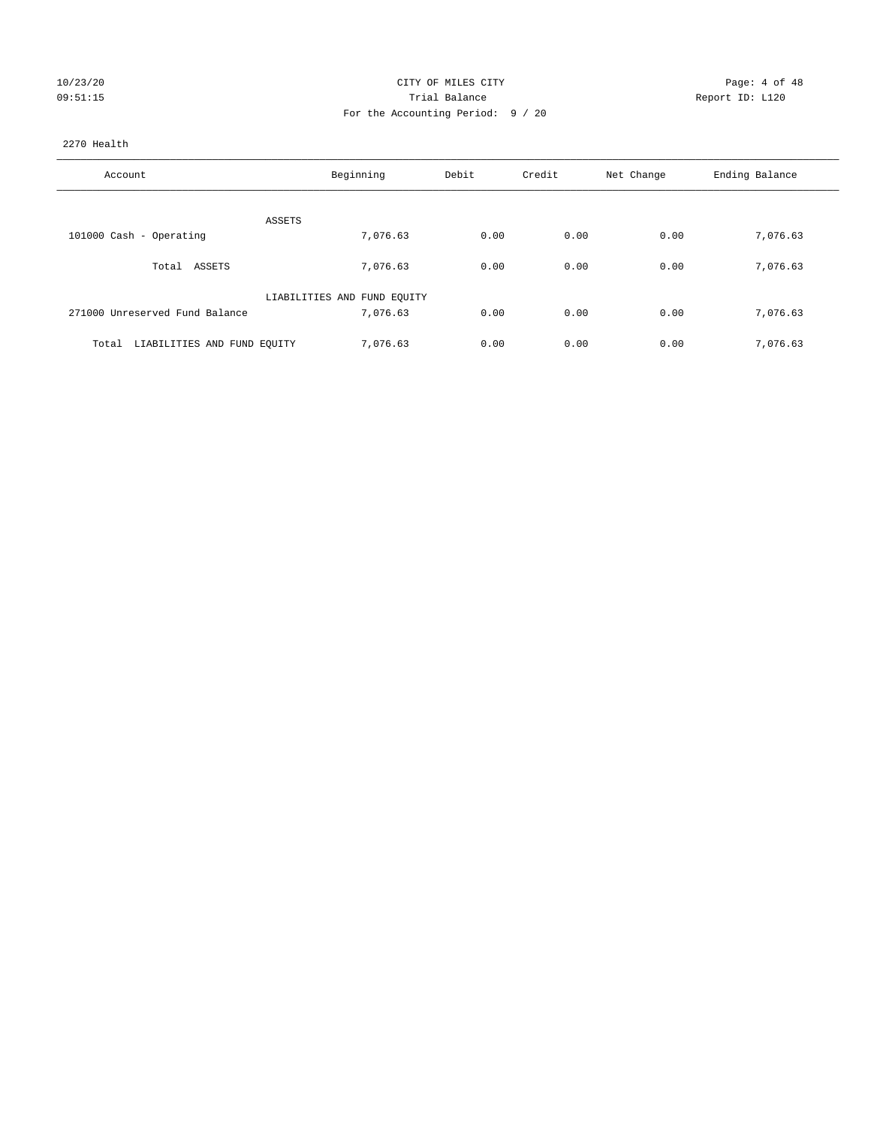| 10/23/20 |  |  |
|----------|--|--|
| 09:51:15 |  |  |

# CITY OF MILES CITY CITY CITY Page: 4 of 48 Prial Balance **Report ID:** L120 For the Accounting Period: 9 / 20

#### 2270 Health

| Account                              | Beginning                   | Debit | Credit | Net Change | Ending Balance |
|--------------------------------------|-----------------------------|-------|--------|------------|----------------|
| ASSETS                               |                             |       |        |            |                |
| 101000 Cash - Operating              | 7,076.63                    | 0.00  | 0.00   | 0.00       | 7,076.63       |
| Total ASSETS                         | 7,076.63                    | 0.00  | 0.00   | 0.00       | 7,076.63       |
|                                      | LIABILITIES AND FUND EQUITY |       |        |            |                |
| 271000 Unreserved Fund Balance       | 7,076.63                    | 0.00  | 0.00   | 0.00       | 7,076.63       |
| LIABILITIES AND FUND EQUITY<br>Total | 7.076.63                    | 0.00  | 0.00   | 0.00       | 7,076.63       |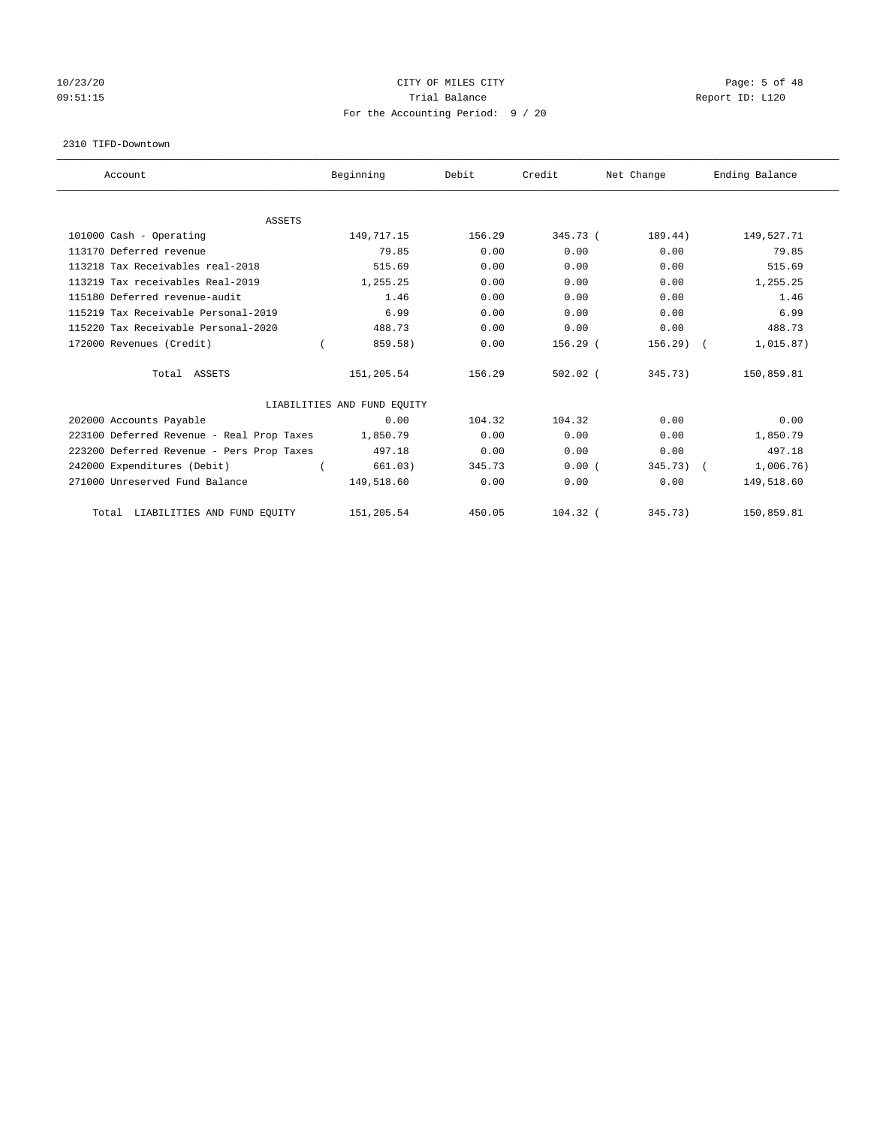# 10/23/20 CITY OF MILES CITY Page: 5 of 48 09:51:15 COMPOSERT TRIAL BALANCE COMPOSERT TRIAL BALANCE COMPOSERT TRIAL REPORT ID: L120 For the Accounting Period: 9 / 20

#### 2310 TIFD-Downtown

| Account                                   | Beginning                   | Debit  | Credit     | Net Change | Ending Balance |
|-------------------------------------------|-----------------------------|--------|------------|------------|----------------|
|                                           |                             |        |            |            |                |
| <b>ASSETS</b><br>101000 Cash - Operating  | 149,717.15                  | 156.29 | $345.73$ ( | 189.44)    | 149,527.71     |
| 113170 Deferred revenue                   | 79.85                       | 0.00   | 0.00       | 0.00       | 79.85          |
|                                           |                             |        |            |            |                |
| 113218 Tax Receivables real-2018          | 515.69                      | 0.00   | 0.00       | 0.00       | 515.69         |
| 113219 Tax receivables Real-2019          | 1,255.25                    | 0.00   | 0.00       | 0.00       | 1,255.25       |
| 115180 Deferred revenue-audit             | 1.46                        | 0.00   | 0.00       | 0.00       | 1.46           |
| 115219 Tax Receivable Personal-2019       | 6.99                        | 0.00   | 0.00       | 0.00       | 6.99           |
| 115220 Tax Receivable Personal-2020       | 488.73                      | 0.00   | 0.00       | 0.00       | 488.73         |
| 172000 Revenues (Credit)                  | 859.58)                     | 0.00   | $156.29$ ( | 156.29     | 1,015.87)      |
| Total ASSETS                              | 151,205.54                  | 156.29 | $502.02$ ( | 345.73)    | 150,859.81     |
|                                           | LIABILITIES AND FUND EQUITY |        |            |            |                |
| 202000 Accounts Payable                   | 0.00                        | 104.32 | 104.32     | 0.00       | 0.00           |
| 223100 Deferred Revenue - Real Prop Taxes | 1,850.79                    | 0.00   | 0.00       | 0.00       | 1,850.79       |
| 223200 Deferred Revenue - Pers Prop Taxes | 497.18                      | 0.00   | 0.00       | 0.00       | 497.18         |
| 242000 Expenditures (Debit)               | 661.03)                     | 345.73 | 0.00(      | 345.73)    | 1,006.76)      |
| 271000 Unreserved Fund Balance            | 149,518.60                  | 0.00   | 0.00       | 0.00       | 149,518.60     |
| LIABILITIES AND FUND EQUITY<br>Total      | 151,205.54                  | 450.05 | $104.32$ ( | 345.73)    | 150,859.81     |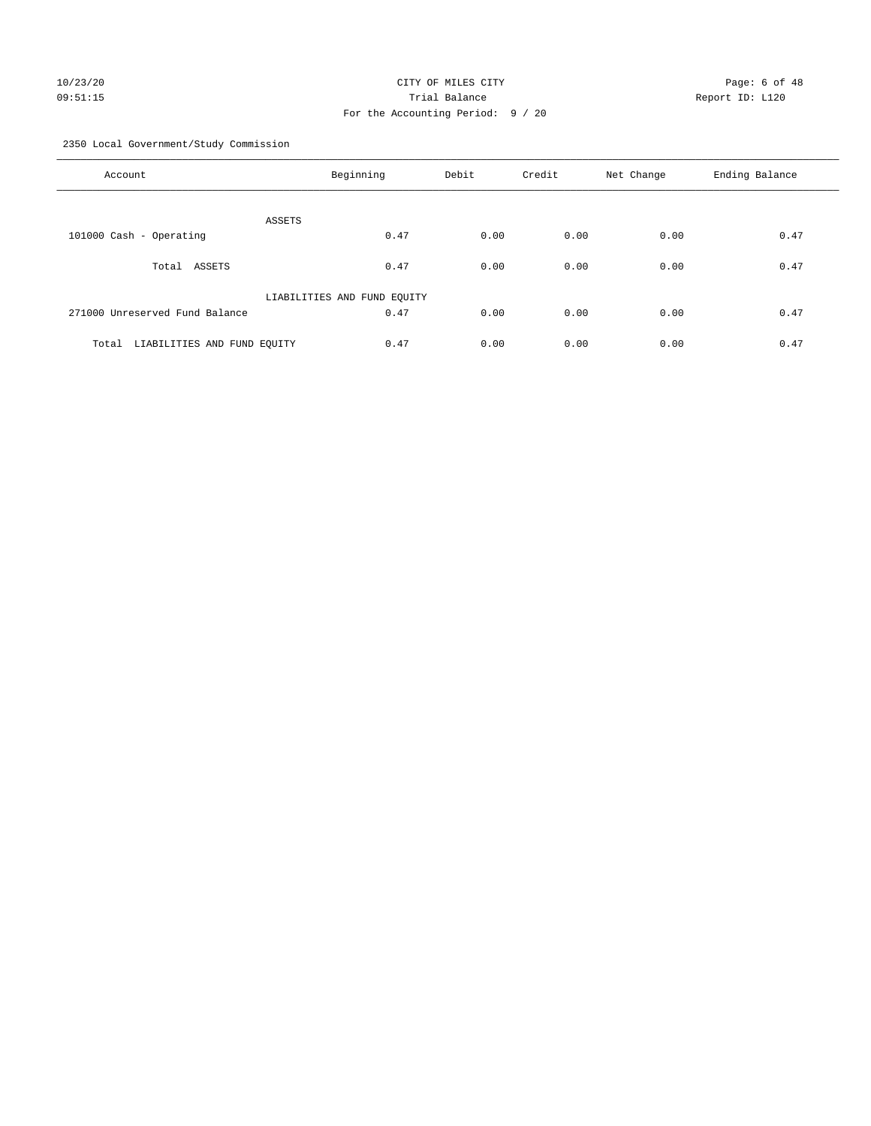# 10/23/20 CITY OF MILES CITY Page: 6 of 48 09:51:15 Trial Balance Report ID: L120 For the Accounting Period: 9 / 20

2350 Local Government/Study Commission

| Account                              | Beginning                   | Debit | Credit | Net Change | Ending Balance |
|--------------------------------------|-----------------------------|-------|--------|------------|----------------|
| ASSETS                               |                             |       |        |            |                |
| 101000 Cash - Operating              | 0.47                        | 0.00  | 0.00   | 0.00       | 0.47           |
| ASSETS<br>Total                      | 0.47                        | 0.00  | 0.00   | 0.00       | 0.47           |
|                                      | LIABILITIES AND FUND EQUITY |       |        |            |                |
| 271000 Unreserved Fund Balance       | 0.47                        | 0.00  | 0.00   | 0.00       | 0.47           |
| LIABILITIES AND FUND EQUITY<br>Total | 0.47                        | 0.00  | 0.00   | 0.00       | 0.47           |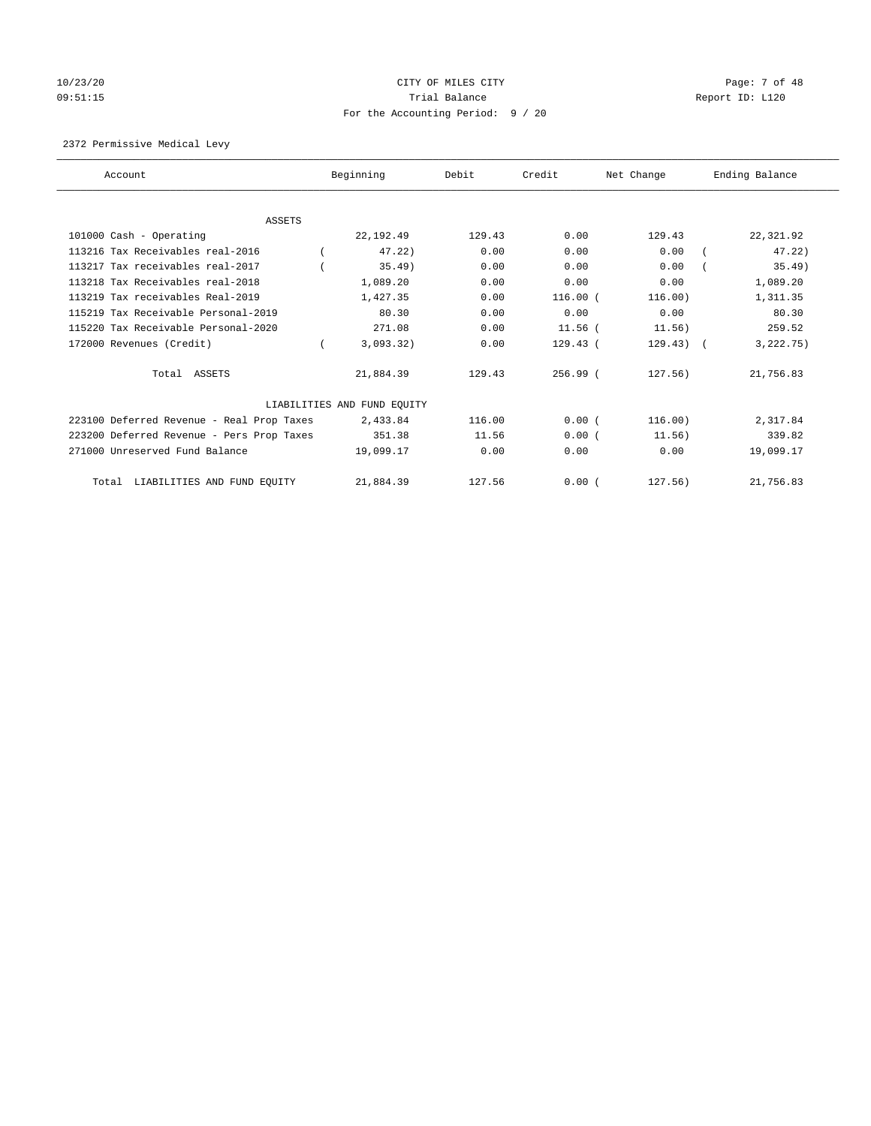# 10/23/20 CITY OF MILES CITY Page: 7 of 48 09:51:15 **Trial Balance Constanting Trial Balance Report ID:** L120 For the Accounting Period: 9 / 20

# 2372 Permissive Medical Levy

| Account                                   | Beginning                   | Debit  | Credit     | Net Change     | Ending Balance |
|-------------------------------------------|-----------------------------|--------|------------|----------------|----------------|
|                                           |                             |        |            |                |                |
| <b>ASSETS</b>                             |                             |        |            |                |                |
| 101000 Cash - Operating                   | 22, 192.49                  | 129.43 | 0.00       | 129.43         | 22,321.92      |
| 113216 Tax Receivables real-2016          | 47.22                       | 0.00   | 0.00       | 0.00           | 47.22)         |
| 113217 Tax receivables real-2017          | 35.49)                      | 0.00   | 0.00       | 0.00           | 35.49)         |
| 113218 Tax Receivables real-2018          | 1,089.20                    | 0.00   | 0.00       | 0.00           | 1,089.20       |
| 113219 Tax receivables Real-2019          | 1,427.35                    | 0.00   | 116.00(    | 116.00)        | 1,311.35       |
| 115219 Tax Receivable Personal-2019       | 80.30                       | 0.00   | 0.00       | 0.00           | 80.30          |
| 115220 Tax Receivable Personal-2020       | 271.08                      | 0.00   | $11.56$ (  | 11.56)         | 259.52         |
| 172000 Revenues (Credit)                  | 3,093.32)                   | 0.00   | $129.43$ ( | $129.43$ ) $($ | 3, 222, 75)    |
| Total ASSETS                              | 21,884.39                   | 129.43 | $256.99$ ( | 127.56)        | 21,756.83      |
|                                           | LIABILITIES AND FUND EQUITY |        |            |                |                |
| 223100 Deferred Revenue - Real Prop Taxes | 2,433.84                    | 116.00 | 0.00(      | 116.00)        | 2,317.84       |
| 223200 Deferred Revenue - Pers Prop Taxes | 351.38                      | 11.56  | 0.00(      | 11.56)         | 339.82         |
| 271000 Unreserved Fund Balance            | 19,099.17                   | 0.00   | 0.00       | 0.00           | 19,099.17      |
| LIABILITIES AND FUND EQUITY<br>Total      | 21,884.39                   | 127.56 | 0.00(      | 127.56)        | 21,756.83      |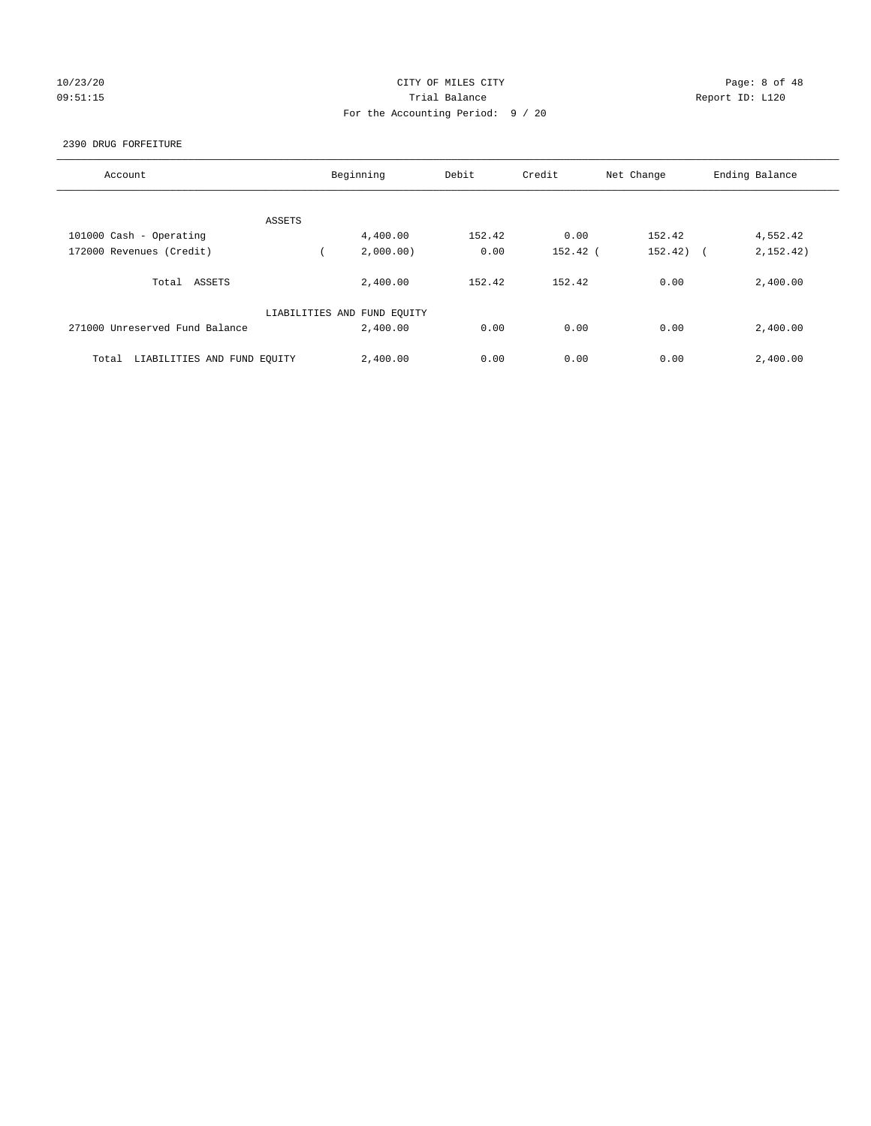# 10/23/20 CITY OF MILES CITY Page: 8 of 48 09:51:15 Trial Balance Report ID: L120 For the Accounting Period: 9 / 20

#### 2390 DRUG FORFEITURE

| Account                              | Beginning                   | Debit  | Credit     | Net Change            | Ending Balance |
|--------------------------------------|-----------------------------|--------|------------|-----------------------|----------------|
|                                      |                             |        |            |                       |                |
| ASSETS                               |                             |        |            |                       |                |
| 101000 Cash - Operating              | 4,400.00                    | 152.42 | 0.00       | 152.42                | 4,552.42       |
| 172000 Revenues (Credit)             | 2,000.00)                   | 0.00   | $152.42$ ( | 152.42)<br>$\sqrt{2}$ | 2,152.42)      |
| Total<br>ASSETS                      | 2,400.00                    | 152.42 | 152.42     | 0.00                  | 2,400.00       |
|                                      | LIABILITIES AND FUND EQUITY |        |            |                       |                |
| 271000 Unreserved Fund Balance       | 2,400.00                    | 0.00   | 0.00       | 0.00                  | 2,400.00       |
| LIABILITIES AND FUND EQUITY<br>Total | 2,400.00                    | 0.00   | 0.00       | 0.00                  | 2,400.00       |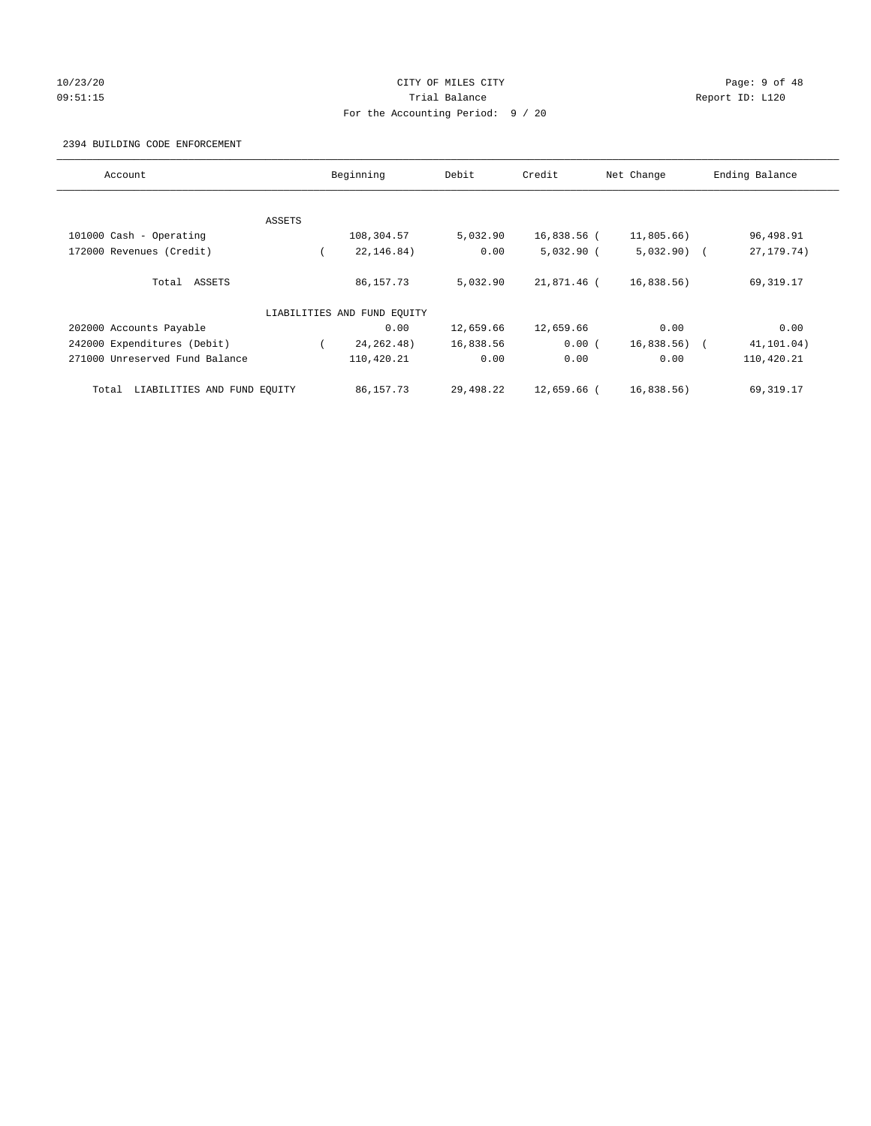# 10/23/20 CITY OF MILES CITY Page: 9 of 48 09:51:15 **Trial Balance Constanting Trial Balance Report ID:** L120 For the Accounting Period: 9 / 20

#### 2394 BUILDING CODE ENFORCEMENT

| Account                              |        | Beginning                   | Debit     | Credit        | Net Change   | Ending Balance           |
|--------------------------------------|--------|-----------------------------|-----------|---------------|--------------|--------------------------|
|                                      |        |                             |           |               |              |                          |
|                                      | ASSETS |                             |           |               |              |                          |
| 101000 Cash - Operating              |        | 108,304.57                  | 5,032.90  | 16,838.56 (   | 11,805.66)   | 96,498.91                |
| 172000 Revenues (Credit)             |        | 22, 146.84)                 | 0.00      | $5,032.90$ (  | $5,032.90$ ( | 27, 179. 74)             |
| Total ASSETS                         |        | 86,157.73                   | 5,032.90  | 21,871.46 (   | 16,838.56)   | 69,319.17                |
|                                      |        | LIABILITIES AND FUND EQUITY |           |               |              |                          |
| 202000 Accounts Payable              |        | 0.00                        | 12,659.66 | 12,659.66     | 0.00         | 0.00                     |
| 242000 Expenditures (Debit)          |        | 24, 262. 48)                | 16,838.56 | 0.00(         | 16,838.56)   | 41,101.04)<br>$\sqrt{2}$ |
| 271000 Unreserved Fund Balance       |        | 110,420.21                  | 0.00      | 0.00          | 0.00         | 110,420.21               |
| LIABILITIES AND FUND EQUITY<br>Total |        | 86,157.73                   | 29,498.22 | $12.659.66$ ( | 16,838.56)   | 69, 319.17               |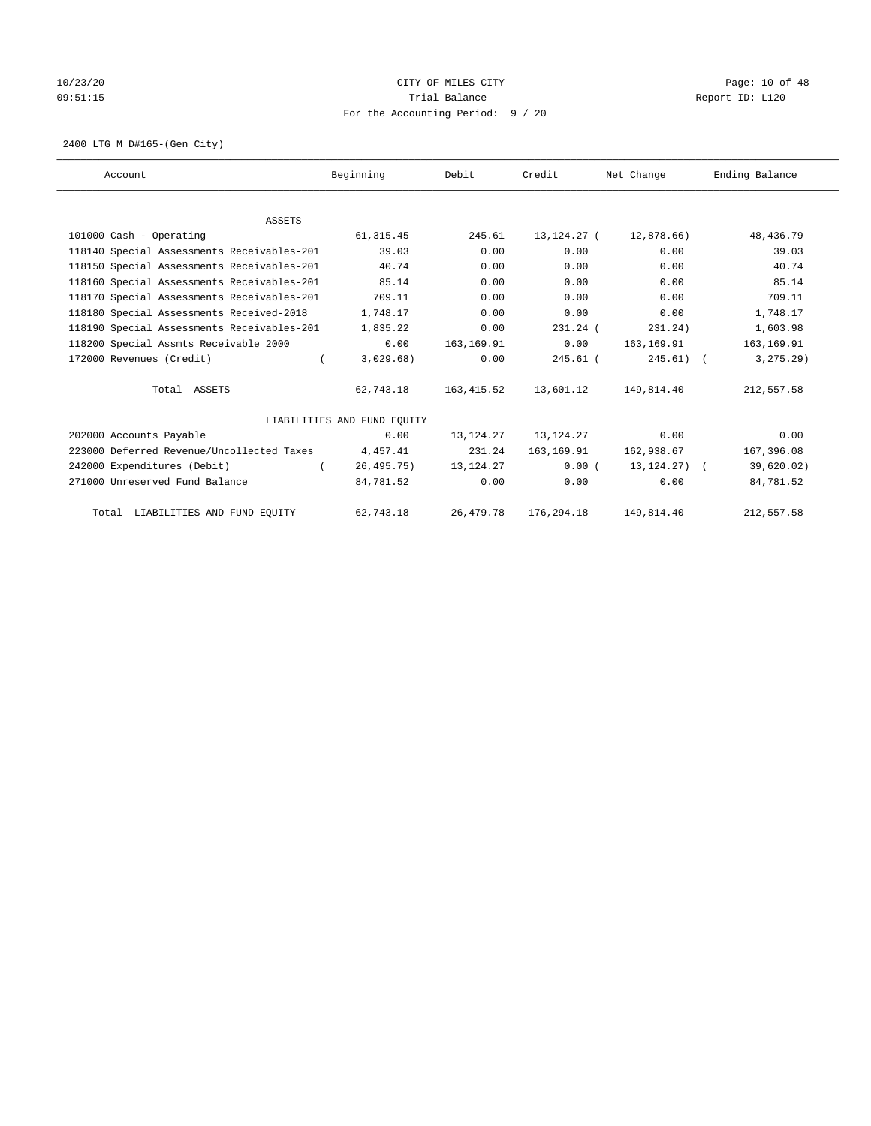# 10/23/20 Page: 10 of 48 09:51:15 COMPOSERT TRIAL BALANCE COMPOSERT TRIAL BALANCE COMPOSERT TRIAL REPORT ID: L120 For the Accounting Period: 9 / 20

2400 LTG M D#165-(Gen City)

| Account                                    | Beginning                   | Debit       | Credit      | Net Change     | Ending Balance |
|--------------------------------------------|-----------------------------|-------------|-------------|----------------|----------------|
|                                            |                             |             |             |                |                |
| <b>ASSETS</b>                              |                             |             |             |                |                |
| 101000 Cash - Operating                    | 61, 315.45                  | 245.61      | 13,124.27 ( | 12,878.66)     | 48, 436.79     |
| 118140 Special Assessments Receivables-201 | 39.03                       | 0.00        | 0.00        | 0.00           | 39.03          |
| 118150 Special Assessments Receivables-201 | 40.74                       | 0.00        | 0.00        | 0.00           | 40.74          |
| 118160 Special Assessments Receivables-201 | 85.14                       | 0.00        | 0.00        | 0.00           | 85.14          |
| 118170 Special Assessments Receivables-201 | 709.11                      | 0.00        | 0.00        | 0.00           | 709.11         |
| 118180 Special Assessments Received-2018   | 1,748.17                    | 0.00        | 0.00        | 0.00           | 1,748.17       |
| 118190 Special Assessments Receivables-201 | 1,835.22                    | 0.00        | $231.24$ (  | 231.24)        | 1,603.98       |
| 118200 Special Assmts Receivable 2000      | 0.00                        | 163, 169.91 | 0.00        | 163,169.91     | 163, 169.91    |
| 172000 Revenues (Credit)<br>$\left($       | 3,029.68)                   | 0.00        | $245.61$ (  | $245.61$ (     | 3, 275.29      |
| Total ASSETS                               | 62,743.18                   | 163, 415.52 | 13,601.12   | 149,814.40     | 212,557.58     |
|                                            | LIABILITIES AND FUND EOUITY |             |             |                |                |
| 202000 Accounts Payable                    | 0.00                        | 13,124.27   | 13,124.27   | 0.00           | 0.00           |
| 223000 Deferred Revenue/Uncollected Taxes  | 4,457.41                    | 231.24      | 163,169.91  | 162,938.67     | 167,396.08     |
| 242000 Expenditures (Debit)                | 26,495.75)                  | 13,124.27   | 0.00(       | 13, 124, 27) ( | 39,620.02)     |
| 271000 Unreserved Fund Balance             | 84,781.52                   | 0.00        | 0.00        | 0.00           | 84,781.52      |
| Total LIABILITIES AND FUND EQUITY          | 62,743.18                   | 26,479.78   | 176,294.18  | 149,814.40     | 212,557.58     |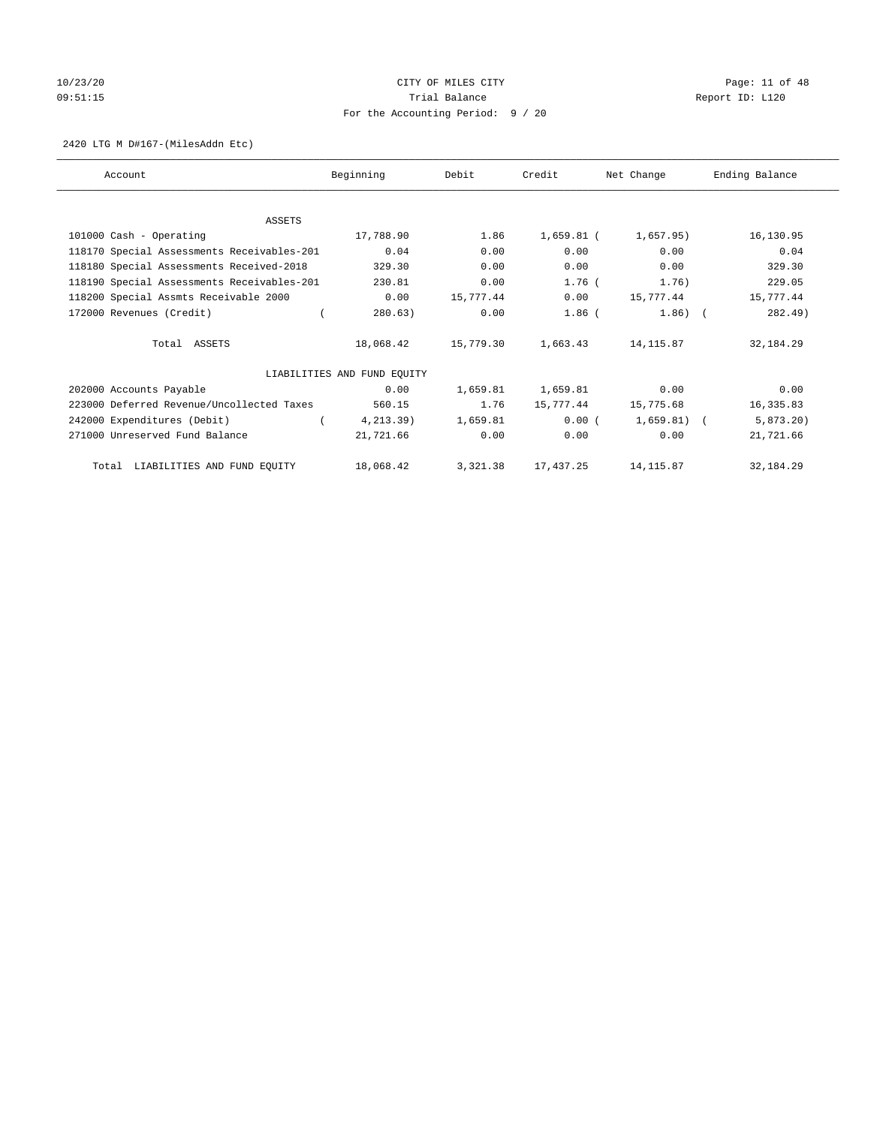# 10/23/20 Page: 11 of 48 09:51:15 COMPOSERT TRIAL BALANCE COMPOSERT TRIAL BALANCE COMPOSERT TRIAL REPORT ID: L120 For the Accounting Period: 9 / 20

#### 2420 LTG M D#167-(MilesAddn Etc)

| Account                                    | Beginning                   | Debit     | Credit     | Net Change   | Ending Balance |
|--------------------------------------------|-----------------------------|-----------|------------|--------------|----------------|
|                                            |                             |           |            |              |                |
| ASSETS                                     |                             |           |            |              |                |
| 101000 Cash - Operating                    | 17,788.90                   | 1.86      | 1,659.81 ( | 1,657.95)    | 16,130.95      |
| 118170 Special Assessments Receivables-201 | 0.04                        | 0.00      | 0.00       | 0.00         | 0.04           |
| 118180 Special Assessments Received-2018   | 329.30                      | 0.00      | 0.00       | 0.00         | 329.30         |
| 118190 Special Assessments Receivables-201 | 230.81                      | 0.00      | $1.76$ (   | 1.76)        | 229.05         |
| 118200 Special Assmts Receivable 2000      | 0.00                        | 15,777.44 | 0.00       | 15,777.44    | 15,777.44      |
| 172000 Revenues (Credit)                   | 280.63)                     | 0.00      | $1.86$ (   | $1.86)$ (    | 282.49)        |
| Total ASSETS                               | 18,068.42                   | 15,779.30 | 1,663.43   | 14,115.87    | 32, 184. 29    |
|                                            | LIABILITIES AND FUND EOUITY |           |            |              |                |
| 202000 Accounts Payable                    | 0.00                        | 1,659.81  | 1,659.81   | 0.00         | 0.00           |
| 223000 Deferred Revenue/Uncollected Taxes  | 560.15                      | 1.76      | 15,777.44  | 15,775.68    | 16,335.83      |
| 242000 Expenditures (Debit)                | 4, 213.39)                  | 1,659.81  | 0.00(      | $1,659.81$ ( | $5,873.20$ )   |
| 271000 Unreserved Fund Balance             | 21,721.66                   | 0.00      | 0.00       | 0.00         | 21,721.66      |
| Total LIABILITIES AND FUND EQUITY          | 18,068.42                   | 3,321.38  | 17,437.25  | 14,115.87    | 32,184.29      |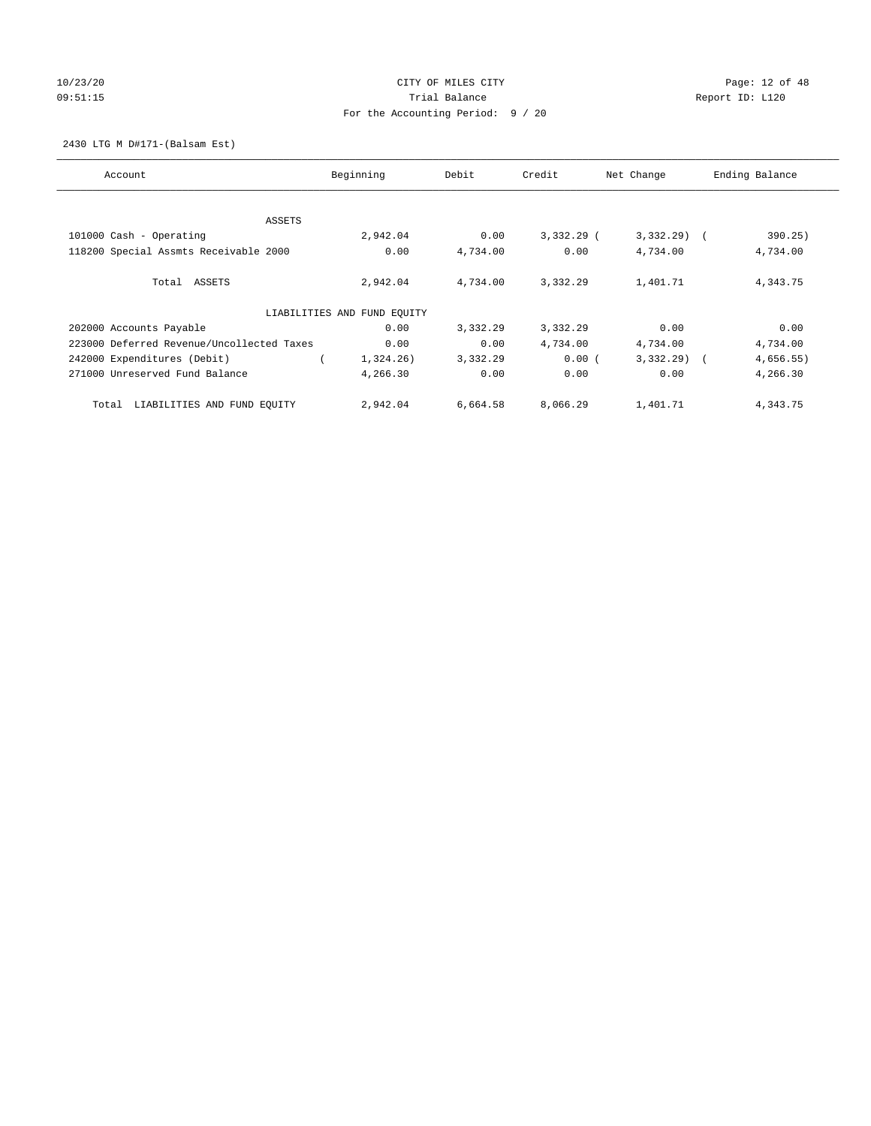# 10/23/20 Page: 12 of 48 09:51:15 **Trial Balance Constanting Trial Balance Report ID:** L120 For the Accounting Period: 9 / 20

2430 LTG M D#171-(Balsam Est)

| Account                                   | Beginning                   | Debit    | Credit       | Net Change   | Ending Balance |
|-------------------------------------------|-----------------------------|----------|--------------|--------------|----------------|
|                                           |                             |          |              |              |                |
| <b>ASSETS</b>                             |                             |          |              |              |                |
| 101000 Cash - Operating                   | 2,942.04                    | 0.00     | $3,332,29$ ( | $3,332,29$ ( | 390.25)        |
| 118200 Special Assmts Receivable 2000     | 0.00                        | 4,734.00 | 0.00         | 4,734.00     | 4,734.00       |
| Total ASSETS                              | 2,942.04                    | 4,734.00 | 3,332.29     | 1,401.71     | 4,343.75       |
|                                           | LIABILITIES AND FUND EQUITY |          |              |              |                |
| 202000 Accounts Payable                   | 0.00                        | 3,332.29 | 3,332.29     | 0.00         | 0.00           |
| 223000 Deferred Revenue/Uncollected Taxes | 0.00                        | 0.00     | 4,734.00     | 4,734.00     | 4,734.00       |
| 242000 Expenditures (Debit)               | 1,324.26)                   | 3,332.29 | 0.00(        | $3,332.29$ ( | 4,656.55)      |
| 271000 Unreserved Fund Balance            | 4,266.30                    | 0.00     | 0.00         | 0.00         | 4,266.30       |
| LIABILITIES AND FUND EQUITY<br>Total      | 2,942.04                    | 6,664.58 | 8,066.29     | 1,401.71     | 4,343.75       |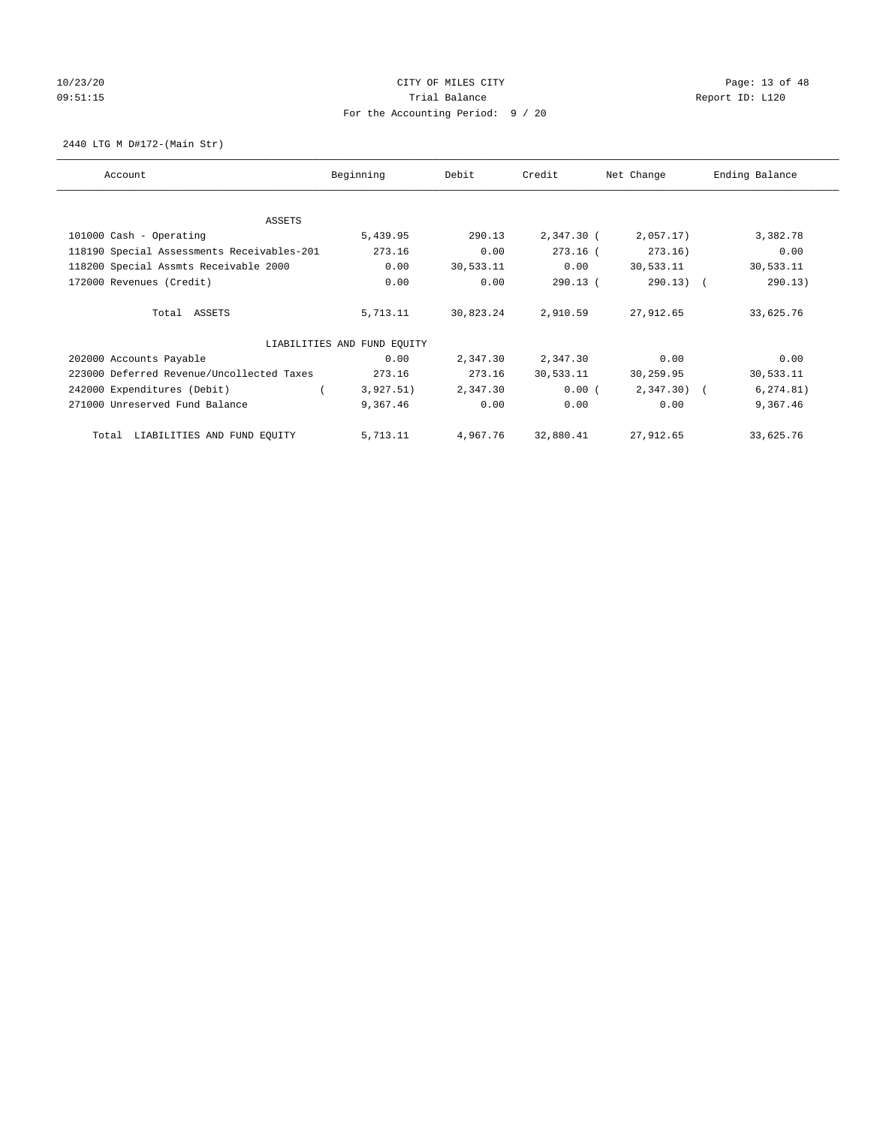# 10/23/20 **CITY OF MILES CITY CITY CITY Page: 13 of 48** 09:51:15 COMPOSITED Report ID: L120 For the Accounting Period: 9 / 20

2440 LTG M D#172-(Main Str)

| Account                                    | Beginning                   | Debit     | Credit     | Net Change | Ending Balance |
|--------------------------------------------|-----------------------------|-----------|------------|------------|----------------|
| ASSETS                                     |                             |           |            |            |                |
| 101000 Cash - Operating                    | 5,439.95                    | 290.13    | 2,347.30 ( | 2,057.17)  | 3,382.78       |
| 118190 Special Assessments Receivables-201 | 273.16                      | 0.00      | $273.16$ ( | 273.16)    | 0.00           |
| 118200 Special Assmts Receivable 2000      | 0.00                        | 30,533.11 | 0.00       | 30,533.11  | 30,533.11      |
| 172000 Revenues (Credit)                   | 0.00                        | 0.00      | 290.13(    | 290.13)    | 290.13)        |
|                                            |                             |           |            |            |                |
| Total ASSETS                               | 5,713.11                    | 30,823.24 | 2,910.59   | 27,912.65  | 33,625.76      |
|                                            | LIABILITIES AND FUND EQUITY |           |            |            |                |
| 202000 Accounts Payable                    | 0.00                        | 2,347.30  | 2,347.30   | 0.00       | 0.00           |
| 223000 Deferred Revenue/Uncollected Taxes  | 273.16                      | 273.16    | 30,533.11  | 30,259.95  | 30,533.11      |
| 242000 Expenditures (Debit)                | 3,927.51)                   | 2,347.30  | 0.00(      | 2,347.30)  | 6, 274.81)     |
| 271000 Unreserved Fund Balance             | 9,367.46                    | 0.00      | 0.00       | 0.00       | 9,367.46       |
|                                            |                             |           |            |            |                |
| LIABILITIES AND FUND EQUITY<br>Total       | 5,713.11                    | 4,967.76  | 32,880.41  | 27,912.65  | 33,625.76      |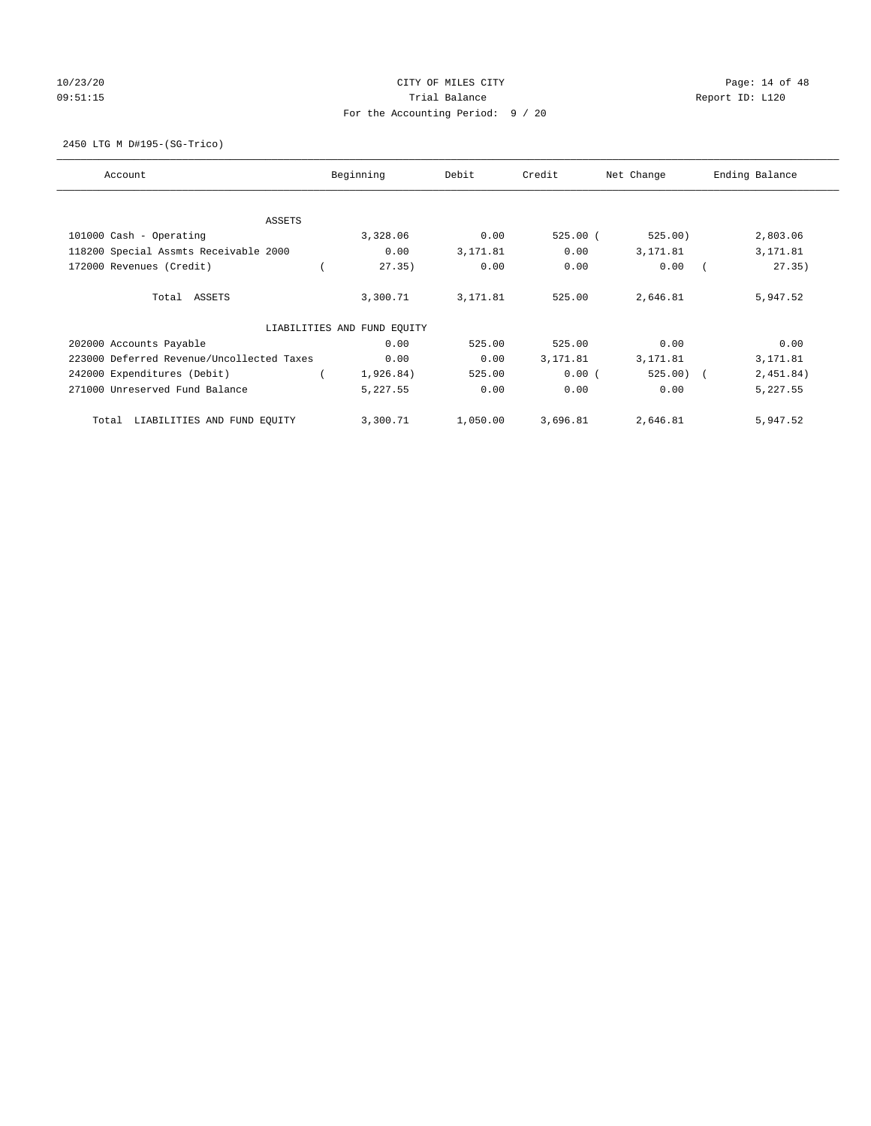# 10/23/20 **CITY OF MILES CITY CITY CITY Page: 14 of 48** 09:51:15 COMPOSERT TRIAL BALANCE COMPOSERT TRIAL BALANCE COMPOSERT TRIAL REPORT ID: L120 For the Accounting Period: 9 / 20

2450 LTG M D#195-(SG-Trico)

| Account                                   | Beginning                   | Debit    | Credit     | Net Change | Ending Balance |
|-------------------------------------------|-----------------------------|----------|------------|------------|----------------|
| ASSETS                                    |                             |          |            |            |                |
| 101000 Cash - Operating                   | 3,328.06                    | 0.00     | $525.00$ ( | 525.00)    | 2,803.06       |
| 118200 Special Assmts Receivable 2000     | 0.00                        | 3,171.81 | 0.00       | 3,171.81   | 3,171.81       |
| 172000 Revenues (Credit)                  | 27.35)                      | 0.00     | 0.00       | 0.00       | 27.35)         |
| Total ASSETS                              | 3,300.71                    | 3,171.81 | 525.00     | 2,646.81   | 5,947.52       |
|                                           | LIABILITIES AND FUND EQUITY |          |            |            |                |
| 202000 Accounts Payable                   | 0.00                        | 525.00   | 525.00     | 0.00       | 0.00           |
| 223000 Deferred Revenue/Uncollected Taxes | 0.00                        | 0.00     | 3,171.81   | 3,171.81   | 3,171.81       |
| 242000 Expenditures (Debit)               | 1,926.84)                   | 525.00   | 0.00(      | $525.00$ ( | 2,451.84)      |
| 271000 Unreserved Fund Balance            | 5,227.55                    | 0.00     | 0.00       | 0.00       | 5,227.55       |
| LIABILITIES AND FUND EQUITY<br>Total      | 3,300.71                    | 1,050.00 | 3,696.81   | 2,646.81   | 5,947.52       |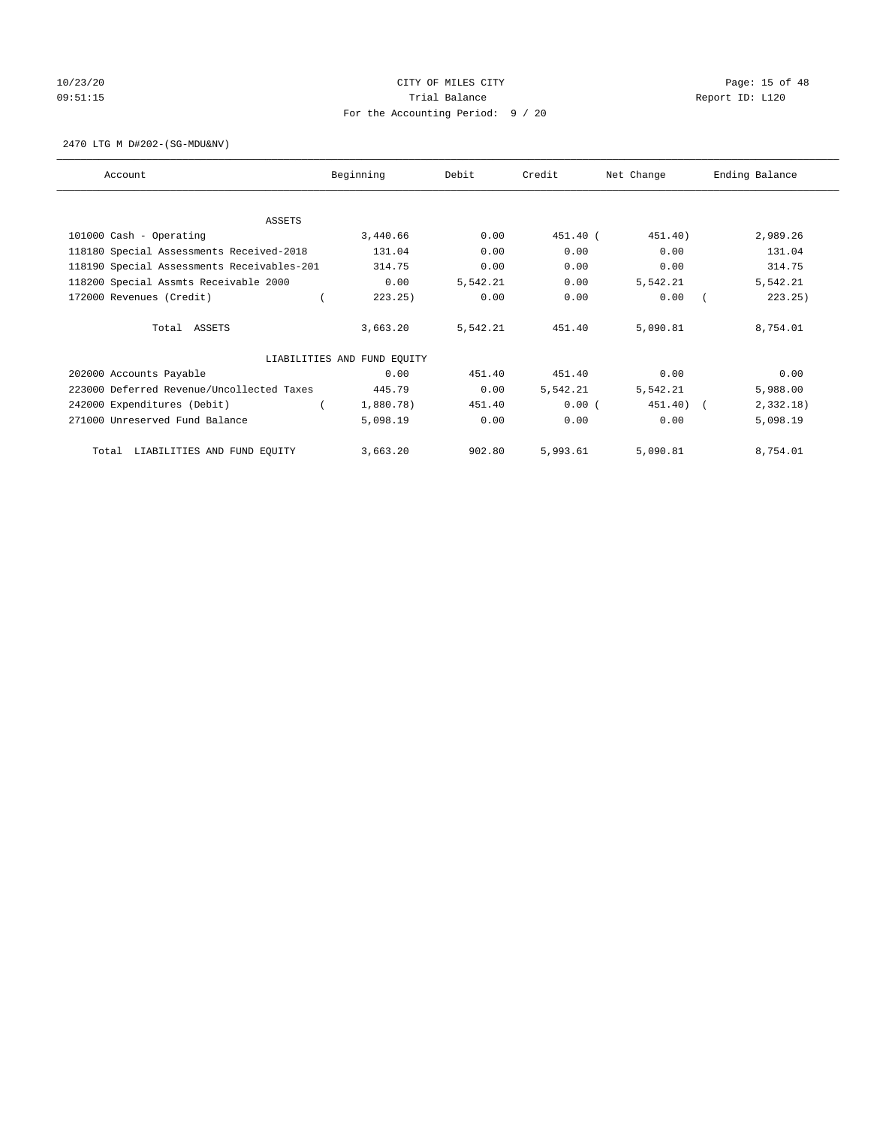# 10/23/20 **CITY OF MILES CITY CITY CITY Page: 15 of 48** 09:51:15 COMPOSERT TRIAL BALANCE COMPOSERT TRIAL BALANCE COMPOSERT TRIAL REPORT ID: L120 For the Accounting Period: 9 / 20

2470 LTG M D#202-(SG-MDU&NV)

| Account                                    | Beginning                   | Debit    | Credit   | Net Change | Ending Balance |
|--------------------------------------------|-----------------------------|----------|----------|------------|----------------|
|                                            |                             |          |          |            |                |
| ASSETS                                     |                             | 0.00     |          |            |                |
| 101000 Cash - Operating                    | 3,440.66                    |          | 451.40 ( | 451.40)    | 2,989.26       |
| 118180 Special Assessments Received-2018   | 131.04                      | 0.00     | 0.00     | 0.00       | 131.04         |
| 118190 Special Assessments Receivables-201 | 314.75                      | 0.00     | 0.00     | 0.00       | 314.75         |
| 118200 Special Assmts Receivable 2000      | 0.00                        | 5,542.21 | 0.00     | 5,542.21   | 5,542.21       |
| 172000 Revenues (Credit)                   | 223.25)                     | 0.00     | 0.00     | 0.00       | 223.25)        |
| Total ASSETS                               | 3,663.20                    | 5,542.21 | 451.40   | 5,090.81   | 8,754.01       |
|                                            | LIABILITIES AND FUND EQUITY |          |          |            |                |
| 202000 Accounts Payable                    | 0.00                        | 451.40   | 451.40   | 0.00       | 0.00           |
| 223000 Deferred Revenue/Uncollected Taxes  | 445.79                      | 0.00     | 5,542.21 | 5,542.21   | 5,988.00       |
| 242000 Expenditures (Debit)                | 1,880.78)                   | 451.40   | 0.00(    | 451.40) (  | 2,332.18)      |
| 271000 Unreserved Fund Balance             | 5,098.19                    | 0.00     | 0.00     | 0.00       | 5,098.19       |
| LIABILITIES AND FUND EQUITY<br>Total       | 3,663.20                    | 902.80   | 5,993.61 | 5,090.81   | 8,754.01       |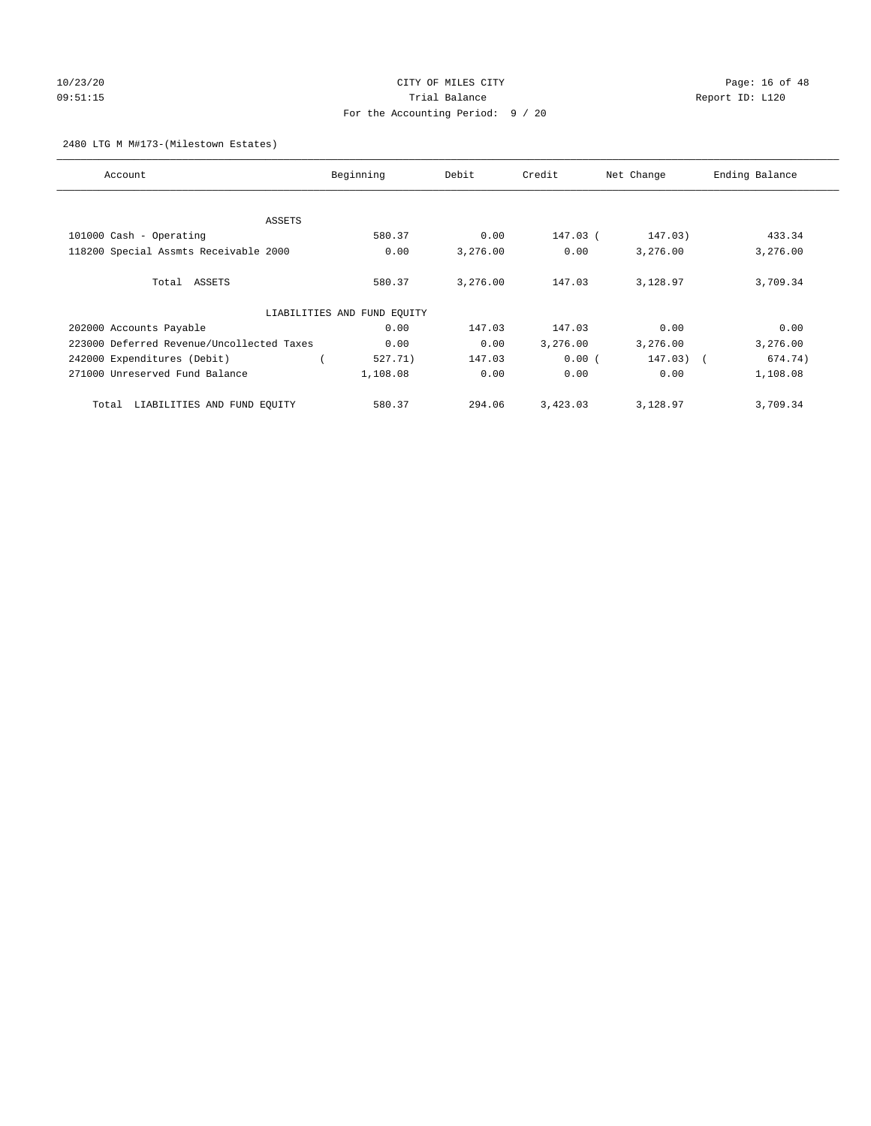# 10/23/20 Page: 16 of 48 09:51:15 Trial Balance Report ID: L120 For the Accounting Period: 9 / 20

2480 LTG M M#173-(Milestown Estates)

| Account                                   | Beginning                   | Debit    | Credit   | Net Change | Ending Balance |
|-------------------------------------------|-----------------------------|----------|----------|------------|----------------|
|                                           |                             |          |          |            |                |
| ASSETS                                    |                             |          |          |            |                |
| 101000 Cash - Operating                   | 580.37                      | 0.00     | 147.03 ( | 147.03)    | 433.34         |
| 118200 Special Assmts Receivable 2000     | 0.00                        | 3,276.00 | 0.00     | 3,276.00   | 3,276.00       |
|                                           |                             |          |          |            |                |
| Total ASSETS                              | 580.37                      | 3,276.00 | 147.03   | 3,128.97   | 3,709.34       |
|                                           |                             |          |          |            |                |
|                                           | LIABILITIES AND FUND EQUITY |          |          |            |                |
| 202000 Accounts Payable                   | 0.00                        | 147.03   | 147.03   | 0.00       | 0.00           |
| 223000 Deferred Revenue/Uncollected Taxes | 0.00                        | 0.00     | 3,276.00 | 3,276.00   | 3,276.00       |
| 242000 Expenditures (Debit)               | 527.71)                     | 147.03   | 0.00(    | 147.03)    | 674.74)        |
| 271000 Unreserved Fund Balance            | 1,108.08                    | 0.00     | 0.00     | 0.00       | 1,108.08       |
|                                           |                             |          |          |            |                |
| LIABILITIES AND FUND EQUITY<br>Total      | 580.37                      | 294.06   | 3,423.03 | 3,128.97   | 3,709.34       |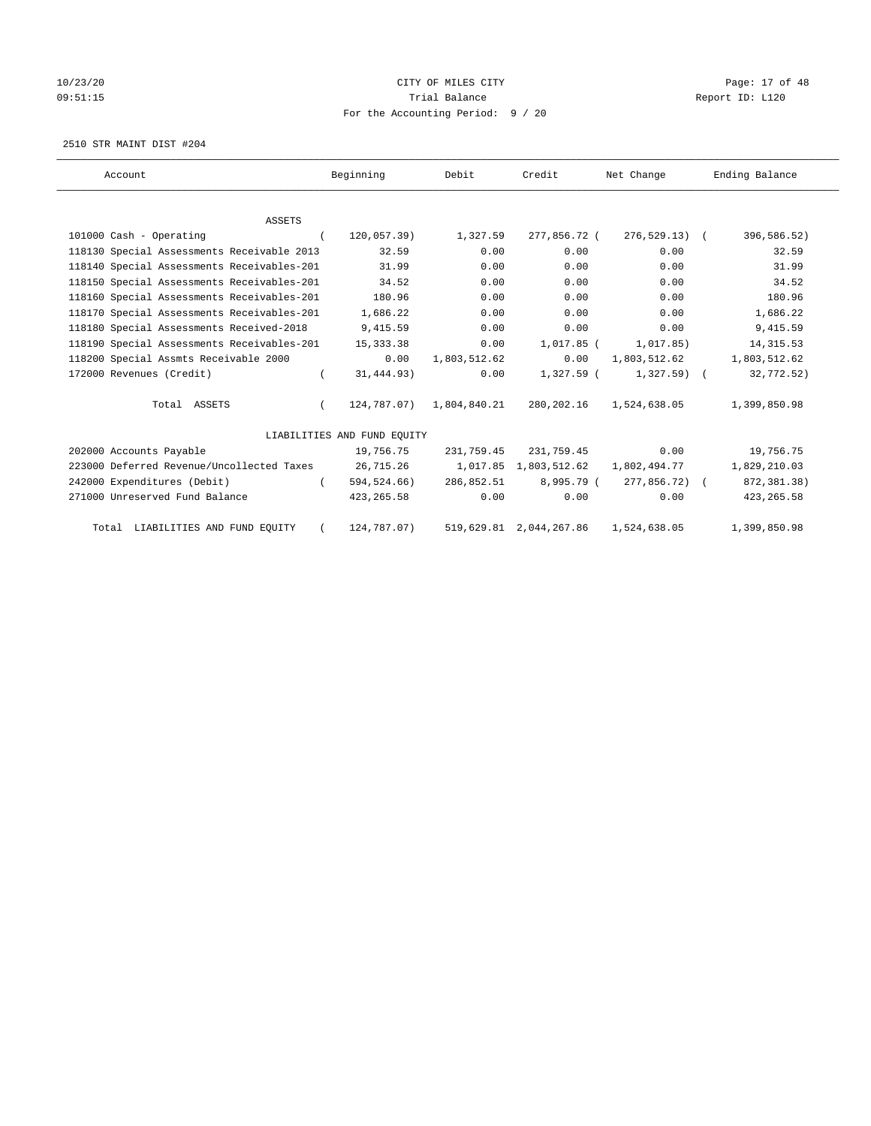# 10/23/20 **CITY OF MILES CITY CITY CITY Page: 17 of 48** 09:51:15 COMPOSERT TRIAL BALANCE COMPOSERT TRIAL BALANCE COMPOSERT TRIAL REPORT ID: L120 For the Accounting Period: 9 / 20

2510 STR MAINT DIST #204

| Account                                    | Beginning                   | Debit                    | Credit                  | Net Change                                            | Ending Balance |
|--------------------------------------------|-----------------------------|--------------------------|-------------------------|-------------------------------------------------------|----------------|
|                                            |                             |                          |                         |                                                       |                |
| ASSETS                                     |                             |                          |                         |                                                       |                |
| 101000 Cash - Operating                    | $120,057.39$ )<br>$\left($  | 1,327.59                 | 277,856.72 (            | 276,529.13) (                                         | 396,586.52)    |
| 118130 Special Assessments Receivable 2013 | 32.59                       | 0.00                     | 0.00                    | 0.00                                                  | 32.59          |
| 118140 Special Assessments Receivables-201 | 31.99                       | 0.00                     | 0.00                    | 0.00                                                  | 31.99          |
| 118150 Special Assessments Receivables-201 | 34.52                       | 0.00                     | 0.00                    | 0.00                                                  | 34.52          |
| 118160 Special Assessments Receivables-201 | 180.96                      | 0.00                     | 0.00                    | 0.00                                                  | 180.96         |
| 118170 Special Assessments Receivables-201 | 1,686.22                    | 0.00                     | 0.00                    | 0.00                                                  | 1,686.22       |
| 118180 Special Assessments Received-2018   | 9,415.59                    | 0.00                     | 0.00                    | 0.00                                                  | 9,415.59       |
| 118190 Special Assessments Receivables-201 | 15,333.38                   | 0.00                     | 1,017.85 (              | 1,017.85)                                             | 14, 315.53     |
| 118200 Special Assmts Receivable 2000      | 0.00                        | 1,803,512.62             | 0.00                    | 1,803,512.62                                          | 1,803,512.62   |
| 172000 Revenues (Credit)                   | 31,444.93)                  | 0.00                     | 1,327.59 (              | $1,327.59$ (                                          | 32,772.52)     |
| Total ASSETS                               |                             | 124,787.07) 1,804,840.21 |                         | 280, 202.16 1, 524, 638.05                            | 1,399,850.98   |
|                                            | LIABILITIES AND FUND EQUITY |                          |                         |                                                       |                |
| 202000 Accounts Payable                    | 19,756.75                   |                          | 231,759.45 231,759.45   | 0.00                                                  | 19,756.75      |
| 223000 Deferred Revenue/Uncollected Taxes  |                             |                          |                         | 26,715.26    1,017.85    1,803,512.62    1,802,494.77 | 1,829,210.03   |
| 242000 Expenditures (Debit)                | 594,524.66)<br>$\sqrt{2}$   |                          | 286,852.51 8,995.79 (   | 277,856.72) (                                         | 872,381.38)    |
| 271000 Unreserved Fund Balance             | 423, 265.58                 | 0.00                     | 0.00                    | 0.00                                                  | 423, 265.58    |
| Total LIABILITIES AND FUND EQUITY          | 124,787.07)                 |                          | 519,629.81 2,044,267.86 | 1,524,638.05                                          | 1,399,850.98   |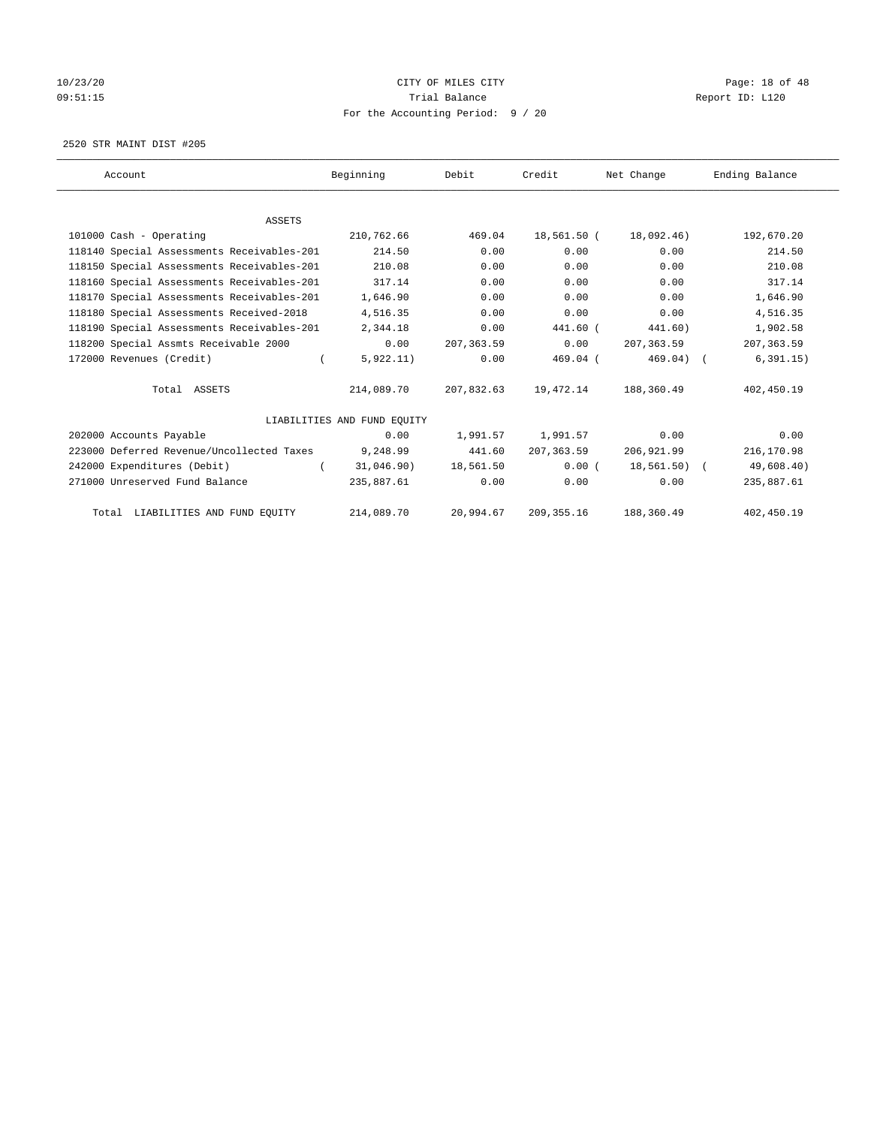# 10/23/20 Page: 18 of 48 09:51:15 COMPOSERT TRIAL BALANCE COMPOSERT TRIAL BALANCE COMPOSERT TRIAL REPORT ID: L120 For the Accounting Period: 9 / 20

2520 STR MAINT DIST #205

| Account                                    | Beginning                   | Debit       | Credit      | Net Change   | Ending Balance |
|--------------------------------------------|-----------------------------|-------------|-------------|--------------|----------------|
|                                            |                             |             |             |              |                |
| <b>ASSETS</b>                              |                             |             |             |              |                |
| 101000 Cash - Operating                    | 210,762.66                  | 469.04      | 18,561.50 ( | 18,092.46)   | 192,670.20     |
| 118140 Special Assessments Receivables-201 | 214.50                      | 0.00        | 0.00        | 0.00         | 214.50         |
| 118150 Special Assessments Receivables-201 | 210.08                      | 0.00        | 0.00        | 0.00         | 210.08         |
| 118160 Special Assessments Receivables-201 | 317.14                      | 0.00        | 0.00        | 0.00         | 317.14         |
| 118170 Special Assessments Receivables-201 | 1,646.90                    | 0.00        | 0.00        | 0.00         | 1,646.90       |
| 118180 Special Assessments Received-2018   | 4,516.35                    | 0.00        | 0.00        | 0.00         | 4,516.35       |
| 118190 Special Assessments Receivables-201 | 2,344.18                    | 0.00        | 441.60 (    | 441.60)      | 1,902.58       |
| 118200 Special Assmts Receivable 2000      | 0.00                        | 207, 363.59 | 0.00        | 207, 363, 59 | 207, 363.59    |
| 172000 Revenues (Credit)                   | 5,922.11)                   | 0.00        | $469.04$ (  | $469.04)$ (  | 6, 391.15)     |
| Total ASSETS                               | 214,089.70                  | 207,832.63  | 19,472.14   | 188,360.49   | 402,450.19     |
|                                            | LIABILITIES AND FUND EOUITY |             |             |              |                |
| 202000 Accounts Payable                    | 0.00                        | 1,991.57    | 1,991.57    | 0.00         | 0.00           |
| 223000 Deferred Revenue/Uncollected Taxes  | 9,248.99                    | 441.60      | 207, 363.59 | 206,921.99   | 216,170.98     |
| 242000 Expenditures (Debit)                | 31,046.90)                  | 18,561.50   | 0.00(       | 18,561.50) ( | 49,608.40)     |
| 271000 Unreserved Fund Balance             | 235,887.61                  | 0.00        | 0.00        | 0.00         | 235,887.61     |
| Total LIABILITIES AND FUND EQUITY          | 214,089.70                  | 20,994.67   | 209, 355.16 | 188,360.49   | 402,450.19     |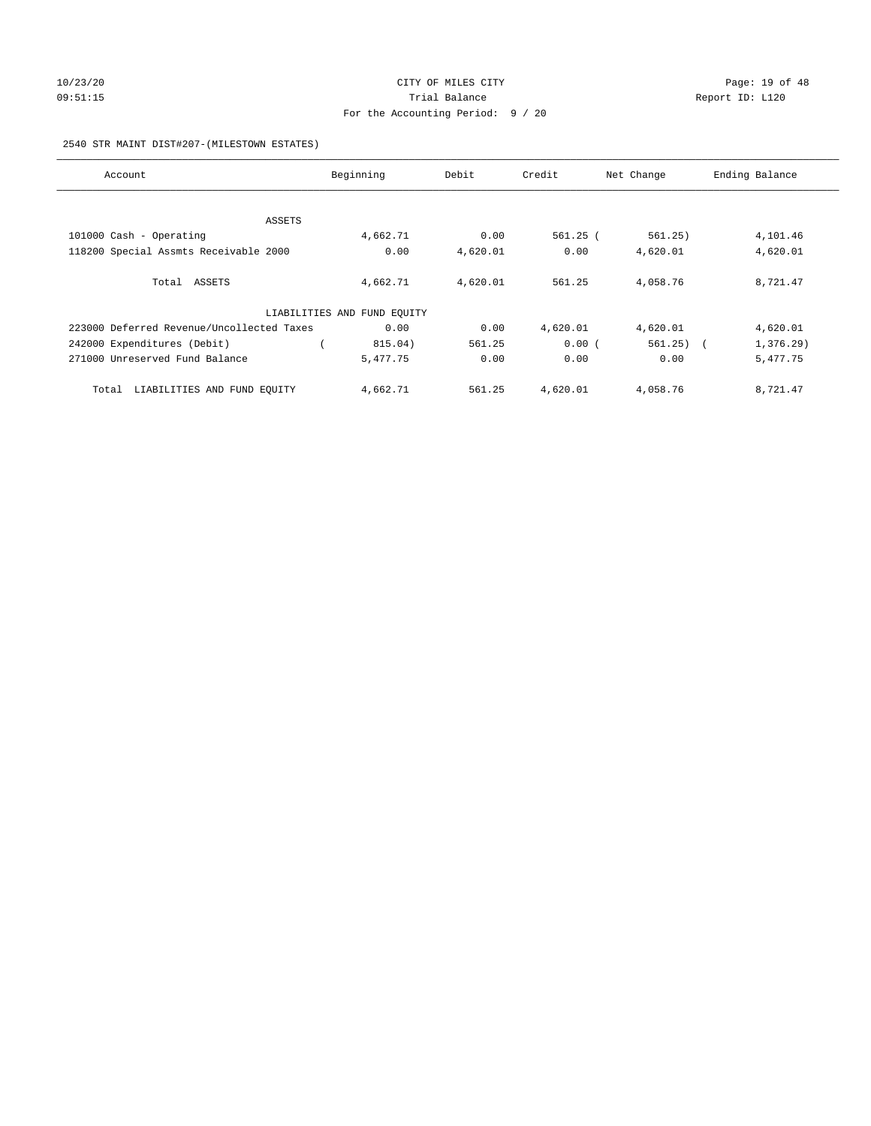# 10/23/20 Page: 19 of 48 09:51:15 **Trial Balance Constanting Trial Balance Report ID:** L120 For the Accounting Period: 9 / 20

#### 2540 STR MAINT DIST#207-(MILESTOWN ESTATES)

| Account                                   | Beginning                   | Debit    | Credit     | Net Change            | Ending Balance |
|-------------------------------------------|-----------------------------|----------|------------|-----------------------|----------------|
|                                           |                             |          |            |                       |                |
| ASSETS                                    |                             |          |            |                       |                |
| 101000 Cash - Operating                   | 4,662.71                    | 0.00     | $561.25$ ( | 561.25)               | 4,101.46       |
| 118200 Special Assmts Receivable 2000     | 0.00                        | 4,620.01 | 0.00       | 4,620.01              | 4,620.01       |
| Total ASSETS                              | 4,662.71                    | 4,620.01 | 561.25     | 4,058.76              | 8,721.47       |
|                                           | LIABILITIES AND FUND EQUITY |          |            |                       |                |
| 223000 Deferred Revenue/Uncollected Taxes | 0.00                        | 0.00     | 4,620.01   | 4,620.01              | 4,620.01       |
| 242000 Expenditures (Debit)               | 815.04)                     | 561.25   | 0.00(      | 561.25)<br>$\sqrt{2}$ | $1,376.29$ )   |
| 271000 Unreserved Fund Balance            | 5,477.75                    | 0.00     | 0.00       | 0.00                  | 5,477.75       |
| LIABILITIES AND FUND EQUITY<br>Total      | 4,662.71                    | 561.25   | 4,620.01   | 4,058.76              | 8,721.47       |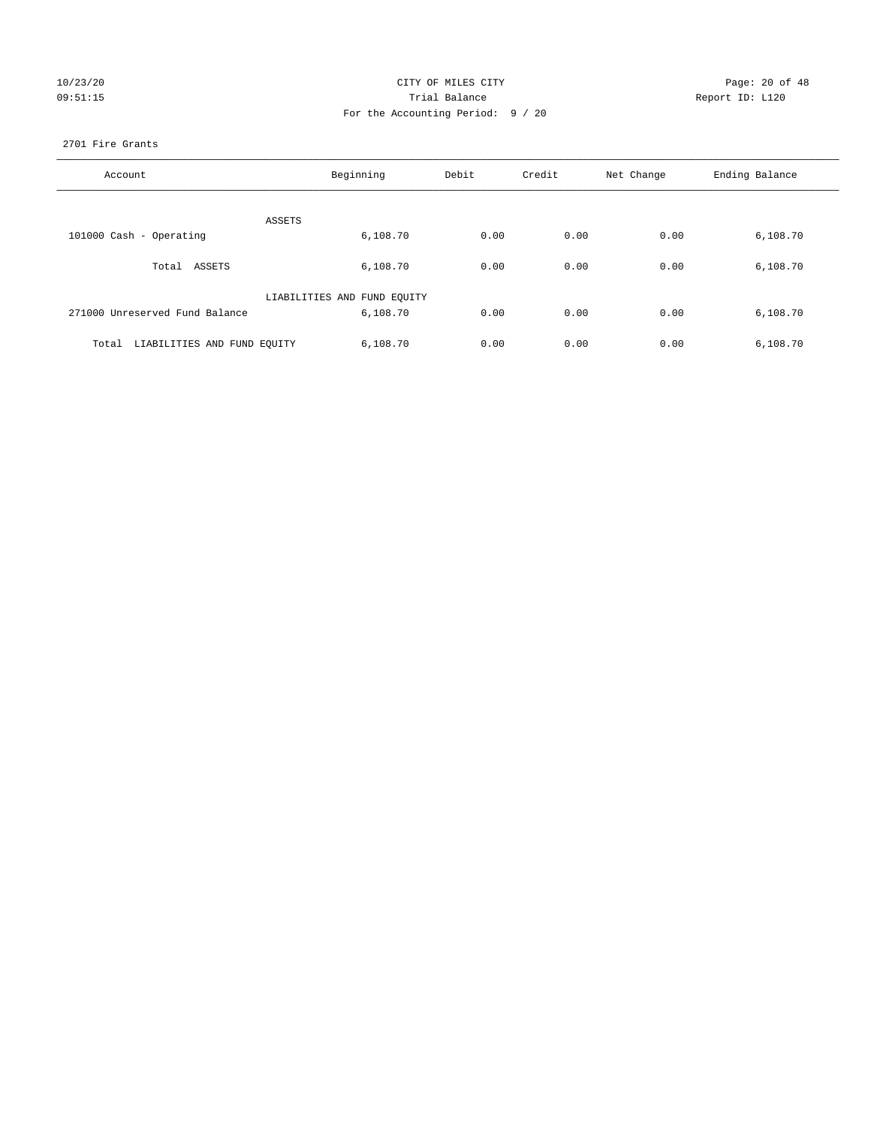| 10/23/20 |  |  |
|----------|--|--|
| 09:51:15 |  |  |

# CITY OF MILES CITY CONTROL CONTROL CITY CONTROL Page: 20 of 48 Prial Balance **Report ID:** L120 For the Accounting Period: 9 / 20

#### 2701 Fire Grants

| Account                              | Beginning                   | Debit | Credit | Net Change | Ending Balance |
|--------------------------------------|-----------------------------|-------|--------|------------|----------------|
| ASSETS                               |                             |       |        |            |                |
| 101000 Cash - Operating              | 6,108.70                    | 0.00  | 0.00   | 0.00       | 6,108.70       |
| Total ASSETS                         | 6,108.70                    | 0.00  | 0.00   | 0.00       | 6,108.70       |
|                                      | LIABILITIES AND FUND EQUITY |       |        |            |                |
| 271000 Unreserved Fund Balance       | 6,108.70                    | 0.00  | 0.00   | 0.00       | 6,108.70       |
| LIABILITIES AND FUND EQUITY<br>Total | 6,108.70                    | 0.00  | 0.00   | 0.00       | 6,108.70       |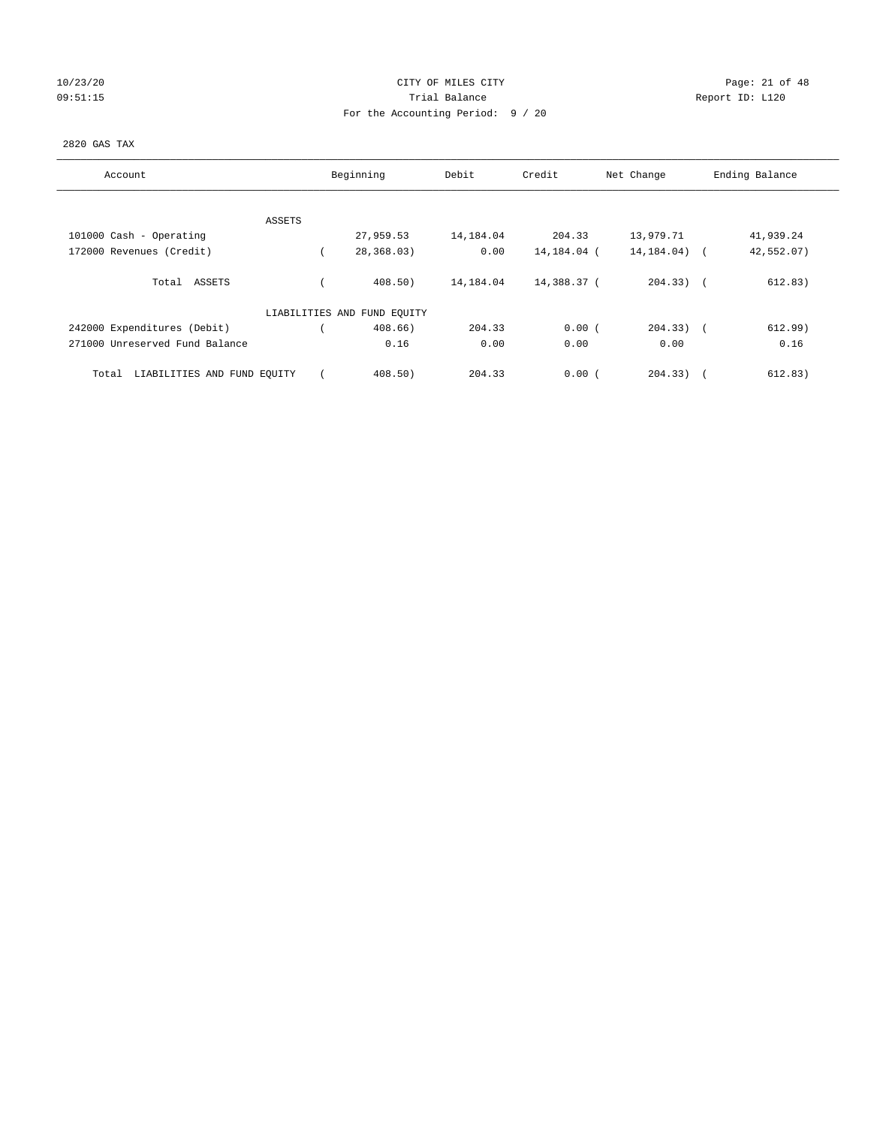# 10/23/20 Page: 21 of 48 09:51:15 COMPOSERT TRIAL BALANCE COMPOSERT TRIAL BALANCE COMPOSERT TRIAL REPORT ID: L120 For the Accounting Period: 9 / 20

#### 2820 GAS TAX

| Account                              | Beginning                   | Debit     | Credit      | Net Change     | Ending Balance |
|--------------------------------------|-----------------------------|-----------|-------------|----------------|----------------|
| ASSETS                               |                             |           |             |                |                |
| 101000 Cash - Operating              | 27,959.53                   | 14,184.04 | 204.33      | 13,979.71      | 41,939.24      |
| 172000 Revenues (Credit)             | 28,368.03)                  | 0.00      | 14,184.04 ( | 14, 184.04)    | 42,552.07)     |
| Total ASSETS                         | 408.50)                     | 14,184.04 | 14,388.37 ( | $204.33)$ (    | 612.83)        |
|                                      | LIABILITIES AND FUND EQUITY |           |             |                |                |
| 242000 Expenditures (Debit)          | $408.66$ )                  | 204.33    | 0.00(       | $204.33$ ) $($ | 612.99)        |
| 271000 Unreserved Fund Balance       | 0.16                        | 0.00      | 0.00        | 0.00           | 0.16           |
| LIABILITIES AND FUND EOUITY<br>Total | 408.50                      | 204.33    | 0.00(       | 204.33)        | 612.83)        |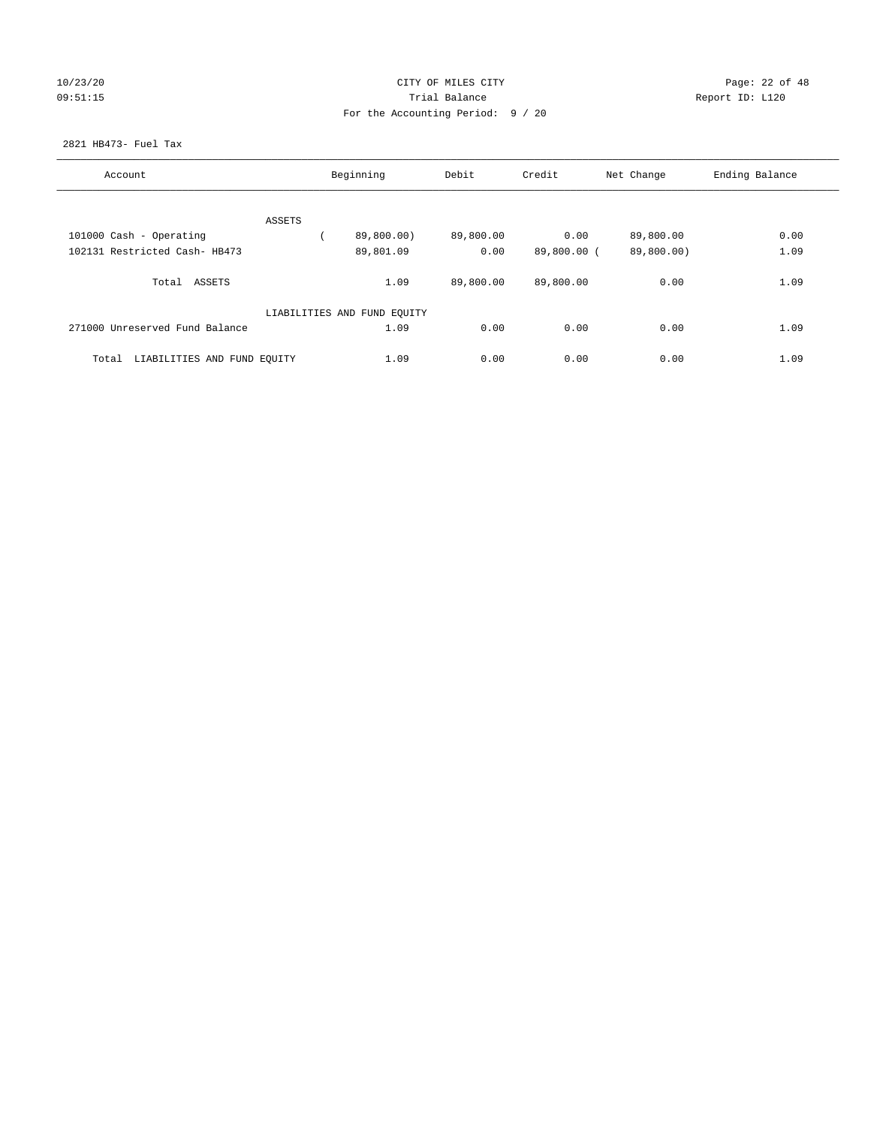# 10/23/20 Page: 22 of 48 09:51:15 **Trial Balance Constanting Trial Balance Report ID:** L120 For the Accounting Period: 9 / 20

#### 2821 HB473- Fuel Tax

| Account                              |        | Beginning                   | Debit     | Credit      | Net Change | Ending Balance |
|--------------------------------------|--------|-----------------------------|-----------|-------------|------------|----------------|
|                                      |        |                             |           |             |            |                |
|                                      | ASSETS |                             |           |             |            |                |
| 101000 Cash - Operating              |        | 89,800.00)                  | 89,800.00 | 0.00        | 89,800.00  | 0.00           |
| 102131 Restricted Cash- HB473        |        | 89,801.09                   | 0.00      | 89,800.00 ( | 89,800.00) | 1.09           |
| Total ASSETS                         |        | 1.09                        | 89,800.00 | 89,800.00   | 0.00       | 1.09           |
|                                      |        | LIABILITIES AND FUND EQUITY |           |             |            |                |
| 271000 Unreserved Fund Balance       |        | 1.09                        | 0.00      | 0.00        | 0.00       | 1.09           |
| LIABILITIES AND FUND EQUITY<br>Total |        | 1.09                        | 0.00      | 0.00        | 0.00       | 1.09           |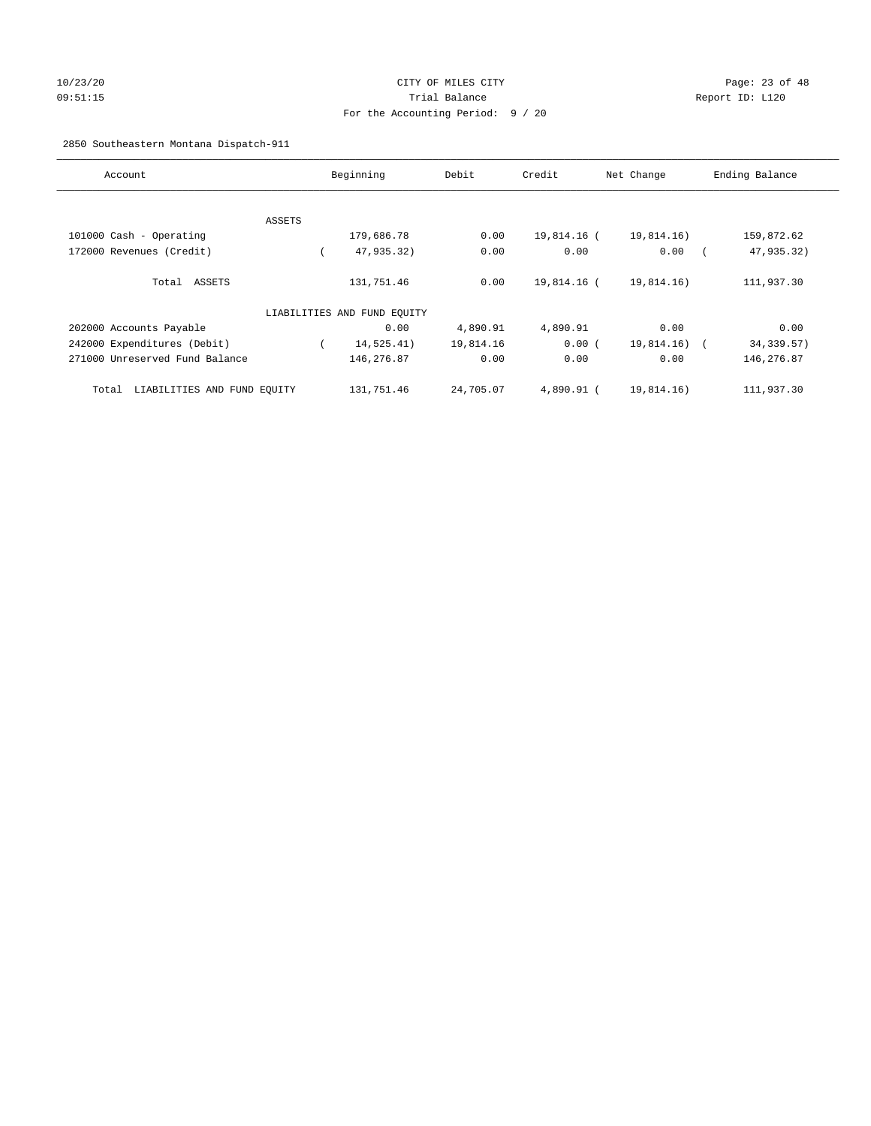# 10/23/20 Page: 23 of 48 09:51:15 Trial Balance Report ID: L120 For the Accounting Period: 9 / 20

2850 Southeastern Montana Dispatch-911

| Account                              |        | Beginning                   | Debit     | Credit      | Net Change | Ending Balance            |
|--------------------------------------|--------|-----------------------------|-----------|-------------|------------|---------------------------|
|                                      |        |                             |           |             |            |                           |
|                                      | ASSETS |                             |           |             |            |                           |
| 101000 Cash - Operating              |        | 179,686.78                  | 0.00      | 19,814.16 ( | 19,814.16) | 159,872.62                |
| 172000 Revenues (Credit)             |        | 47,935.32)                  | 0.00      | 0.00        | 0.00       | 47,935.32)                |
| Total ASSETS                         |        | 131,751.46                  | 0.00      | 19,814.16 ( | 19,814.16) | 111,937.30                |
|                                      |        | LIABILITIES AND FUND EQUITY |           |             |            |                           |
| 202000 Accounts Payable              |        | 0.00                        | 4,890.91  | 4,890.91    | 0.00       | 0.00                      |
| 242000 Expenditures (Debit)          |        | 14,525.41)                  | 19,814.16 | 0.00(       | 19,814.16) | 34, 339.57)<br>$\sqrt{2}$ |
| 271000 Unreserved Fund Balance       |        | 146,276.87                  | 0.00      | 0.00        | 0.00       | 146,276.87                |
| LIABILITIES AND FUND EQUITY<br>Total |        | 131,751.46                  | 24,705.07 | 4,890.91 (  | 19,814.16) | 111,937.30                |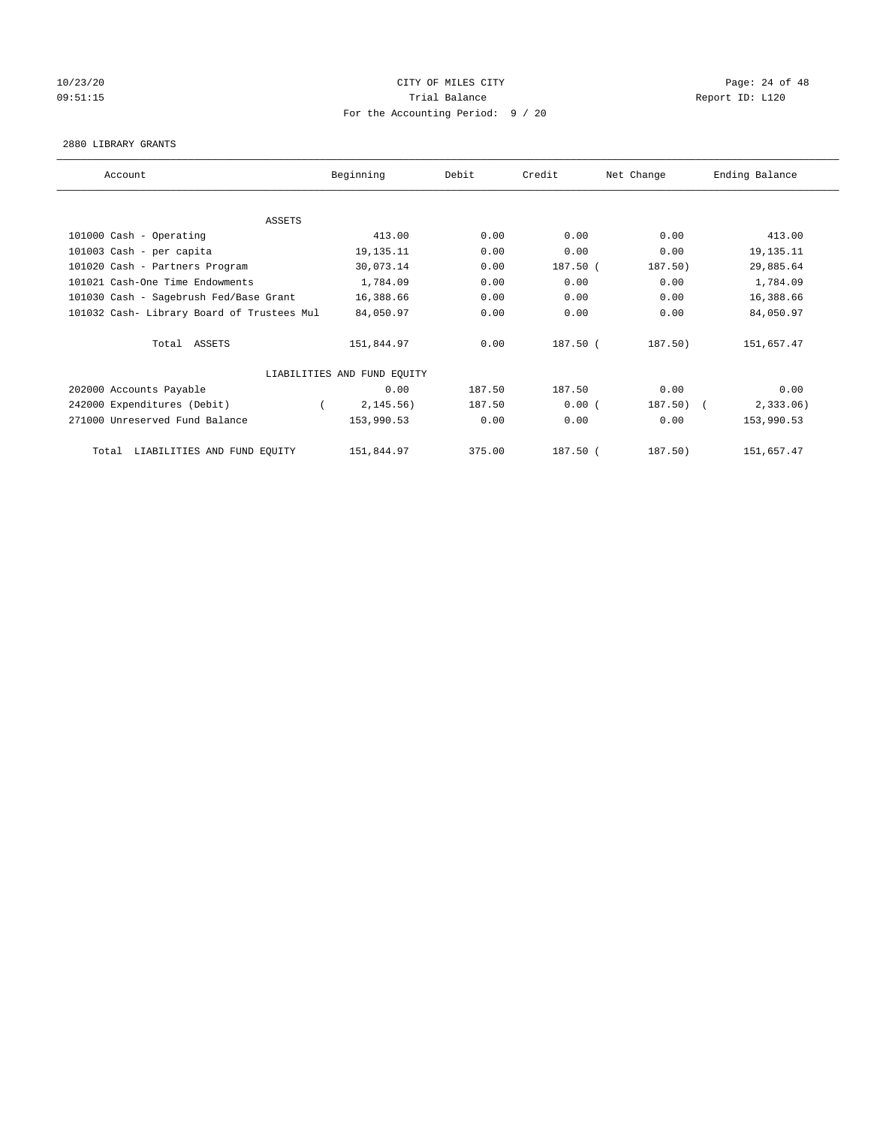# 10/23/20 Page: 24 of 48 09:51:15 COMPOSERT TRIAL BALANCE Report ID: L120 For the Accounting Period: 9 / 20

#### 2880 LIBRARY GRANTS

| Account                                    | Beginning                   | Debit  | Credit     | Net Change | Ending Balance |
|--------------------------------------------|-----------------------------|--------|------------|------------|----------------|
|                                            |                             |        |            |            |                |
| ASSETS                                     |                             |        |            |            |                |
| 101000 Cash - Operating                    | 413.00                      | 0.00   | 0.00       | 0.00       | 413.00         |
| 101003 Cash - per capita                   | 19, 135. 11                 | 0.00   | 0.00       | 0.00       | 19, 135. 11    |
| 101020 Cash - Partners Program             | 30,073.14                   | 0.00   | $187.50$ ( | 187.50)    | 29,885.64      |
| 101021 Cash-One Time Endowments            | 1,784.09                    | 0.00   | 0.00       | 0.00       | 1,784.09       |
| 101030 Cash - Sagebrush Fed/Base Grant     | 16,388.66                   | 0.00   | 0.00       | 0.00       | 16,388.66      |
| 101032 Cash- Library Board of Trustees Mul | 84,050.97                   | 0.00   | 0.00       | 0.00       | 84,050.97      |
| Total ASSETS                               | 151,844.97                  | 0.00   | 187.50 (   | 187.50)    | 151,657.47     |
|                                            | LIABILITIES AND FUND EQUITY |        |            |            |                |
| 202000 Accounts Payable                    | 0.00                        | 187.50 | 187.50     | 0.00       | 0.00           |
| 242000 Expenditures (Debit)                | 2, 145.56)                  | 187.50 | 0.00(      | 187.50)    | 2,333.06       |
| 271000 Unreserved Fund Balance             | 153,990.53                  | 0.00   | 0.00       | 0.00       | 153,990.53     |
| LIABILITIES AND FUND EQUITY<br>Total       | 151,844.97                  | 375.00 | 187.50 (   | 187.50)    | 151,657.47     |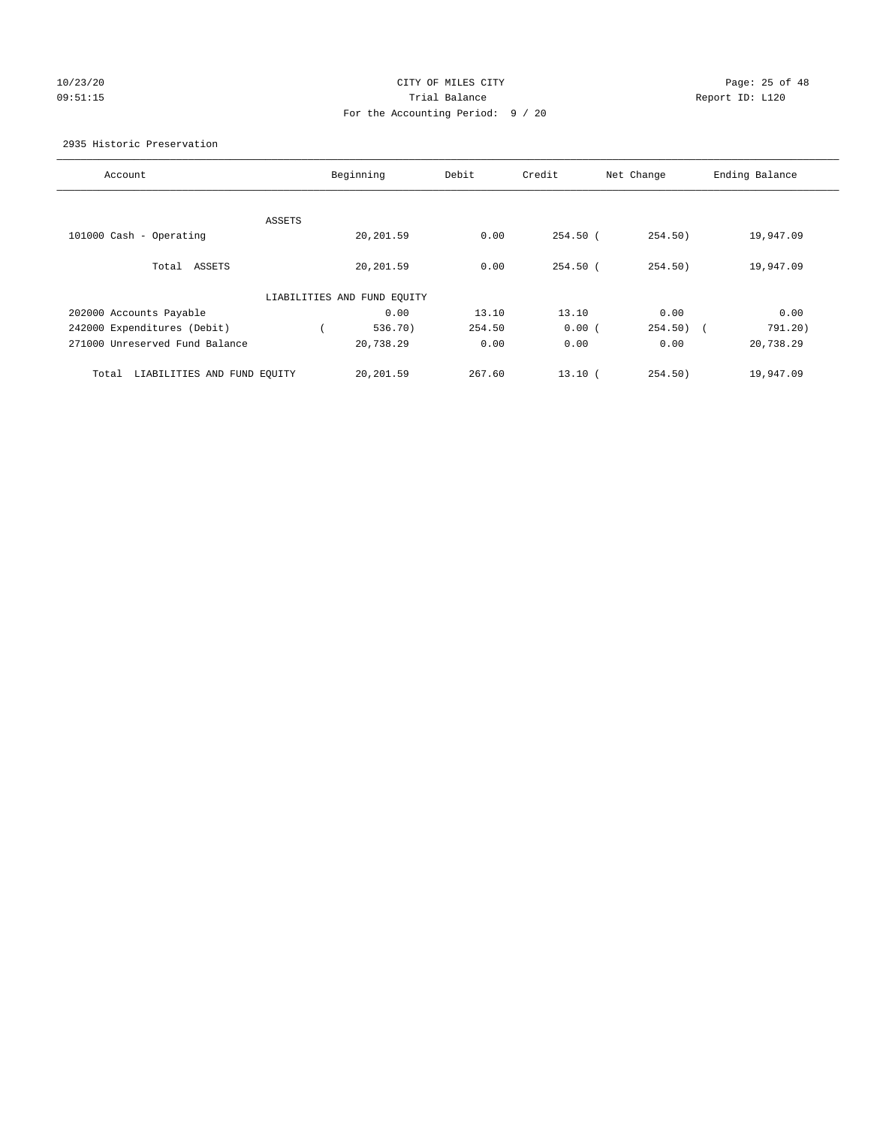# 10/23/20 Page: 25 of 48 09:51:15 **Trial Balance Constanting Trial Balance Report ID:** L120 For the Accounting Period: 9 / 20

#### 2935 Historic Preservation

| Account                              | Beginning                   | Debit  | Credit     | Net Change | Ending Balance |
|--------------------------------------|-----------------------------|--------|------------|------------|----------------|
|                                      |                             |        |            |            |                |
| ASSETS<br>101000 Cash - Operating    | 20,201.59                   | 0.00   | $254.50$ ( | 254.50)    | 19,947.09      |
| Total<br>ASSETS                      | 20,201.59                   | 0.00   | $254.50$ ( | 254.50)    | 19,947.09      |
|                                      |                             |        |            |            |                |
|                                      | LIABILITIES AND FUND EQUITY |        |            |            |                |
| 202000 Accounts Payable              | 0.00                        | 13.10  | 13.10      | 0.00       | 0.00           |
| 242000 Expenditures (Debit)          | 536.70                      | 254.50 | 0.00(      | $254.50$ ( | 791.20)        |
| 271000 Unreserved Fund Balance       | 20,738.29                   | 0.00   | 0.00       | 0.00       | 20,738.29      |
| LIABILITIES AND FUND EOUITY<br>Total | 20,201.59                   | 267.60 | 13.10(     | 254.50)    | 19,947.09      |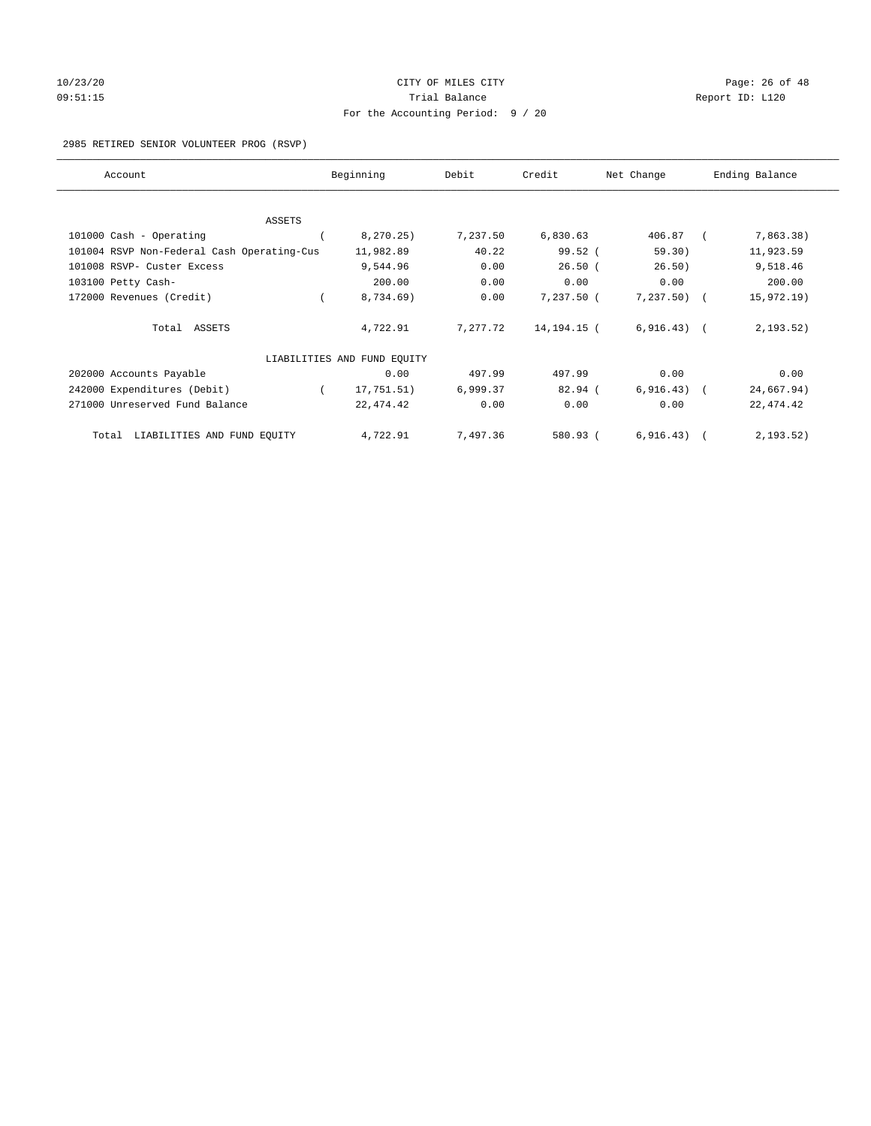# 10/23/20 Page: 26 of 48 09:51:15 COMPOSERT TRIAL BALANCE Report ID: L120 For the Accounting Period: 9 / 20

#### 2985 RETIRED SENIOR VOLUNTEER PROG (RSVP)

| Account                                    | Beginning                   | Debit    | Credit      | Net Change   | Ending Balance |
|--------------------------------------------|-----------------------------|----------|-------------|--------------|----------------|
|                                            |                             |          |             |              |                |
| ASSETS                                     |                             |          |             |              |                |
| 101000 Cash - Operating                    | 8, 270.25)                  | 7,237.50 | 6,830.63    | 406.87       | 7,863.38)      |
| 101004 RSVP Non-Federal Cash Operating-Cus | 11,982.89                   | 40.22    | $99.52$ (   | 59.30)       | 11,923.59      |
| 101008 RSVP- Custer Excess                 | 9,544.96                    | 0.00     | $26.50$ (   | 26.50)       | 9,518.46       |
| 103100 Petty Cash-                         | 200.00                      | 0.00     | 0.00        | 0.00         | 200.00         |
| 172000 Revenues (Credit)                   | 8,734.69)                   | 0.00     | 7,237.50 (  | $7,237.50$ ( | 15,972.19)     |
| Total ASSETS                               | 4,722.91                    | 7,277.72 | 14,194.15 ( | $6,916.43$ ( | 2, 193.52)     |
|                                            | LIABILITIES AND FUND EQUITY |          |             |              |                |
| 202000 Accounts Payable                    | 0.00                        | 497.99   | 497.99      | 0.00         | 0.00           |
| 242000 Expenditures (Debit)                | 17,751.51)                  | 6,999.37 | $82.94$ (   | $6,916.43$ ( | 24,667.94)     |
| 271000 Unreserved Fund Balance             | 22,474.42                   | 0.00     | 0.00        | 0.00         | 22, 474.42     |
| Total LIABILITIES AND FUND EQUITY          | 4,722.91                    | 7,497.36 | 580.93 (    | 6, 916.43)   | 2, 193.52)     |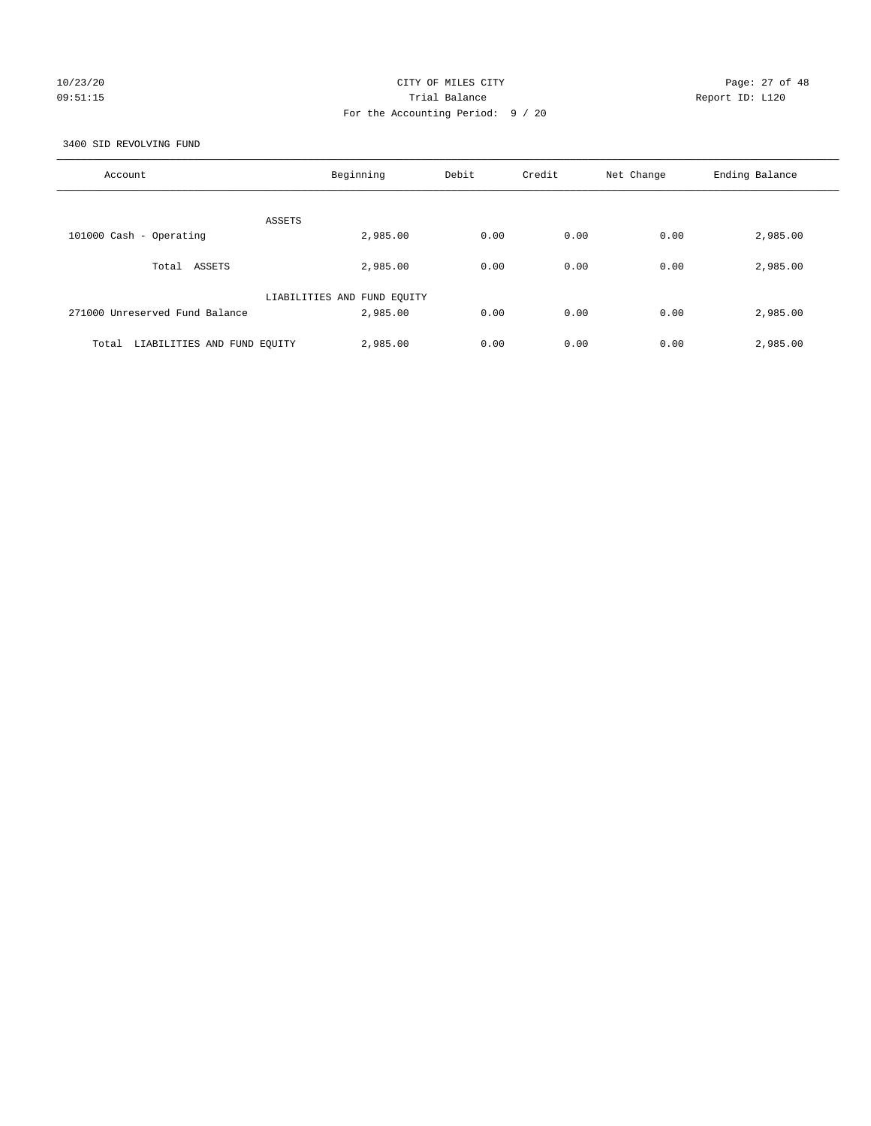# 10/23/20 Page: 27 of 48 09:51:15 **Trial Balance Constanting Trial Balance Report ID:** L120 For the Accounting Period: 9 / 20

3400 SID REVOLVING FUND

| Account                              | Beginning                               | Debit | Credit | Net Change | Ending Balance |
|--------------------------------------|-----------------------------------------|-------|--------|------------|----------------|
| ASSETS                               |                                         |       |        |            |                |
| 101000 Cash - Operating              | 2,985.00                                | 0.00  | 0.00   | 0.00       | 2,985.00       |
| Total ASSETS                         | 2,985.00                                | 0.00  | 0.00   | 0.00       | 2,985.00       |
| 271000 Unreserved Fund Balance       | LIABILITIES AND FUND EQUITY<br>2,985.00 | 0.00  | 0.00   | 0.00       | 2,985.00       |
| LIABILITIES AND FUND EQUITY<br>Total | 2,985.00                                | 0.00  | 0.00   | 0.00       | 2,985.00       |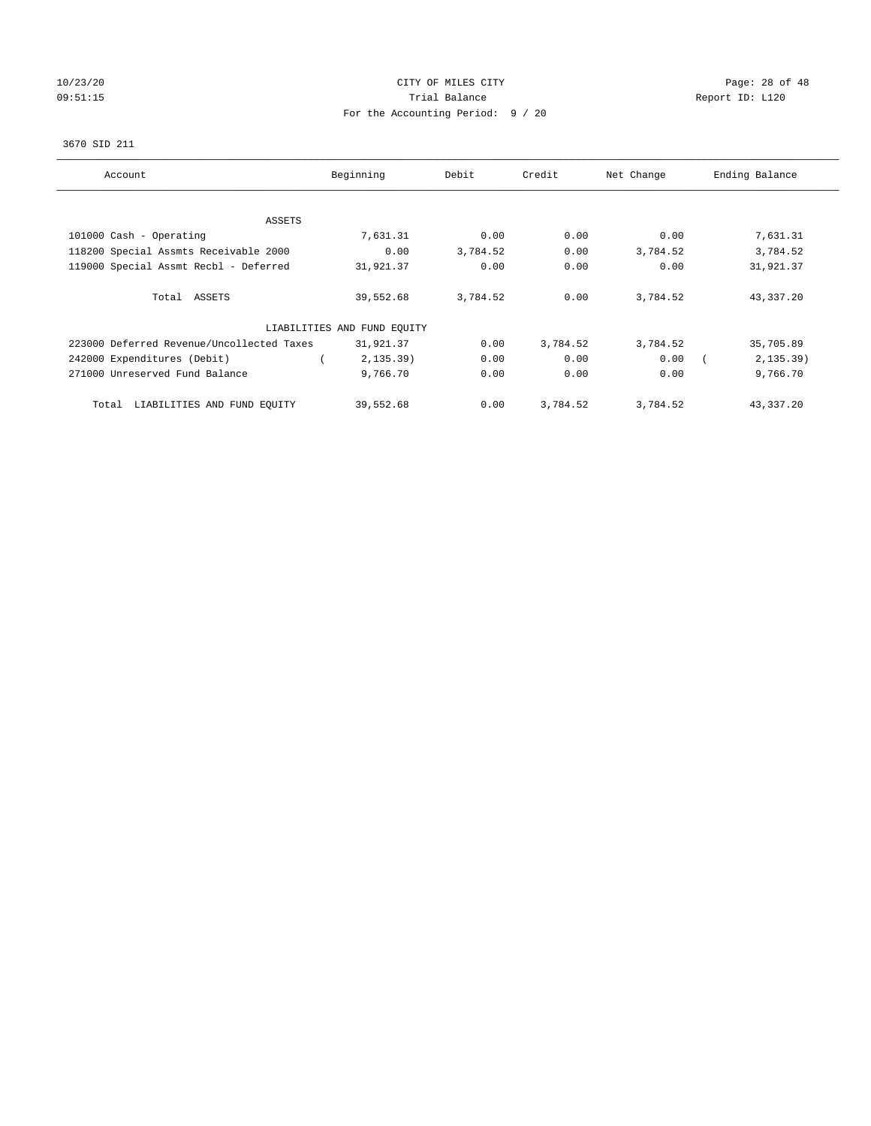# 10/23/20 Page: 28 of 48 09:51:15 COMPOSERT TRIAL BALANCE COMPOSERT TRIAL BALANCE COMPOSERT TRIAL REPORT ID: L120 For the Accounting Period: 9 / 20

#### 3670 SID 211

| Account                                   | Beginning                   | Debit    | Credit   | Net Change | Ending Balance |
|-------------------------------------------|-----------------------------|----------|----------|------------|----------------|
|                                           |                             |          |          |            |                |
| ASSETS                                    |                             |          |          |            |                |
| 101000 Cash - Operating                   | 7,631.31                    | 0.00     | 0.00     | 0.00       | 7,631.31       |
| 118200 Special Assmts Receivable 2000     | 0.00                        | 3,784.52 | 0.00     | 3,784.52   | 3,784.52       |
| 119000 Special Assmt Recbl - Deferred     | 31,921.37                   | 0.00     | 0.00     | 0.00       | 31,921.37      |
| Total ASSETS                              | 39,552.68                   | 3,784.52 | 0.00     | 3,784.52   | 43,337.20      |
|                                           | LIABILITIES AND FUND EQUITY |          |          |            |                |
| 223000 Deferred Revenue/Uncollected Taxes | 31,921.37                   | 0.00     | 3,784.52 | 3,784.52   | 35,705.89      |
| 242000 Expenditures (Debit)               | 2, 135.39)                  | 0.00     | 0.00     | 0.00       | 2, 135.39)     |
| 271000 Unreserved Fund Balance            | 9,766.70                    | 0.00     | 0.00     | 0.00       | 9,766.70       |
| LIABILITIES AND FUND EQUITY<br>Total      | 39,552.68                   | 0.00     | 3,784.52 | 3,784.52   | 43,337.20      |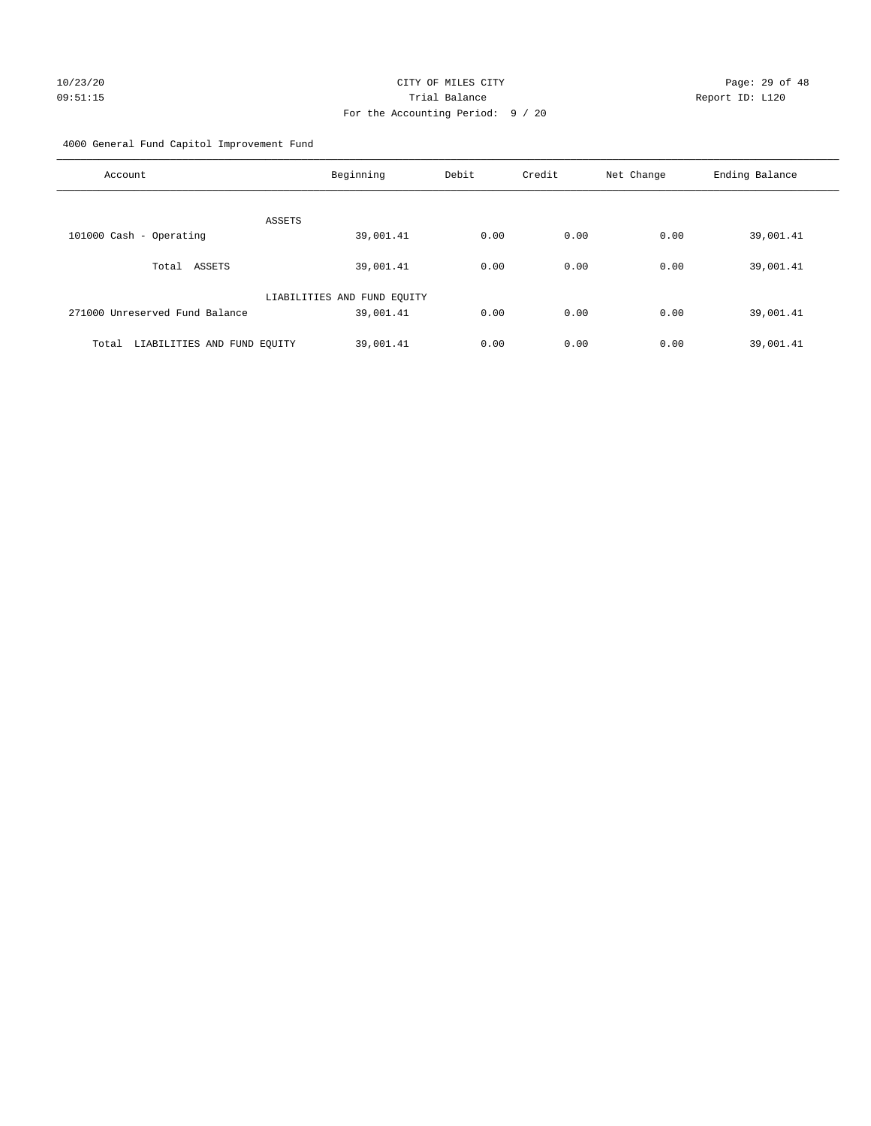4000 General Fund Capitol Improvement Fund

| Account                              | Beginning                   | Debit | Credit | Net Change | Ending Balance |
|--------------------------------------|-----------------------------|-------|--------|------------|----------------|
| ASSETS                               |                             |       |        |            |                |
| 101000 Cash - Operating              | 39,001.41                   | 0.00  | 0.00   | 0.00       | 39,001.41      |
| Total ASSETS                         | 39,001.41                   | 0.00  | 0.00   | 0.00       | 39,001.41      |
|                                      | LIABILITIES AND FUND EQUITY |       |        |            |                |
| 271000 Unreserved Fund Balance       | 39,001.41                   | 0.00  | 0.00   | 0.00       | 39,001.41      |
| LIABILITIES AND FUND EQUITY<br>Total | 39,001.41                   | 0.00  | 0.00   | 0.00       | 39,001.41      |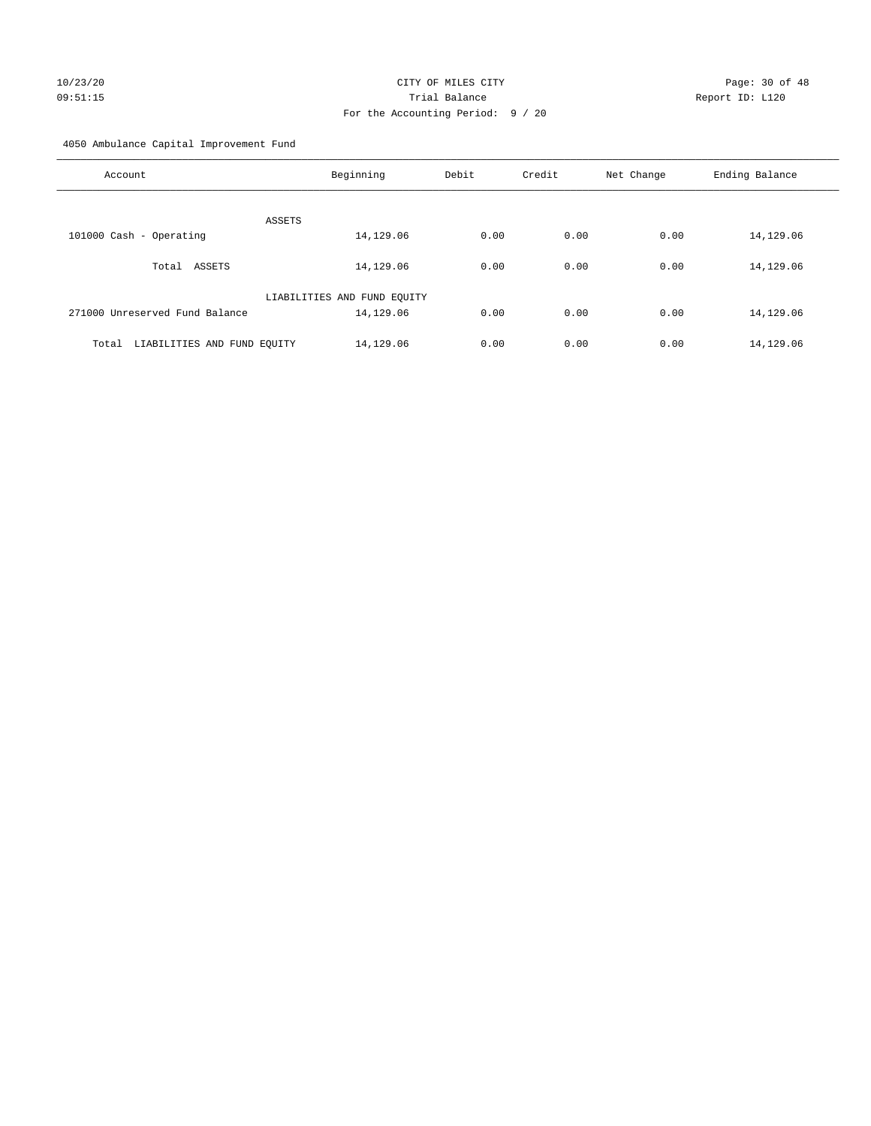# 10/23/20 Page: 30 of 48 09:51:15 Trial Balance Report ID: L120 For the Accounting Period: 9 / 20

4050 Ambulance Capital Improvement Fund

| Account                              | Beginning                   | Debit | Credit | Net Change | Ending Balance |
|--------------------------------------|-----------------------------|-------|--------|------------|----------------|
| ASSETS                               |                             |       |        |            |                |
| 101000 Cash - Operating              | 14,129.06                   | 0.00  | 0.00   | 0.00       | 14,129.06      |
| Total ASSETS                         | 14,129.06                   | 0.00  | 0.00   | 0.00       | 14,129.06      |
|                                      | LIABILITIES AND FUND EQUITY |       |        |            |                |
| 271000 Unreserved Fund Balance       | 14,129.06                   | 0.00  | 0.00   | 0.00       | 14,129.06      |
| LIABILITIES AND FUND EQUITY<br>Total | 14,129.06                   | 0.00  | 0.00   | 0.00       | 14,129.06      |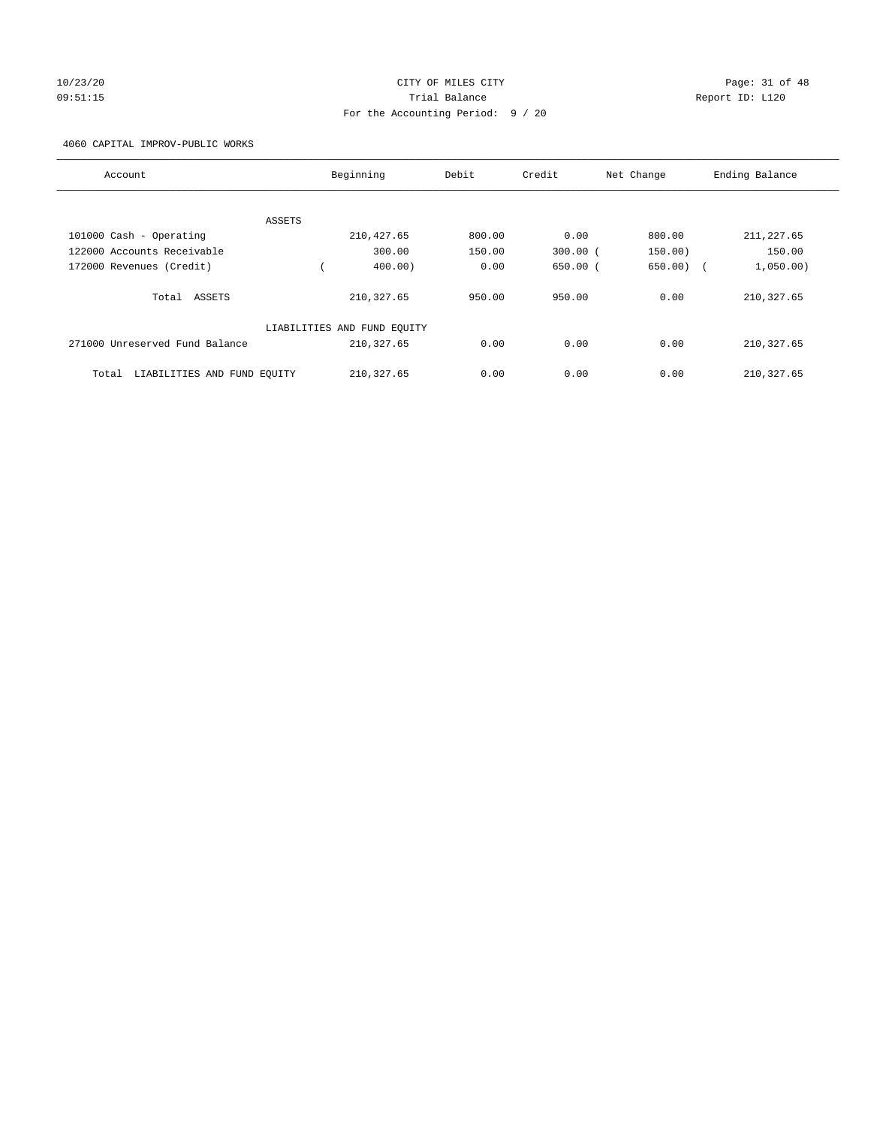# 10/23/20 Page: 31 of 48 09:51:15 Trial Balance Report ID: L120 For the Accounting Period: 9 / 20

4060 CAPITAL IMPROV-PUBLIC WORKS

| Account                              |        | Beginning                   | Debit  | Credit       | Net Change  | Ending Balance |
|--------------------------------------|--------|-----------------------------|--------|--------------|-------------|----------------|
|                                      |        |                             |        |              |             |                |
|                                      | ASSETS |                             |        |              |             |                |
| 101000 Cash - Operating              |        | 210, 427.65                 | 800.00 | 0.00         | 800.00      | 211, 227.65    |
| 122000 Accounts Receivable           |        | 300.00                      | 150.00 | $300.00$ (   | 150.00)     | 150.00         |
| 172000 Revenues (Credit)             |        | 400.00                      | 0.00   | $650.00$ $($ | $650.00)$ ( | 1,050.00)      |
| Total ASSETS                         |        | 210, 327.65                 | 950.00 | 950.00       | 0.00        | 210, 327.65    |
|                                      |        | LIABILITIES AND FUND EQUITY |        |              |             |                |
| 271000 Unreserved Fund Balance       |        | 210, 327.65                 | 0.00   | 0.00         | 0.00        | 210, 327.65    |
| LIABILITIES AND FUND EQUITY<br>Total |        | 210, 327.65                 | 0.00   | 0.00         | 0.00        | 210, 327.65    |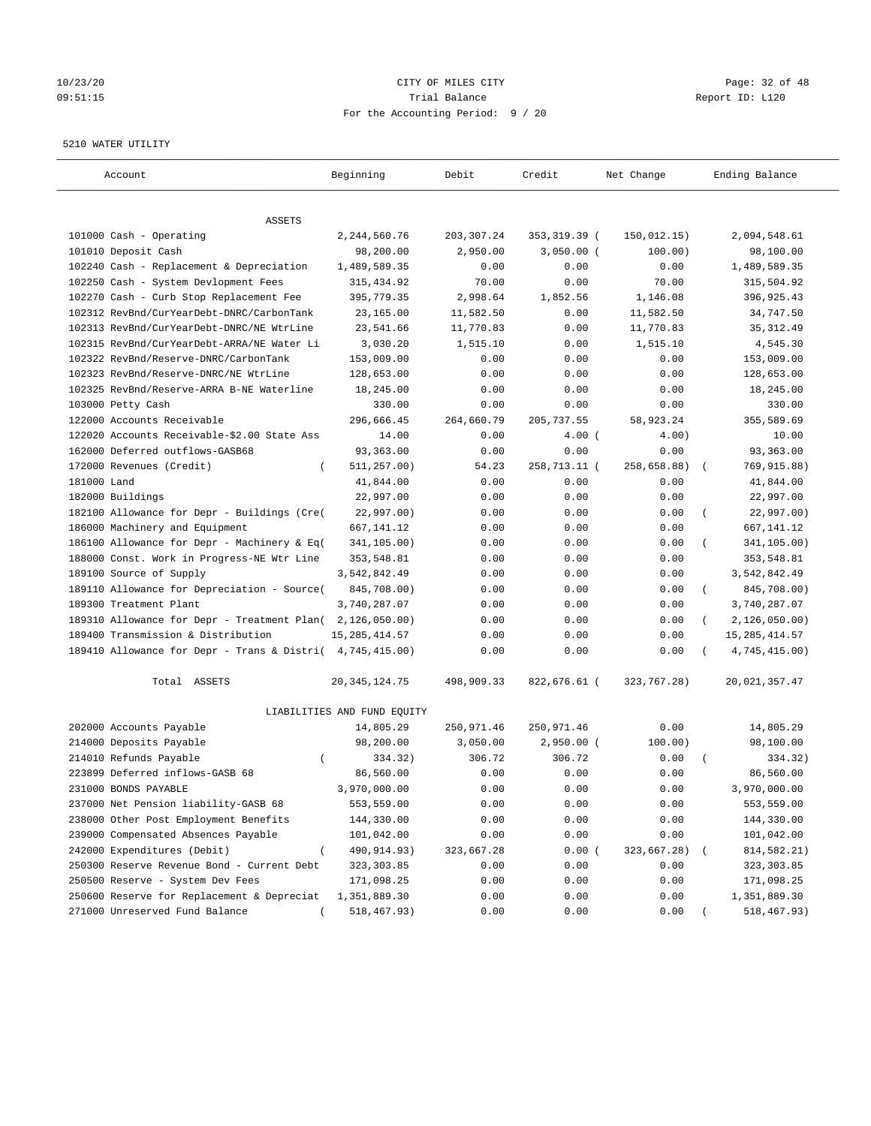# 10/23/20 Page: 32 of 48 09:51:15 Trial Balance Report ID: L120 For the Accounting Period: 9 / 20

#### 5210 WATER UTILITY

| Account                                                   | Beginning                   | Debit       | Credit        | Net Change  | Ending Balance                 |
|-----------------------------------------------------------|-----------------------------|-------------|---------------|-------------|--------------------------------|
| ASSETS                                                    |                             |             |               |             |                                |
| 101000 Cash - Operating                                   | 2,244,560.76                | 203, 307.24 | 353, 319.39 ( | 150,012.15) | 2,094,548.61                   |
| 101010 Deposit Cash                                       | 98,200.00                   | 2,950.00    | $3,050.00$ (  | 100.00)     | 98,100.00                      |
| 102240 Cash - Replacement & Depreciation                  | 1,489,589.35                | 0.00        | 0.00          | 0.00        | 1,489,589.35                   |
| 102250 Cash - System Devlopment Fees                      | 315, 434.92                 | 70.00       | 0.00          | 70.00       | 315,504.92                     |
| 102270 Cash - Curb Stop Replacement Fee                   | 395,779.35                  | 2,998.64    | 1,852.56      | 1,146.08    | 396,925.43                     |
| 102312 RevBnd/CurYearDebt-DNRC/CarbonTank                 | 23,165.00                   | 11,582.50   | 0.00          | 11,582.50   | 34,747.50                      |
| 102313 RevBnd/CurYearDebt-DNRC/NE WtrLine                 | 23,541.66                   | 11,770.83   | 0.00          | 11,770.83   | 35, 312.49                     |
| 102315 RevBnd/CurYearDebt-ARRA/NE Water Li                | 3,030.20                    | 1,515.10    | 0.00          | 1,515.10    | 4,545.30                       |
| 102322 RevBnd/Reserve-DNRC/CarbonTank                     | 153,009.00                  | 0.00        | 0.00          | 0.00        | 153,009.00                     |
| 102323 RevBnd/Reserve-DNRC/NE WtrLine                     | 128,653.00                  | 0.00        | 0.00          | 0.00        | 128,653.00                     |
| 102325 RevBnd/Reserve-ARRA B-NE Waterline                 | 18,245.00                   | 0.00        | 0.00          | 0.00        | 18,245.00                      |
| 103000 Petty Cash                                         | 330.00                      | 0.00        | 0.00          | 0.00        | 330.00                         |
| 122000 Accounts Receivable                                | 296,666.45                  | 264,660.79  | 205, 737.55   | 58,923.24   | 355,589.69                     |
| 122020 Accounts Receivable-\$2.00 State Ass               | 14.00                       | 0.00        | $4.00$ (      | 4.00)       | 10.00                          |
| 162000 Deferred outflows-GASB68                           | 93,363.00                   | 0.00        | 0.00          | 0.00        | 93,363.00                      |
| 172000 Revenues (Credit)<br>$\left($                      | 511, 257.00)                | 54.23       | 258,713.11 (  | 258,658.88) | 769,915.88)                    |
| 181000 Land                                               | 41,844.00                   | 0.00        | 0.00          | 0.00        | 41,844.00                      |
| 182000 Buildings                                          | 22,997.00                   | 0.00        | 0.00          | 0.00        | 22,997.00                      |
| 182100 Allowance for Depr - Buildings (Cre(               | 22,997.00)                  | 0.00        | 0.00          | 0.00        | 22,997.00)<br>$\overline{(\ }$ |
| 186000 Machinery and Equipment                            | 667,141.12                  | 0.00        | 0.00          | 0.00        | 667, 141. 12                   |
| 186100 Allowance for Depr - Machinery & Eq(               | 341,105.00)                 | 0.00        | 0.00          | 0.00        | 341,105.00)                    |
| 188000 Const. Work in Progress-NE Wtr Line                | 353,548.81                  | 0.00        | 0.00          | 0.00        | 353,548.81                     |
| 189100 Source of Supply                                   | 3,542,842.49                | 0.00        | 0.00          | 0.00        | 3,542,842.49                   |
| 189110 Allowance for Depreciation - Source(               | 845,708.00)                 | 0.00        | 0.00          | 0.00        | 845,708.00)<br>$\left($        |
| 189300 Treatment Plant                                    | 3,740,287.07                | 0.00        | 0.00          | 0.00        | 3,740,287.07                   |
| 189310 Allowance for Depr - Treatment Plan(               | 2,126,050.00)               | 0.00        | 0.00          | 0.00        | 2,126,050.00)                  |
| 189400 Transmission & Distribution                        | 15, 285, 414.57             | 0.00        | 0.00          | 0.00        | 15, 285, 414.57                |
| 189410 Allowance for Depr - Trans & Distri( 4,745,415.00) |                             | 0.00        | 0.00          | 0.00        | 4,745,415.00)                  |
| Total ASSETS                                              | 20, 345, 124. 75            | 498,909.33  | 822,676.61 (  | 323,767.28) | 20,021,357.47                  |
|                                                           | LIABILITIES AND FUND EQUITY |             |               |             |                                |
| 202000 Accounts Payable                                   | 14,805.29                   | 250,971.46  | 250,971.46    | 0.00        | 14,805.29                      |
| 214000 Deposits Payable                                   | 98,200.00                   | 3,050.00    | $2,950.00$ (  | 100.00)     | 98,100.00                      |
| 214010 Refunds Payable<br>$\left($                        | 334.32)                     | 306.72      | 306.72        | 0.00        | 334.32)                        |
| 223899 Deferred inflows-GASB 68                           | 86,560.00                   | 0.00        | 0.00          | 0.00        | 86,560.00                      |
| 231000 BONDS PAYABLE                                      | 3,970,000.00                | 0.00        | 0.00          | 0.00        | 3,970,000.00                   |
| 237000 Net Pension liability-GASB 68                      | 553,559.00                  | 0.00        | 0.00          | 0.00        | 553,559.00                     |
| 238000 Other Post Employment Benefits                     | 144,330.00                  | 0.00        | 0.00          | 0.00        | 144,330.00                     |
| 239000 Compensated Absences Payable                       | 101,042.00                  | 0.00        | 0.00          | 0.00        | 101,042.00                     |
| 242000 Expenditures (Debit)                               | 490,914.93)                 | 323,667.28  | 0.00(         | 323,667.28) | 814, 582. 21)                  |
| 250300 Reserve Revenue Bond - Current Debt                | 323, 303.85                 | 0.00        | 0.00          | 0.00        | 323, 303.85                    |
| 250500 Reserve - System Dev Fees                          | 171,098.25                  | 0.00        | 0.00          | 0.00        | 171,098.25                     |
| 250600 Reserve for Replacement & Depreciat                | 1,351,889.30                | 0.00        | 0.00          | 0.00        | 1,351,889.30                   |
| 271000 Unreserved Fund Balance                            | 518,467.93)                 | 0.00        | 0.00          | 0.00        | 518,467.93)                    |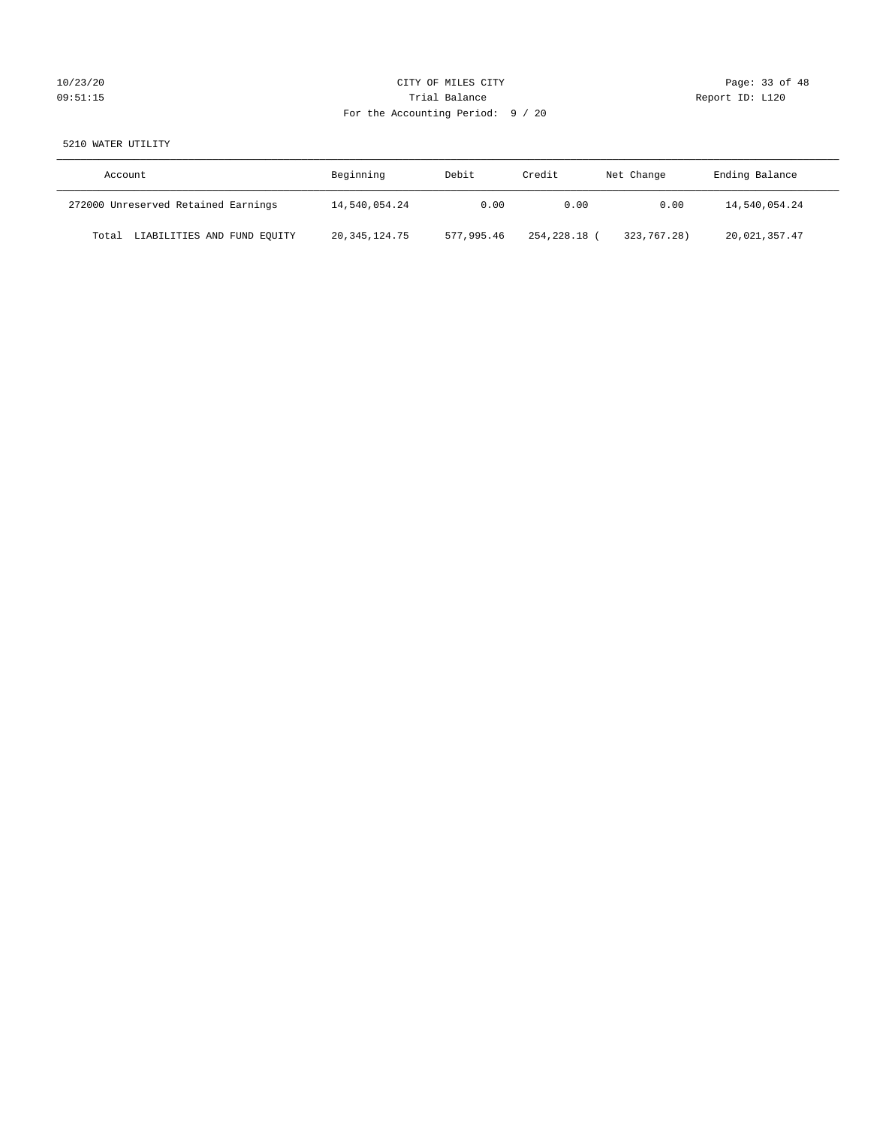# 10/23/20 Page: 33 of 48 09:51:15 **Trial Balance Constanting Trial Balance Report ID:** L120 For the Accounting Period: 9 / 20

# 5210 WATER UTILITY

| Account                              | Beginning        | Debit      | Credit     | Net Change  | Ending Balance |
|--------------------------------------|------------------|------------|------------|-------------|----------------|
| 272000 Unreserved Retained Earnings  | 14,540,054.24    | 0.00       | 0.00       | 0.00        | 14,540,054.24  |
| LIABILITIES AND FUND EQUITY<br>Total | 20, 345, 124. 75 | 577,995.46 | 254,228.18 | 323,767.28) | 20,021,357.47  |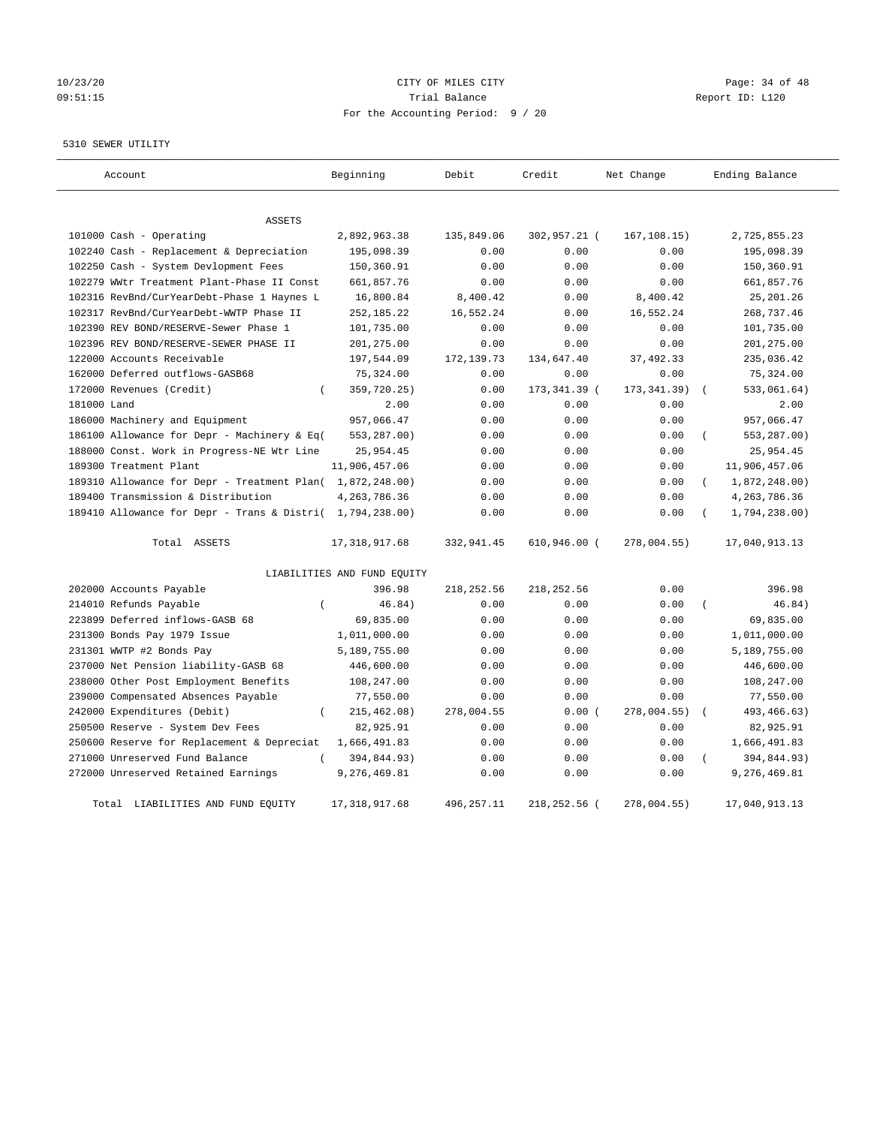# 10/23/20 Page: 34 of 48 09:51:15 Trial Balance Report ID: L120 For the Accounting Period: 9 / 20

#### 5310 SEWER UTILITY

| Account                                                   | Beginning                   | Debit        | Credit        | Net Change   | Ending Balance            |
|-----------------------------------------------------------|-----------------------------|--------------|---------------|--------------|---------------------------|
| <b>ASSETS</b>                                             |                             |              |               |              |                           |
| 101000 Cash - Operating                                   | 2,892,963.38                | 135,849.06   | 302,957.21 (  | 167, 108.15) | 2,725,855.23              |
| 102240 Cash - Replacement & Depreciation                  | 195,098.39                  | 0.00         | 0.00          | 0.00         | 195,098.39                |
| 102250 Cash - System Devlopment Fees                      | 150,360.91                  | 0.00         | 0.00          | 0.00         | 150,360.91                |
| 102279 WWtr Treatment Plant-Phase II Const                | 661,857.76                  | 0.00         | 0.00          | 0.00         | 661,857.76                |
| 102316 RevBnd/CurYearDebt-Phase 1 Haynes L                | 16,800.84                   | 8,400.42     | 0.00          | 8,400.42     | 25, 201.26                |
| 102317 RevBnd/CurYearDebt-WWTP Phase II                   | 252, 185. 22                | 16,552.24    | 0.00          | 16,552.24    | 268,737.46                |
| 102390 REV BOND/RESERVE-Sewer Phase 1                     | 101,735.00                  | 0.00         | 0.00          | 0.00         | 101,735.00                |
| 102396 REV BOND/RESERVE-SEWER PHASE II                    | 201,275.00                  | 0.00         | 0.00          | 0.00         | 201, 275.00               |
| 122000 Accounts Receivable                                | 197,544.09                  | 172, 139.73  | 134,647.40    | 37, 492.33   | 235,036.42                |
| 162000 Deferred outflows-GASB68                           | 75,324.00                   | 0.00         | 0.00          | 0.00         | 75,324.00                 |
| 172000 Revenues (Credit)<br>$\left($                      | 359,720.25)                 | 0.00         | 173, 341.39 ( | 173, 341.39) | 533,061.64)               |
| 181000 Land                                               | 2.00                        | 0.00         | 0.00          | 0.00         | 2.00                      |
| 186000 Machinery and Equipment                            | 957,066.47                  | 0.00         | 0.00          | 0.00         | 957,066.47                |
| 186100 Allowance for Depr - Machinery & Eq(               | 553,287.00)                 | 0.00         | 0.00          | 0.00         | 553,287.00)<br>$\left($   |
| 188000 Const. Work in Progress-NE Wtr Line                | 25,954.45                   | 0.00         | 0.00          | 0.00         | 25,954.45                 |
| 189300 Treatment Plant                                    | 11,906,457.06               | 0.00         | 0.00          | 0.00         | 11,906,457.06             |
| 189310 Allowance for Depr - Treatment Plan( 1,872,248.00) |                             | 0.00         | 0.00          | 0.00         | 1,872,248.00)<br>$\left($ |
| 189400 Transmission & Distribution                        | 4, 263, 786.36              | 0.00         | 0.00          | 0.00         | 4, 263, 786.36            |
| 189410 Allowance for Depr - Trans & Distri( 1,794,238.00) |                             | 0.00         | 0.00          | 0.00         | 1,794,238.00)             |
| Total ASSETS                                              | 17, 318, 917.68             | 332,941.45   | 610,946.00 (  | 278,004.55)  | 17,040,913.13             |
|                                                           | LIABILITIES AND FUND EQUITY |              |               |              |                           |
| 202000 Accounts Payable                                   | 396.98                      | 218, 252.56  | 218, 252.56   | 0.00         | 396.98                    |
| 214010 Refunds Payable                                    | 46.84)<br>$\left($          | 0.00         | 0.00          | 0.00         | 46.84)                    |
| 223899 Deferred inflows-GASB 68                           | 69,835.00                   | 0.00         | 0.00          | 0.00         | 69,835.00                 |
| 231300 Bonds Pay 1979 Issue                               | 1,011,000.00                | 0.00         | 0.00          | 0.00         | 1,011,000.00              |
| 231301 WWTP #2 Bonds Pay                                  | 5,189,755.00                | 0.00         | 0.00          | 0.00         | 5,189,755.00              |
| 237000 Net Pension liability-GASB 68                      | 446,600.00                  | 0.00         | 0.00          | 0.00         | 446,600.00                |
| 238000 Other Post Employment Benefits                     | 108,247.00                  | 0.00         | 0.00          | 0.00         | 108,247.00                |
| 239000 Compensated Absences Payable                       | 77,550.00                   | 0.00         | 0.00          | 0.00         | 77,550.00                 |
| 242000 Expenditures (Debit)<br>$\left($                   | 215, 462.08)                | 278,004.55   | 0.00(         | 278,004.55)  | 493, 466.63)              |
| 250500 Reserve - System Dev Fees                          | 82,925.91                   | 0.00         | 0.00          | 0.00         | 82,925.91                 |
| 250600 Reserve for Replacement & Depreciat                | 1,666,491.83                | 0.00         | 0.00          | 0.00         | 1,666,491.83              |
| 271000 Unreserved Fund Balance                            | 394,844.93)<br>$\left($     | 0.00         | 0.00          | 0.00         | 394,844.93)               |
| 272000 Unreserved Retained Earnings                       | 9,276,469.81                | 0.00         | 0.00          | 0.00         | 9,276,469.81              |
| LIABILITIES AND FUND EQUITY<br>Total                      | 17, 318, 917.68             | 496, 257. 11 | 218,252.56 (  | 278,004.55)  | 17,040,913.13             |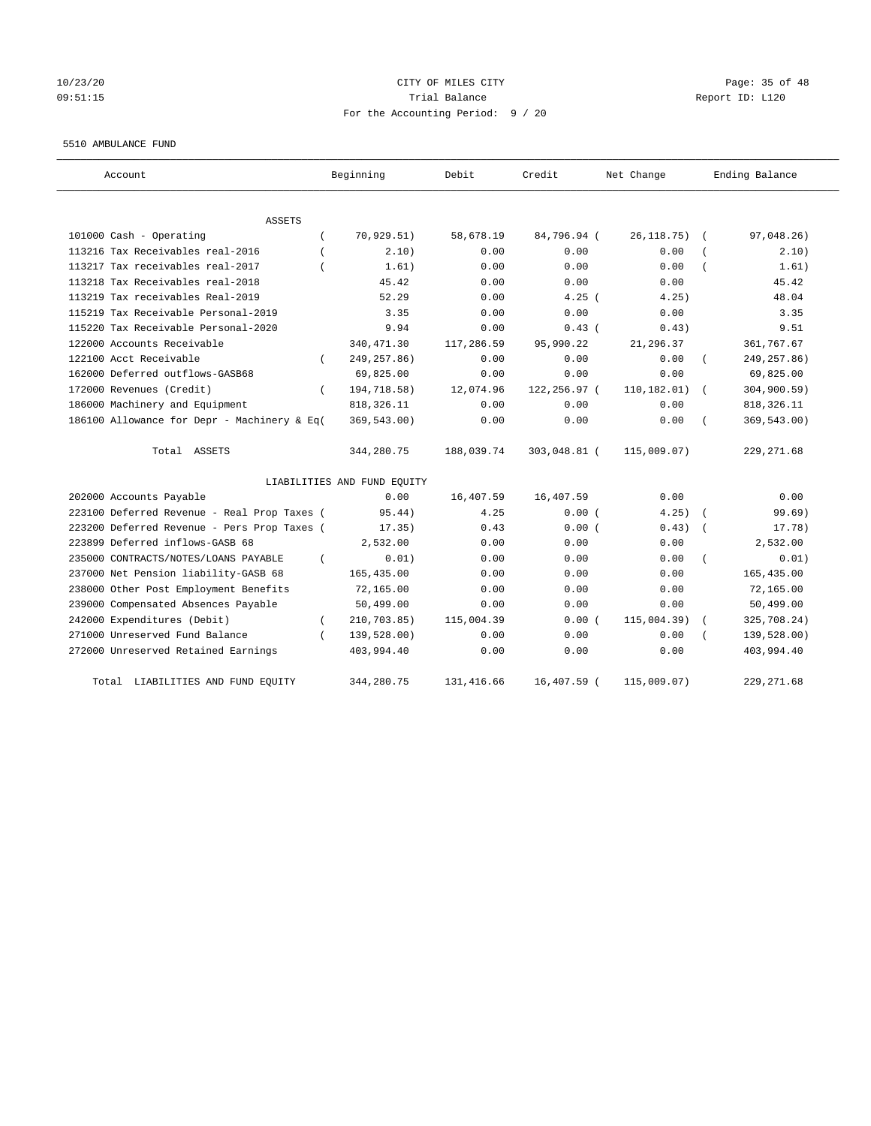# 10/23/20 Page: 35 of 48 09:51:15 Trial Balance Report ID: L120 For the Accounting Period: 9 / 20

#### 5510 AMBULANCE FUND

| Account                                          | Beginning                   | Debit       | Credit       | Net Change   | Ending Balance |
|--------------------------------------------------|-----------------------------|-------------|--------------|--------------|----------------|
| ASSETS                                           |                             |             |              |              |                |
| 101000 Cash - Operating                          | 70,929.51)                  | 58,678.19   | 84,796.94 (  | 26, 118. 75) | 97,048.26)     |
| 113216 Tax Receivables real-2016                 | 2.10)                       | 0.00        | 0.00         | 0.00         | 2.10)          |
| 113217 Tax receivables real-2017                 | 1.61)                       | 0.00        | 0.00         | 0.00         | 1.61)          |
| 113218 Tax Receivables real-2018                 | 45.42                       | 0.00        | 0.00         | 0.00         | 45.42          |
| 113219 Tax receivables Real-2019                 | 52.29                       | 0.00        | $4.25$ (     | 4.25)        | 48.04          |
| 115219 Tax Receivable Personal-2019              | 3.35                        | 0.00        | 0.00         | 0.00         | 3.35           |
| 115220 Tax Receivable Personal-2020              | 9.94                        | 0.00        | 0.43(        | 0.43)        | 9.51           |
| 122000 Accounts Receivable                       | 340, 471.30                 | 117,286.59  | 95,990.22    | 21, 296.37   | 361,767.67     |
| 122100 Acct Receivable<br>$\left($               | 249, 257.86)                | 0.00        | 0.00         | 0.00         | 249, 257.86)   |
| 162000 Deferred outflows-GASB68                  | 69,825.00                   | 0.00        | 0.00         | 0.00         | 69,825.00      |
| 172000 Revenues (Credit)<br>$\left($             | 194,718.58)                 | 12,074.96   | 122,256.97 ( | 110, 182.01) | 304, 900.59)   |
| 186000 Machinery and Equipment                   | 818, 326.11                 | 0.00        | 0.00         | 0.00         | 818, 326.11    |
| 186100 Allowance for Depr - Machinery & Eq(      | 369,543.00)                 | 0.00        | 0.00         | 0.00         | 369,543.00)    |
| Total ASSETS                                     | 344,280.75                  | 188,039.74  | 303,048.81 ( | 115,009.07)  | 229, 271.68    |
|                                                  | LIABILITIES AND FUND EQUITY |             |              |              |                |
| 202000 Accounts Payable                          | 0.00                        | 16,407.59   | 16,407.59    | 0.00         | 0.00           |
| 223100 Deferred Revenue - Real Prop Taxes (      | 95.44)                      | 4.25        | 0.00(        | 4.25)        | 99.69)         |
| 223200 Deferred Revenue - Pers Prop Taxes (      | 17.35)                      | 0.43        | 0.00(        | 0.43)        | 17.78)         |
| 223899 Deferred inflows-GASB 68                  | 2,532.00                    | 0.00        | 0.00         | 0.00         | 2,532.00       |
| 235000 CONTRACTS/NOTES/LOANS PAYABLE<br>$\left($ | 0.01)                       | 0.00        | 0.00         | 0.00         | 0.01)          |
| 237000 Net Pension liability-GASB 68             | 165, 435.00                 | 0.00        | 0.00         | 0.00         | 165, 435.00    |
| 238000 Other Post Employment Benefits            | 72,165.00                   | 0.00        | 0.00         | 0.00         | 72,165.00      |
| 239000 Compensated Absences Payable              | 50,499.00                   | 0.00        | 0.00         | 0.00         | 50,499.00      |
| 242000 Expenditures (Debit)<br>$\left($          | 210,703.85)                 | 115,004.39  | 0.00(        | 115,004.39)  | 325,708.24)    |
| 271000 Unreserved Fund Balance<br>$\left($       | 139,528.00)                 | 0.00        | 0.00         | 0.00         | 139,528.00)    |
| 272000 Unreserved Retained Earnings              | 403,994.40                  | 0.00        | 0.00         | 0.00         | 403,994.40     |
| LIABILITIES AND FUND EQUITY<br>Total             | 344,280.75                  | 131, 416.66 | 16,407.59 (  | 115,009.07)  | 229, 271.68    |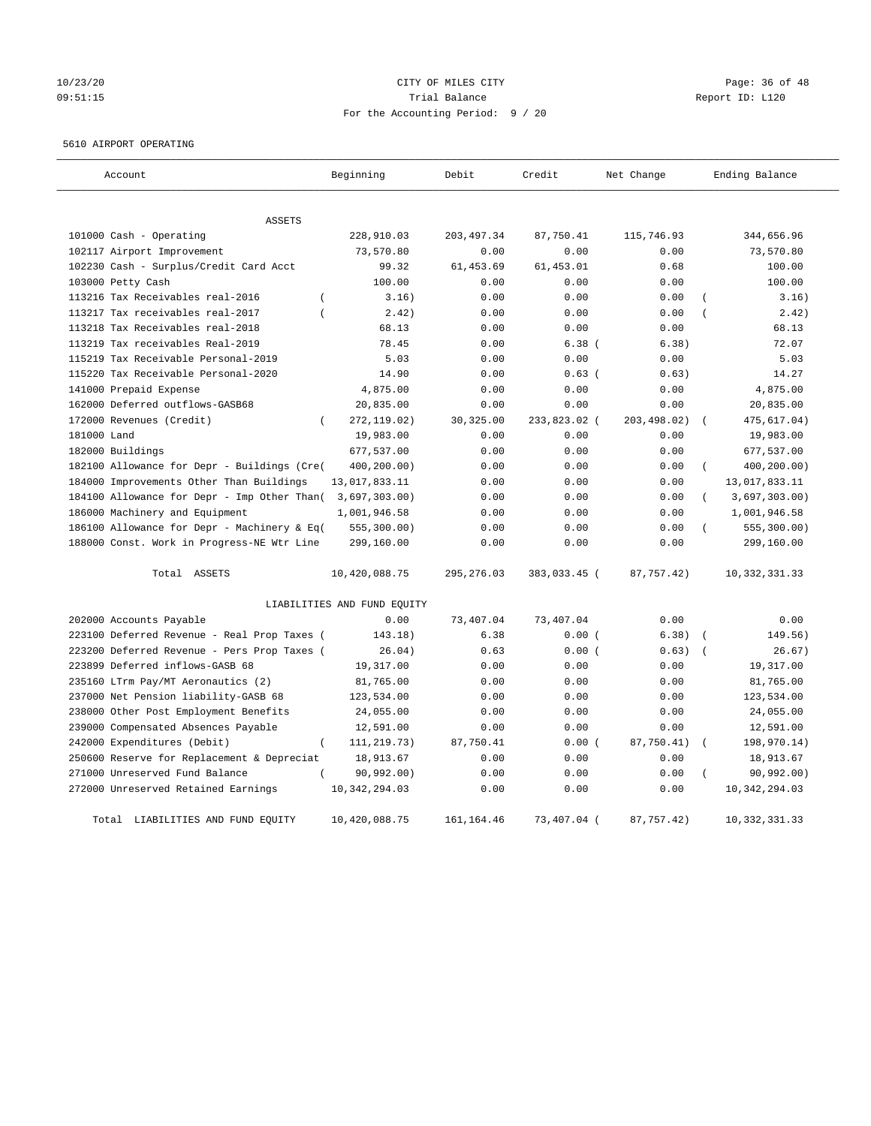# 10/23/20 Page: 36 of 48 09:51:15 COMPOSERT TRIAL BALANCE COMPOSERT TRIAL BALANCE COMPOSERT TRIAL REPORT ID: L120 For the Accounting Period: 9 / 20

#### 5610 AIRPORT OPERATING

| Account                                            | Beginning                   | Debit       | Credit       | Net Change  | Ending Balance            |
|----------------------------------------------------|-----------------------------|-------------|--------------|-------------|---------------------------|
| <b>ASSETS</b>                                      |                             |             |              |             |                           |
| 101000 Cash - Operating                            | 228,910.03                  | 203, 497.34 | 87,750.41    | 115,746.93  | 344,656.96                |
| 102117 Airport Improvement                         | 73,570.80                   | 0.00        | 0.00         | 0.00        | 73,570.80                 |
| 102230 Cash - Surplus/Credit Card Acct             | 99.32                       | 61, 453.69  | 61, 453.01   | 0.68        | 100.00                    |
| 103000 Petty Cash                                  | 100.00                      | 0.00        | 0.00         | 0.00        | 100.00                    |
| 113216 Tax Receivables real-2016<br>$\overline{(}$ | 3.16)                       | 0.00        | 0.00         | 0.00        | 3.16)                     |
| 113217 Tax receivables real-2017                   | 2.42)                       | 0.00        | 0.00         | 0.00        | 2.42)                     |
| 113218 Tax Receivables real-2018                   | 68.13                       | 0.00        | 0.00         | 0.00        | 68.13                     |
| 113219 Tax receivables Real-2019                   | 78.45                       | 0.00        | $6.38$ (     | 6.38)       | 72.07                     |
| 115219 Tax Receivable Personal-2019                | 5.03                        | 0.00        | 0.00         | 0.00        | 5.03                      |
| 115220 Tax Receivable Personal-2020                | 14.90                       | 0.00        | $0.63$ (     | 0.63)       | 14.27                     |
| 141000 Prepaid Expense                             | 4,875.00                    | 0.00        | 0.00         | 0.00        | 4,875.00                  |
| 162000 Deferred outflows-GASB68                    | 20,835.00                   | 0.00        | 0.00         | 0.00        | 20,835.00                 |
| 172000 Revenues (Credit)                           | 272, 119.02)                | 30, 325.00  | 233,823.02 ( | 203,498.02) | 475,617.04)               |
| 181000 Land                                        | 19,983.00                   | 0.00        | 0.00         | 0.00        | 19,983.00                 |
| 182000 Buildings                                   | 677,537.00                  | 0.00        | 0.00         | 0.00        | 677,537.00                |
| 182100 Allowance for Depr - Buildings (Cre(        | 400,200.00)                 | 0.00        | 0.00         | 0.00        | 400,200.00)<br>$\left($   |
| 184000 Improvements Other Than Buildings           | 13,017,833.11               | 0.00        | 0.00         | 0.00        | 13,017,833.11             |
| 184100 Allowance for Depr - Imp Other Than(        | 3,697,303.00)               | 0.00        | 0.00         | 0.00        | 3,697,303.00)<br>$\left($ |
| 186000 Machinery and Equipment                     | 1,001,946.58                | 0.00        | 0.00         | 0.00        | 1,001,946.58              |
| 186100 Allowance for Depr - Machinery & Eq(        | 555, 300.00                 | 0.00        | 0.00         | 0.00        | 555, 300.00)              |
| 188000 Const. Work in Progress-NE Wtr Line         | 299,160.00                  | 0.00        | 0.00         | 0.00        | 299,160.00                |
| Total ASSETS                                       | 10,420,088.75               | 295, 276.03 | 383,033.45 ( | 87,757.42)  | 10, 332, 331.33           |
|                                                    | LIABILITIES AND FUND EQUITY |             |              |             |                           |
| 202000 Accounts Payable                            | 0.00                        | 73,407.04   | 73,407.04    | 0.00        | 0.00                      |
| 223100 Deferred Revenue - Real Prop Taxes (        | 143.18)                     | 6.38        | 0.00(        | 6.38)       | 149.56)                   |
| 223200 Deferred Revenue - Pers Prop Taxes (        | 26.04)                      | 0.63        | 0.00(        | 0.63)       | 26.67)<br>$\overline{ }$  |
| 223899 Deferred inflows-GASB 68                    | 19,317.00                   | 0.00        | 0.00         | 0.00        | 19,317.00                 |
| 235160 LTrm Pay/MT Aeronautics (2)                 | 81,765.00                   | 0.00        | 0.00         | 0.00        | 81,765.00                 |
| 237000 Net Pension liability-GASB 68               | 123,534.00                  | 0.00        | 0.00         | 0.00        | 123,534.00                |
| 238000 Other Post Employment Benefits              | 24,055.00                   | 0.00        | 0.00         | 0.00        | 24,055.00                 |
| 239000 Compensated Absences Payable                | 12,591.00                   | 0.00        | 0.00         | 0.00        | 12,591.00                 |
| 242000 Expenditures (Debit)<br>$\overline{(\ }$    | 111, 219. 73)               | 87,750.41   | 0.00(        | 87,750.41)  | 198,970.14)               |
| 250600 Reserve for Replacement & Depreciat         | 18,913.67                   | 0.00        | 0.00         | 0.00        | 18,913.67                 |
| 271000 Unreserved Fund Balance                     | 90,992.00)                  | 0.00        | 0.00         | 0.00        | 90, 992, 00)              |
| 272000 Unreserved Retained Earnings                | 10, 342, 294.03             | 0.00        | 0.00         | 0.00        | 10, 342, 294.03           |
| LIABILITIES AND FUND EQUITY<br>Total               | 10,420,088.75               | 161, 164.46 | 73,407.04 (  | 87,757.42)  | 10, 332, 331.33           |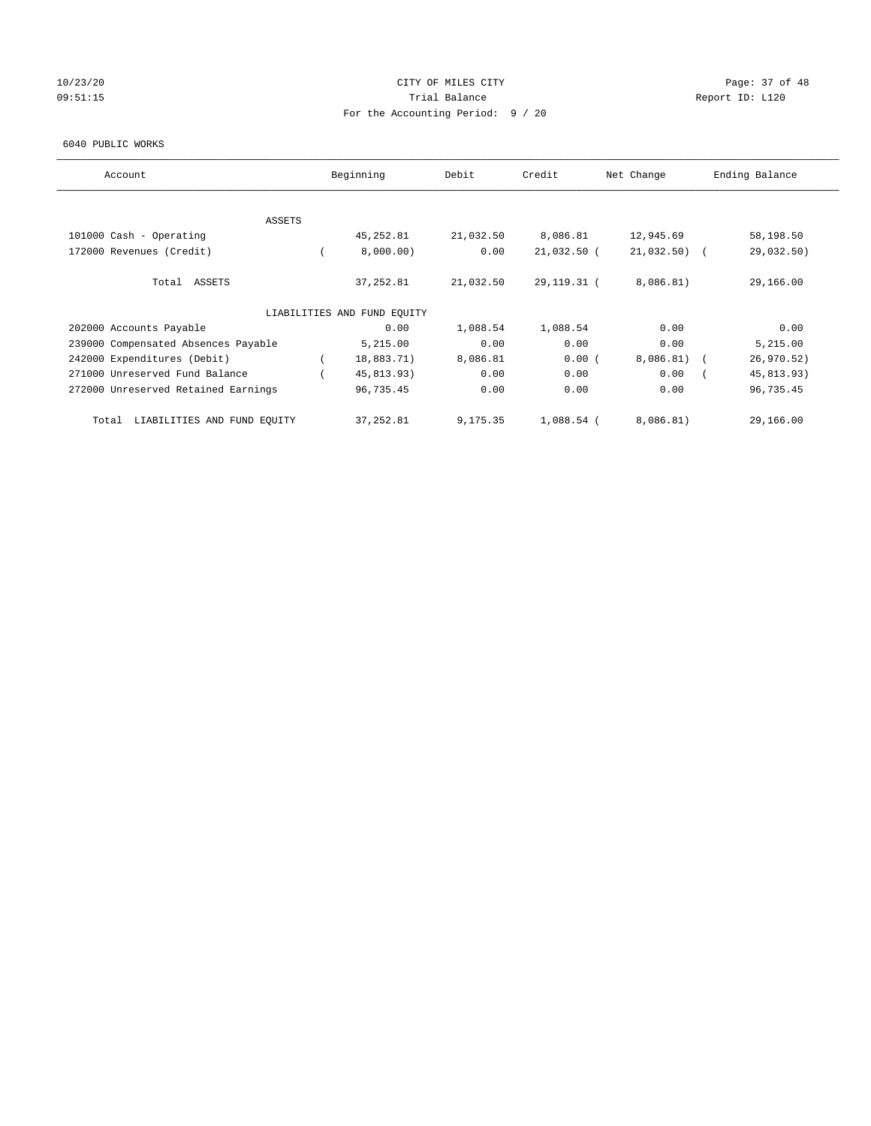# 10/23/20 Page: 37 of 48 09:51:15 COMPOSERT TRIAL BALANCE COMPOSERT TRIAL BALANCE COMPOSERT TRIAL REPORT ID: L120 For the Accounting Period: 9 / 20

#### 6040 PUBLIC WORKS

| Account                              | Beginning                   | Debit     | Credit       | Net Change    | Ending Balance |
|--------------------------------------|-----------------------------|-----------|--------------|---------------|----------------|
| <b>ASSETS</b>                        |                             |           |              |               |                |
| 101000 Cash - Operating              | 45,252.81                   | 21,032.50 | 8,086.81     | 12,945.69     | 58,198.50      |
|                                      |                             |           |              |               |                |
| 172000 Revenues (Credit)             | 8,000.00)                   | 0.00      | 21,032.50 (  | $21,032.50$ ( | 29,032.50)     |
| Total ASSETS                         | 37,252.81                   | 21,032.50 | 29,119.31 (  | 8,086.81)     | 29,166.00      |
|                                      | LIABILITIES AND FUND EQUITY |           |              |               |                |
| 202000 Accounts Payable              | 0.00                        | 1,088.54  | 1,088.54     | 0.00          | 0.00           |
| 239000 Compensated Absences Payable  | 5,215.00                    | 0.00      | 0.00         | 0.00          | 5,215.00       |
| 242000 Expenditures (Debit)          | 18,883.71)                  | 8,086.81  | 0.00(        | $8,086.81$ (  | 26, 970.52)    |
| 271000 Unreserved Fund Balance       | 45,813.93)                  | 0.00      | 0.00         | 0.00          | 45,813.93)     |
| 272000 Unreserved Retained Earnings  | 96,735.45                   | 0.00      | 0.00         | 0.00          | 96,735.45      |
| LIABILITIES AND FUND EQUITY<br>Total | 37,252.81                   | 9,175.35  | $1,088.54$ ( | 8,086.81)     | 29,166.00      |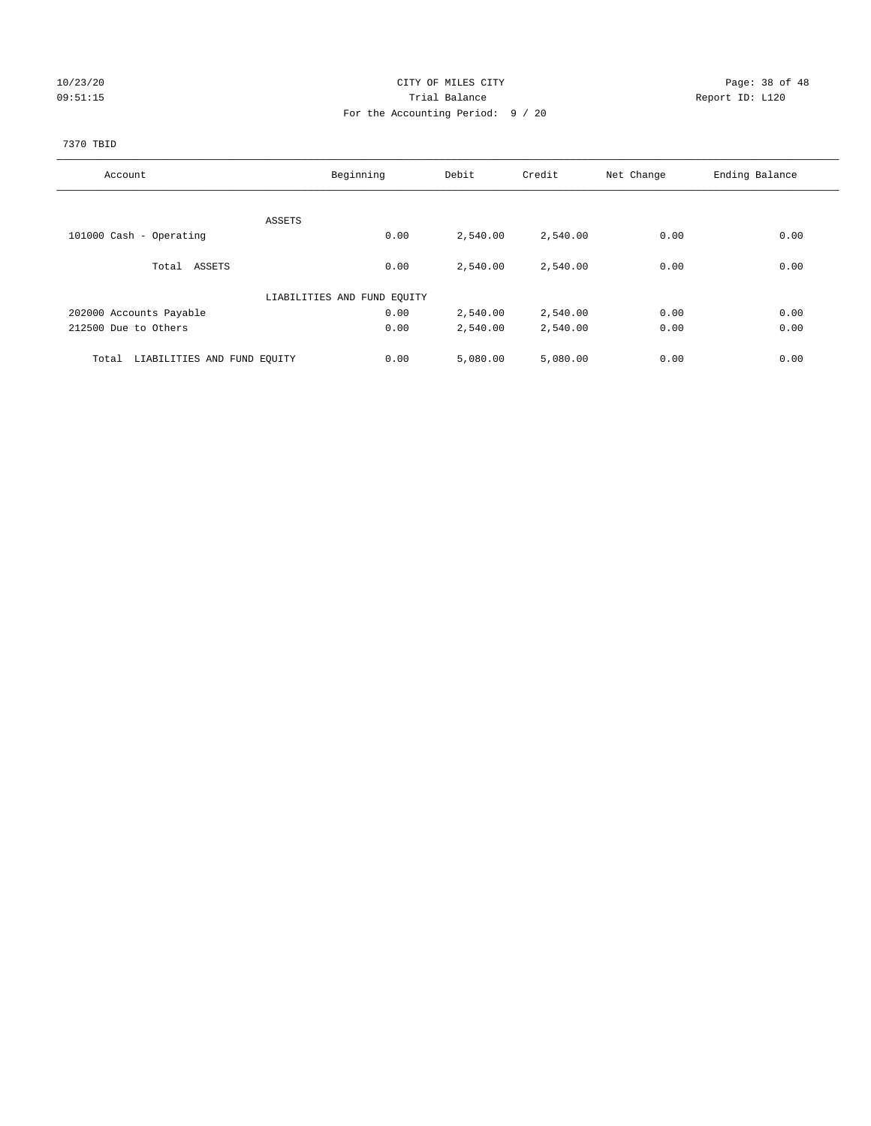# 10/23/20 Page: 38 of 48 09:51:15 **Trial Balance Constanting Trial Balance Report ID:** L120 For the Accounting Period: 9 / 20

#### 7370 TBID

| Account                              | Beginning                   | Debit    | Credit   | Net Change | Ending Balance |
|--------------------------------------|-----------------------------|----------|----------|------------|----------------|
|                                      |                             |          |          |            |                |
|                                      | ASSETS                      |          |          |            |                |
| 101000 Cash - Operating              | 0.00                        | 2,540.00 | 2,540.00 | 0.00       | 0.00           |
| Total ASSETS                         | 0.00                        | 2,540.00 | 2,540.00 | 0.00       | 0.00           |
|                                      |                             |          |          |            |                |
|                                      | LIABILITIES AND FUND EQUITY |          |          |            |                |
| 202000 Accounts Payable              | 0.00                        | 2,540.00 | 2,540.00 | 0.00       | 0.00           |
| 212500 Due to Others                 | 0.00                        | 2,540.00 | 2,540.00 | 0.00       | 0.00           |
|                                      |                             |          |          |            |                |
| LIABILITIES AND FUND EQUITY<br>Total | 0.00                        | 5,080.00 | 5,080.00 | 0.00       | 0.00           |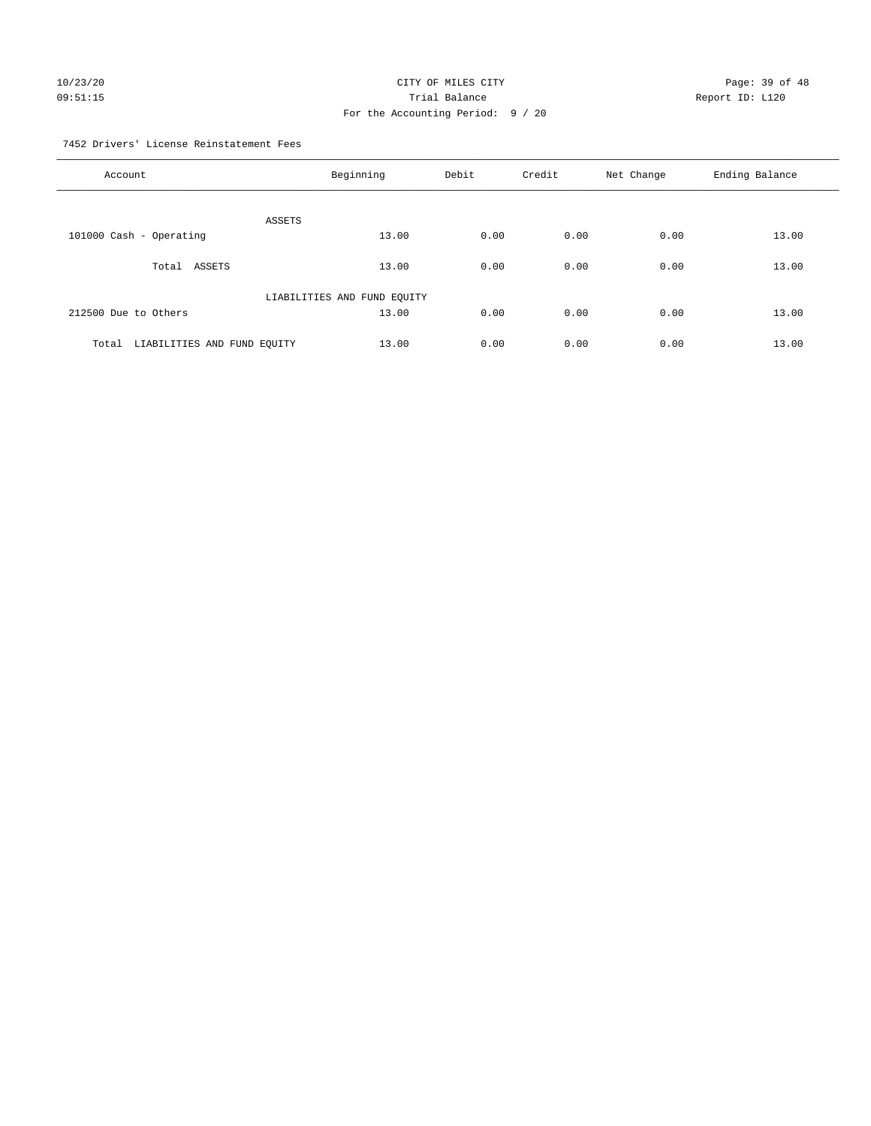# 10/23/20 Page: 39 of 48 09:51:15 **Trial Balance Constanting Trial Balance Report ID:** L120 For the Accounting Period: 9 / 20

7452 Drivers' License Reinstatement Fees

| Account                              | Beginning                   | Debit | Credit | Net Change | Ending Balance |
|--------------------------------------|-----------------------------|-------|--------|------------|----------------|
| ASSETS                               |                             |       |        |            |                |
| 101000 Cash - Operating              | 13.00                       | 0.00  | 0.00   | 0.00       | 13.00          |
| Total ASSETS                         | 13.00                       | 0.00  | 0.00   | 0.00       | 13.00          |
|                                      | LIABILITIES AND FUND EQUITY |       |        |            |                |
| 212500 Due to Others                 | 13.00                       | 0.00  | 0.00   | 0.00       | 13.00          |
| LIABILITIES AND FUND EQUITY<br>Total | 13.00                       | 0.00  | 0.00   | 0.00       | 13.00          |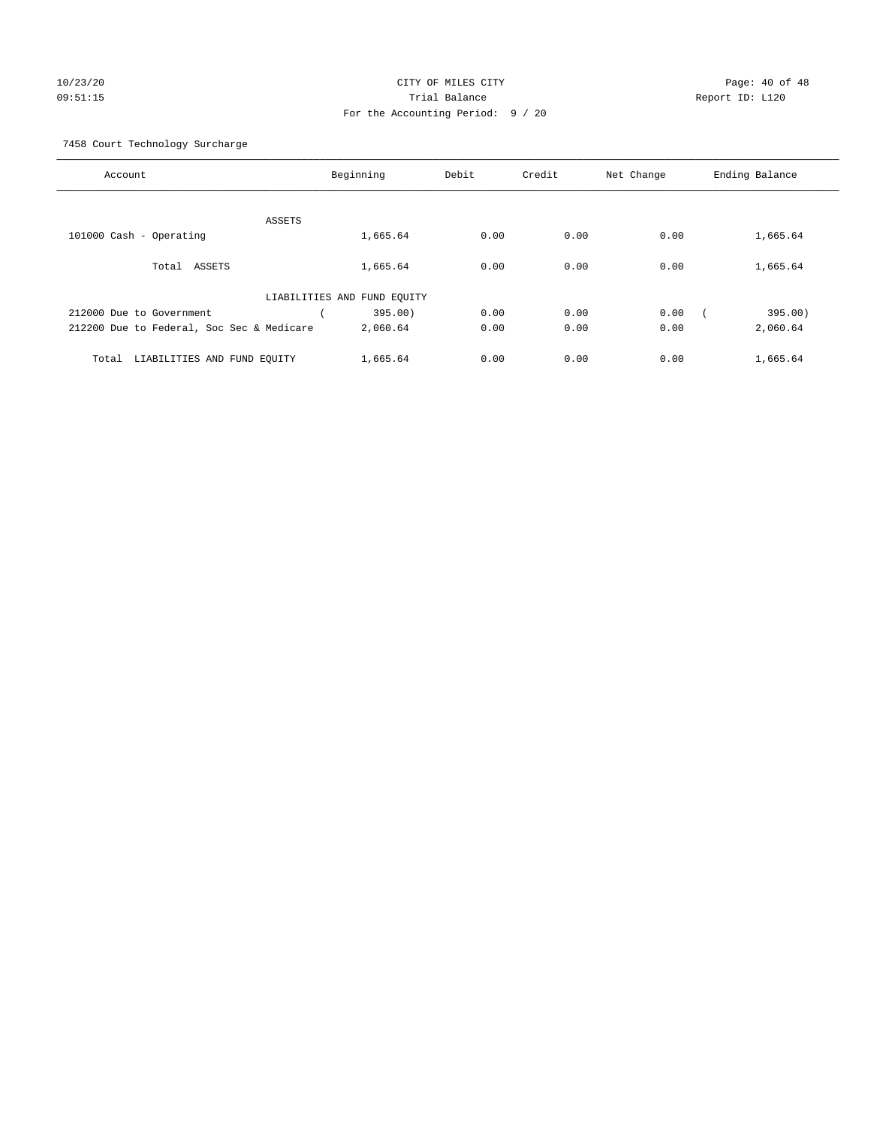# 10/23/20 Page: 40 of 48 09:51:15 Trial Balance Report ID: L120 For the Accounting Period: 9 / 20

7458 Court Technology Surcharge

| Account                                   | Beginning                   | Debit | Credit | Net Change | Ending Balance |
|-------------------------------------------|-----------------------------|-------|--------|------------|----------------|
|                                           |                             |       |        |            |                |
|                                           | ASSETS                      |       |        |            |                |
| 101000 Cash - Operating                   | 1,665.64                    | 0.00  | 0.00   | 0.00       | 1,665.64       |
| Total ASSETS                              | 1,665.64                    | 0.00  | 0.00   | 0.00       | 1,665.64       |
|                                           | LIABILITIES AND FUND EQUITY |       |        |            |                |
| 212000 Due to Government                  | 395.00)                     | 0.00  | 0.00   | 0.00       | 395.00)        |
| 212200 Due to Federal, Soc Sec & Medicare | 2,060.64                    | 0.00  | 0.00   | 0.00       | 2,060.64       |
|                                           |                             | 0.00  | 0.00   | 0.00       |                |
| LIABILITIES AND FUND EQUITY<br>Total      | 1,665.64                    |       |        |            | 1,665.64       |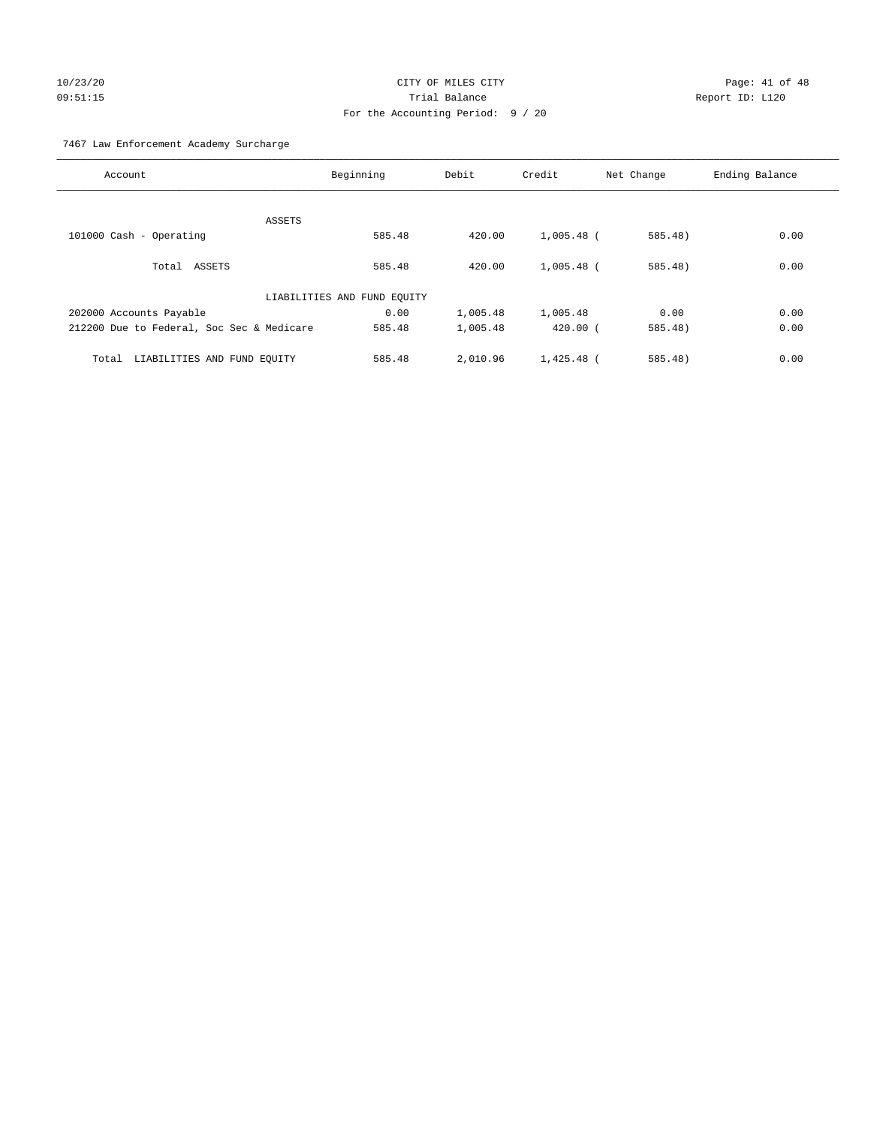# 10/23/20 Page: 41 of 48 09:51:15 Trial Balance Report ID: L120 For the Accounting Period: 9 / 20

7467 Law Enforcement Academy Surcharge

| Account                                   | Beginning                   | Debit    | Credit       | Net Change | Ending Balance |
|-------------------------------------------|-----------------------------|----------|--------------|------------|----------------|
|                                           |                             |          |              |            |                |
| ASSETS                                    |                             |          |              |            |                |
| 101000 Cash - Operating                   | 585.48                      | 420.00   | $1,005.48$ ( | 585.48)    | 0.00           |
| Total ASSETS                              | 585.48                      | 420.00   | $1,005.48$ ( | $585.48$ ) | 0.00           |
|                                           | LIABILITIES AND FUND EQUITY |          |              |            |                |
| 202000 Accounts Payable                   | 0.00                        | 1,005.48 | 1,005.48     | 0.00       | 0.00           |
| 212200 Due to Federal, Soc Sec & Medicare | 585.48                      | 1,005.48 | $420.00$ (   | 585.48)    | 0.00           |
| LIABILITIES AND FUND EQUITY<br>Total      | 585.48                      | 2,010.96 | $1,425.48$ ( | $585.48$ ) | 0.00           |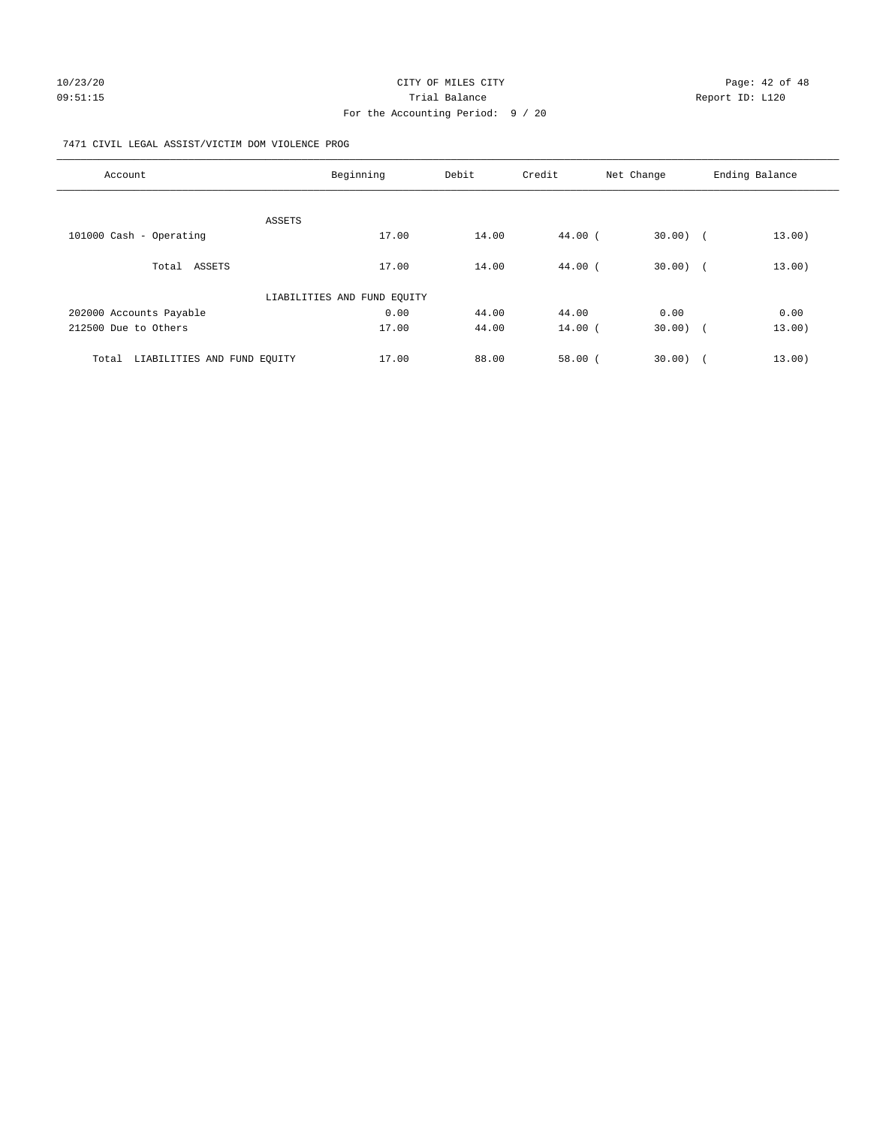#### 7471 CIVIL LEGAL ASSIST/VICTIM DOM VIOLENCE PROG

| Account                              | Beginning                   | Debit | Credit    | Net Change | Ending Balance |
|--------------------------------------|-----------------------------|-------|-----------|------------|----------------|
|                                      |                             |       |           |            |                |
|                                      | ASSETS                      |       |           |            |                |
| 101000 Cash - Operating              | 17.00                       | 14.00 | 44.00 (   | $30.00)$ ( | 13.00)         |
|                                      |                             |       |           |            |                |
| Total ASSETS                         | 17.00                       | 14.00 | $44.00$ ( | $30.00)$ ( | 13.00)         |
|                                      | LIABILITIES AND FUND EQUITY |       |           |            |                |
| 202000 Accounts Payable              | 0.00                        | 44.00 | 44.00     | 0.00       | 0.00           |
| 212500 Due to Others                 | 17.00                       | 44.00 | $14.00$ ( | $30.00)$ ( | 13.00)         |
|                                      |                             |       |           |            |                |
| LIABILITIES AND FUND EQUITY<br>Total | 17.00                       | 88.00 | 58.00(    | 30.00      | 13.00)         |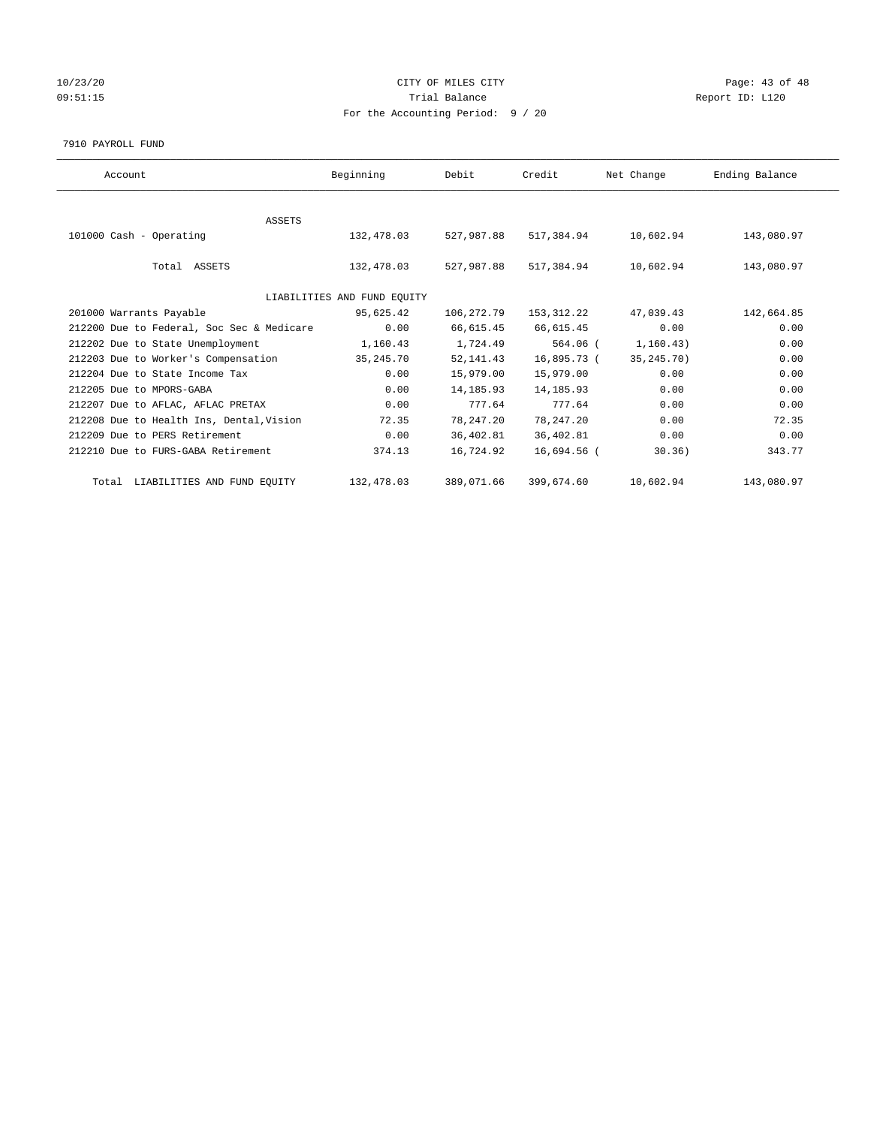# 10/23/20 Page: 43 of 48 09:51:15 COMPOSERT TRIAL BALANCE COMPOSERT TRIAL BALANCE COMPOSERT TRIAL REPORT ID: L120 For the Accounting Period: 9 / 20

#### 7910 PAYROLL FUND

| Account                                   | Beginning                   | Debit       | Credit      | Net Change   | Ending Balance |
|-------------------------------------------|-----------------------------|-------------|-------------|--------------|----------------|
|                                           |                             |             |             |              |                |
| <b>ASSETS</b>                             |                             |             |             |              |                |
| 101000 Cash - Operating                   | 132,478.03                  | 527,987.88  | 517,384.94  | 10,602.94    | 143,080.97     |
|                                           |                             |             |             |              |                |
| Total ASSETS                              | 132,478.03                  | 527,987.88  | 517,384.94  | 10,602.94    | 143,080.97     |
|                                           |                             |             |             |              |                |
|                                           | LIABILITIES AND FUND EQUITY |             |             |              |                |
| 201000 Warrants Payable                   | 95,625.42                   | 106,272.79  | 153,312.22  | 47,039.43    | 142,664.85     |
| 212200 Due to Federal, Soc Sec & Medicare | 0.00                        | 66,615.45   | 66,615.45   | 0.00         | 0.00           |
| 212202 Due to State Unemployment          | 1,160.43                    | 1,724.49    | 564.06 (    | 1, 160.43)   | 0.00           |
| 212203 Due to Worker's Compensation       | 35,245.70                   | 52, 141.43  | 16,895.73 ( | 35, 245. 70) | 0.00           |
| 212204 Due to State Income Tax            | 0.00                        | 15,979.00   | 15,979.00   | 0.00         | 0.00           |
| 212205 Due to MPORS-GABA                  | 0.00                        | 14, 185.93  | 14, 185.93  | 0.00         | 0.00           |
| 212207 Due to AFLAC, AFLAC PRETAX         | 0.00                        | 777.64      | 777.64      | 0.00         | 0.00           |
| 212208 Due to Health Ins, Dental, Vision  | 72.35                       | 78, 247. 20 | 78, 247.20  | 0.00         | 72.35          |
| 212209 Due to PERS Retirement             | 0.00                        | 36,402.81   | 36,402.81   | 0.00         | 0.00           |
| 212210 Due to FURS-GABA Retirement        | 374.13                      | 16,724.92   | 16,694.56 ( | 30.36)       | 343.77         |
| Total LIABILITIES AND FUND EQUITY         | 132,478.03                  | 389,071.66  | 399,674.60  | 10,602.94    | 143,080.97     |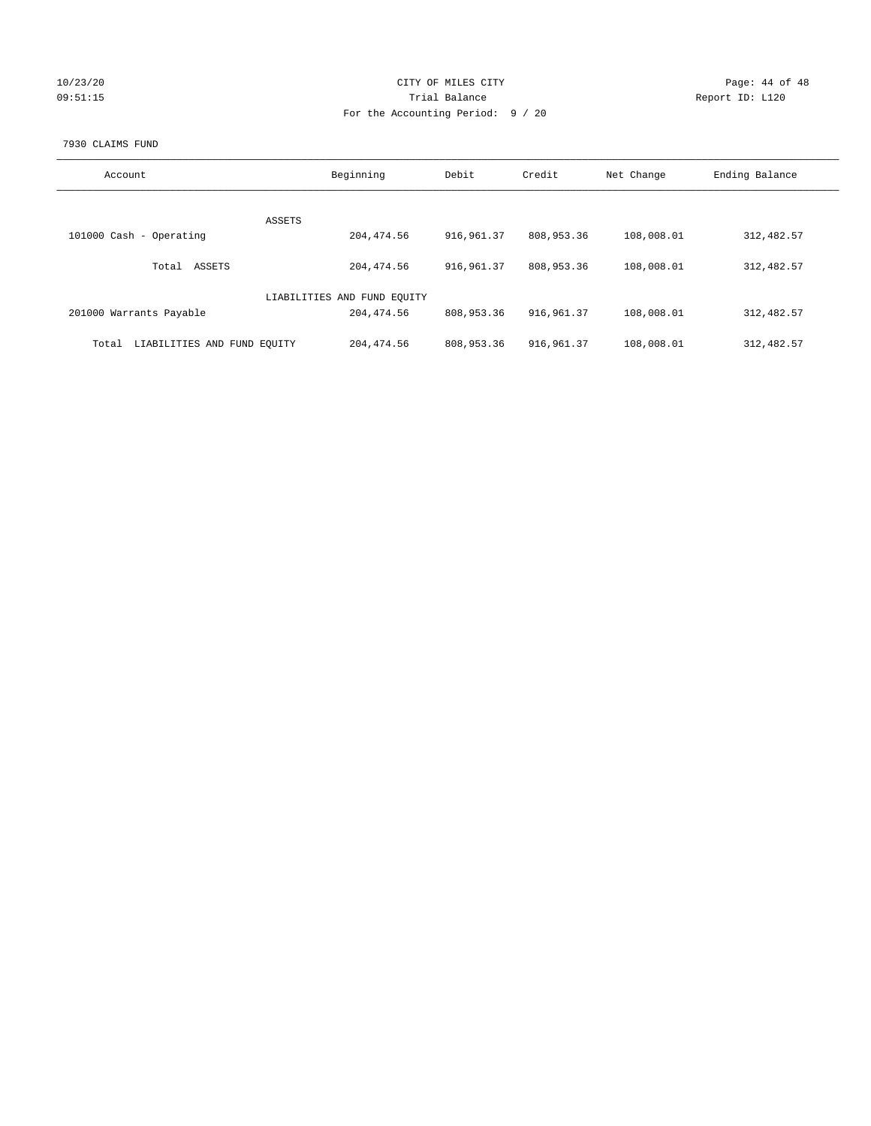| 10/23/20 |  |  |
|----------|--|--|
| 09:51:15 |  |  |

# CITY OF MILES CITY CONTROL CONTROL CITY CONTROL PAGE: 44 of 48 Prial Balance **Report ID:** L120 For the Accounting Period: 9 / 20

#### 7930 CLAIMS FUND

| Account                              | Beginning                   | Debit        | Credit      | Net Change | Ending Balance |
|--------------------------------------|-----------------------------|--------------|-------------|------------|----------------|
|                                      |                             |              |             |            |                |
| <b>ASSETS</b>                        |                             |              |             |            |                |
| 101000 Cash - Operating              | 204, 474.56                 | 916, 961.37  | 808,953.36  | 108,008.01 | 312, 482.57    |
| ASSETS<br>Total                      | 204, 474.56                 | 916, 961, 37 | 808,953.36  | 108,008.01 | 312, 482.57    |
|                                      | LIABILITIES AND FUND EQUITY |              |             |            |                |
| 201000 Warrants Payable              | 204, 474.56                 | 808,953.36   | 916,961.37  | 108,008.01 | 312, 482.57    |
| LIABILITIES AND FUND EQUITY<br>Total | 204, 474.56                 | 808,953.36   | 916, 961.37 | 108,008.01 | 312, 482.57    |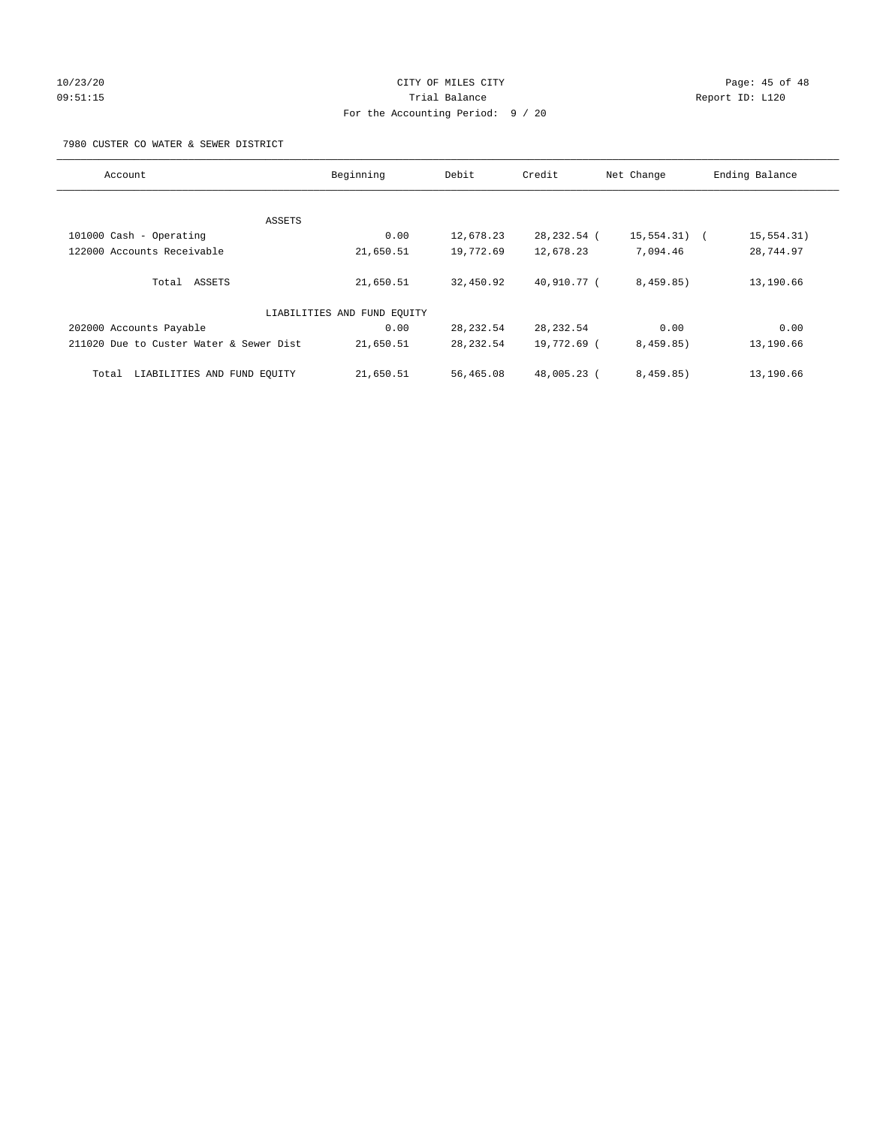# 10/23/20 Page: 45 of 48 09:51:15 Trial Balance Report ID: L120 For the Accounting Period: 9 / 20

7980 CUSTER CO WATER & SEWER DISTRICT

| Account                                 | Beginning                   | Debit      | Credit        | Net Change | Ending Balance       |
|-----------------------------------------|-----------------------------|------------|---------------|------------|----------------------|
|                                         |                             |            |               |            |                      |
| ASSETS                                  |                             |            |               |            |                      |
| 101000 Cash - Operating                 | 0.00                        | 12,678.23  | 28, 232. 54 ( | 15,554.31) | 15,554.31)<br>$\sim$ |
| 122000 Accounts Receivable              | 21,650.51                   | 19,772.69  | 12,678.23     | 7,094.46   | 28,744.97            |
| Total ASSETS                            | 21,650.51                   | 32,450.92  | 40,910.77 (   | 8,459.85)  | 13,190.66            |
|                                         | LIABILITIES AND FUND EQUITY |            |               |            |                      |
| 202000 Accounts Payable                 | 0.00                        | 28, 232.54 | 28, 232.54    | 0.00       | 0.00                 |
| 211020 Due to Custer Water & Sewer Dist | 21,650.51                   | 28, 232.54 | 19,772.69 (   | 8,459.85)  | 13,190.66            |
| LIABILITIES AND FUND EOUITY<br>Total    | 21,650.51                   | 56,465.08  | 48,005.23 (   | 8,459.85)  | 13,190.66            |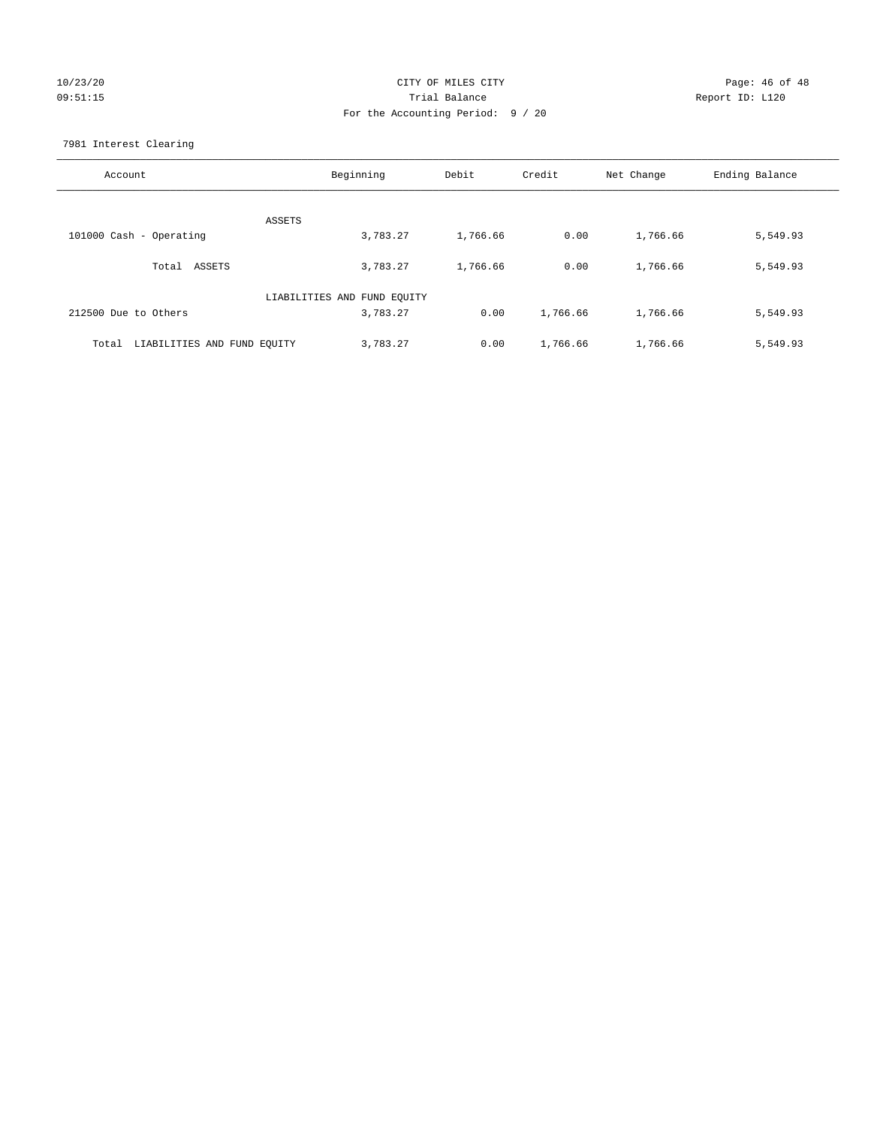# 10/23/20 Page: 46 of 48 09:51:15 Trial Balance Report ID: L120 For the Accounting Period: 9 / 20

7981 Interest Clearing

| Account                              | Beginning                   | Debit    | Credit   | Net Change | Ending Balance |
|--------------------------------------|-----------------------------|----------|----------|------------|----------------|
|                                      | <b>ASSETS</b>               |          |          |            |                |
| 101000 Cash - Operating              | 3,783.27                    | 1,766.66 | 0.00     | 1,766.66   | 5,549.93       |
|                                      |                             |          |          |            |                |
| Total ASSETS                         | 3,783.27                    | 1,766.66 | 0.00     | 1,766.66   | 5,549.93       |
|                                      |                             |          |          |            |                |
|                                      | LIABILITIES AND FUND EQUITY |          |          |            |                |
| 212500 Due to Others                 | 3,783.27                    | 0.00     | 1,766.66 | 1,766.66   | 5,549.93       |
|                                      |                             |          |          |            |                |
| LIABILITIES AND FUND EQUITY<br>Total | 3,783.27                    | 0.00     | 1,766.66 | 1,766.66   | 5,549.93       |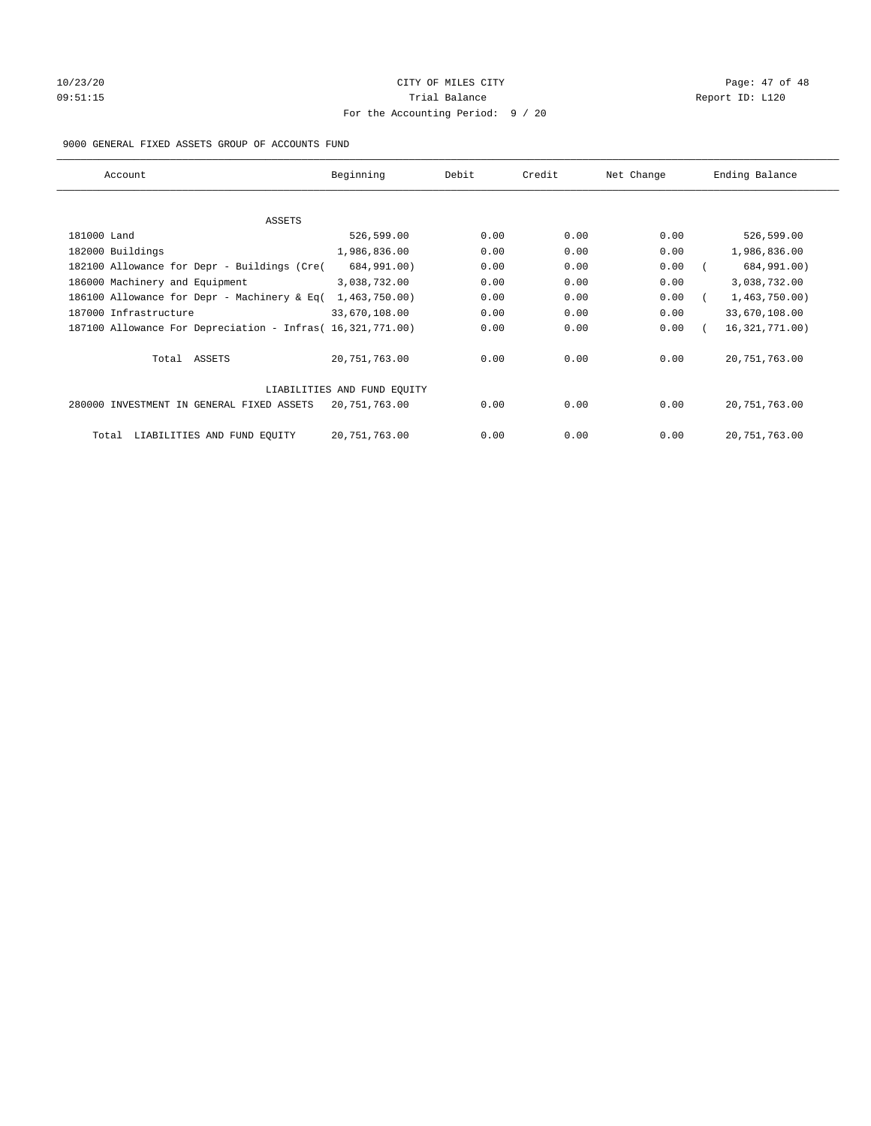# 10/23/20 Page: 47 of 48 09:51:15 COMPOSERT TRIAL BALANCE Report ID: L120 For the Accounting Period: 9 / 20

#### 9000 GENERAL FIXED ASSETS GROUP OF ACCOUNTS FUND

| Account                                                    | Beginning       | Debit | Credit | Net Change | Ending Balance   |
|------------------------------------------------------------|-----------------|-------|--------|------------|------------------|
| ASSETS                                                     |                 |       |        |            |                  |
| 181000 Land                                                | 526,599.00      | 0.00  | 0.00   | 0.00       | 526,599.00       |
| 182000 Buildings                                           | 1,986,836.00    | 0.00  | 0.00   | 0.00       | 1,986,836.00     |
| 182100 Allowance for Depr - Buildings (Cre(                | 684,991.00)     | 0.00  | 0.00   | 0.00       | 684,991.00)      |
| 186000 Machinery and Equipment                             | 3,038,732.00    | 0.00  | 0.00   | 0.00       | 3,038,732.00     |
| 186100 Allowance for Depr - Machinery & Eq(                | 1,463,750.00)   | 0.00  | 0.00   | 0.00       | 1,463,750.00)    |
| 187000 Infrastructure                                      | 33,670,108.00   | 0.00  | 0.00   | 0.00       | 33,670,108.00    |
| 187100 Allowance For Depreciation - Infras( 16,321,771.00) |                 | 0.00  | 0.00   | 0.00       | 16, 321, 771.00) |
| Total ASSETS                                               | 20, 751, 763.00 | 0.00  | 0.00   | 0.00       | 20, 751, 763.00  |
| LIABILITIES AND FUND EQUITY                                |                 |       |        |            |                  |
| 280000 INVESTMENT IN GENERAL FIXED ASSETS                  | 20,751,763.00   | 0.00  | 0.00   | 0.00       | 20, 751, 763.00  |
| LIABILITIES AND FUND EQUITY<br>Total                       | 20, 751, 763.00 | 0.00  | 0.00   | 0.00       | 20, 751, 763.00  |